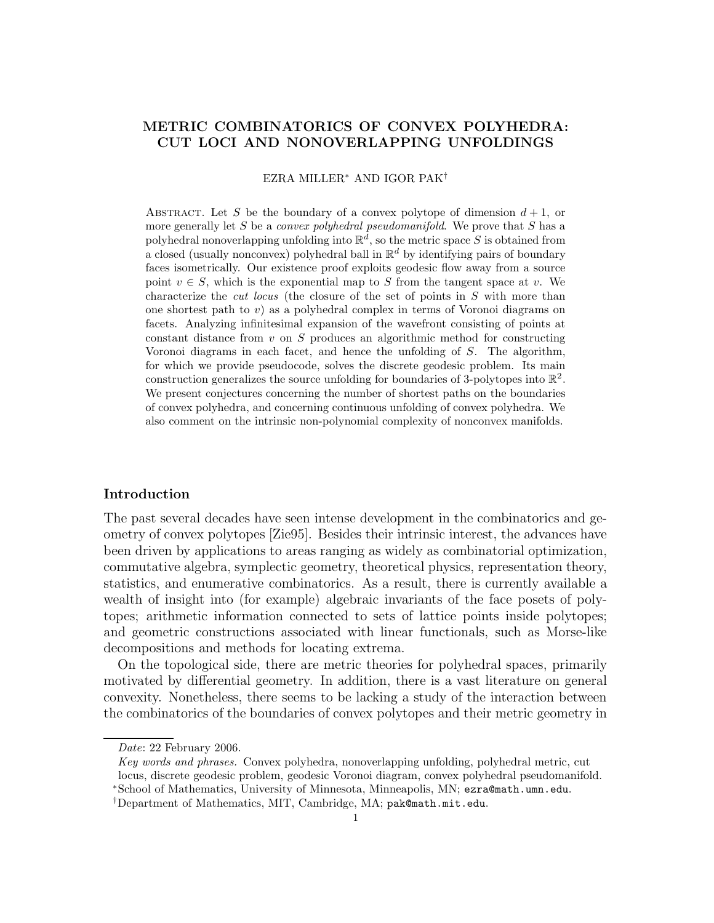# METRIC COMBINATORICS OF CONVEX POLYHEDRA: CUT LOCI AND NONOVERLAPPING UNFOLDINGS

EZRA MILLER<sup>∗</sup> AND IGOR PAK†

ABSTRACT. Let S be the boundary of a convex polytope of dimension  $d+1$ , or more generally let S be a *convex polyhedral pseudomanifold*. We prove that S has a polyhedral nonoverlapping unfolding into  $\mathbb{R}^{\tilde{d}}$ , so the metric space S is obtained from a closed (usually nonconvex) polyhedral ball in  $\mathbb{R}^d$  by identifying pairs of boundary faces isometrically. Our existence proof exploits geodesic flow away from a source point  $v \in S$ , which is the exponential map to S from the tangent space at v. We characterize the cut locus (the closure of the set of points in S with more than one shortest path to  $v$ ) as a polyhedral complex in terms of Voronoi diagrams on facets. Analyzing infinitesimal expansion of the wavefront consisting of points at constant distance from v on S produces an algorithmic method for constructing Voronoi diagrams in each facet, and hence the unfolding of S. The algorithm, for which we provide pseudocode, solves the discrete geodesic problem. Its main construction generalizes the source unfolding for boundaries of 3-polytopes into  $\mathbb{R}^2$ . We present conjectures concerning the number of shortest paths on the boundaries of convex polyhedra, and concerning continuous unfolding of convex polyhedra. We also comment on the intrinsic non-polynomial complexity of nonconvex manifolds.

# Introduction

The past several decades have seen intense development in the combinatorics and geometry of convex polytopes [Zie95]. Besides their intrinsic interest, the advances have been driven by applications to areas ranging as widely as combinatorial optimization, commutative algebra, symplectic geometry, theoretical physics, representation theory, statistics, and enumerative combinatorics. As a result, there is currently available a wealth of insight into (for example) algebraic invariants of the face posets of polytopes; arithmetic information connected to sets of lattice points inside polytopes; and geometric constructions associated with linear functionals, such as Morse-like decompositions and methods for locating extrema.

On the topological side, there are metric theories for polyhedral spaces, primarily motivated by differential geometry. In addition, there is a vast literature on general convexity. Nonetheless, there seems to be lacking a study of the interaction between the combinatorics of the boundaries of convex polytopes and their metric geometry in

Date: 22 February 2006.

Key words and phrases. Convex polyhedra, nonoverlapping unfolding, polyhedral metric, cut locus, discrete geodesic problem, geodesic Voronoi diagram, convex polyhedral pseudomanifold. <sup>∗</sup>School of Mathematics, University of Minnesota, Minneapolis, MN; ezra@math.umn.edu.

<sup>†</sup>Department of Mathematics, MIT, Cambridge, MA; pak@math.mit.edu.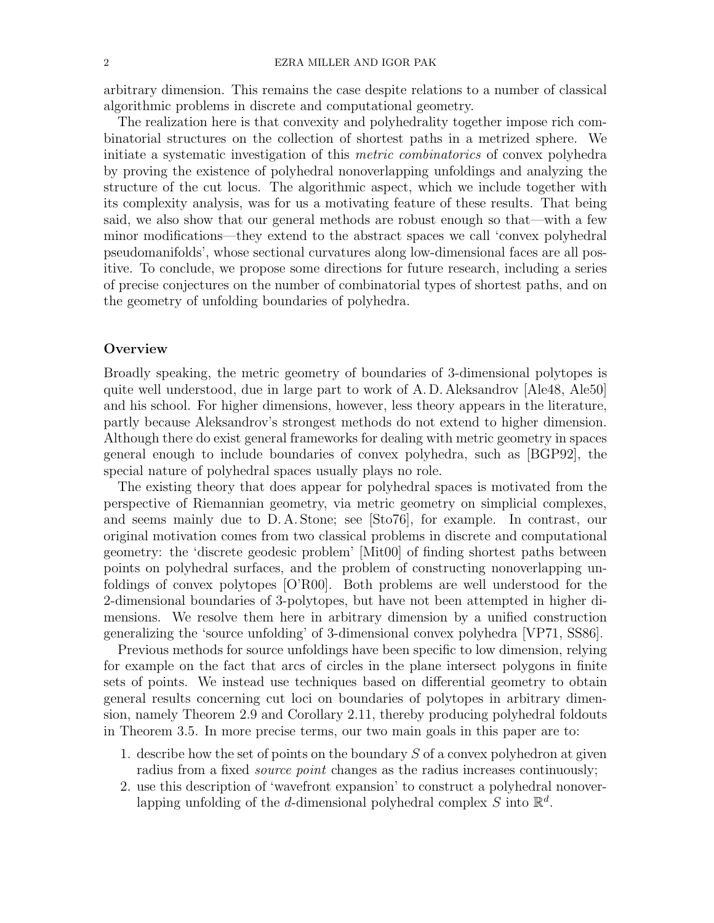arbitrary dimension. This remains the case despite relations to a number of classical algorithmic problems in discrete and computational geometry.

The realization here is that convexity and polyhedrality together impose rich combinatorial structures on the collection of shortest paths in a metrized sphere. We initiate a systematic investigation of this metric combinatorics of convex polyhedra by proving the existence of polyhedral nonoverlapping unfoldings and analyzing the structure of the cut locus. The algorithmic aspect, which we include together with its complexity analysis, was for us a motivating feature of these results. That being said, we also show that our general methods are robust enough so that—with a few minor modifications—they extend to the abstract spaces we call 'convex polyhedral pseudomanifolds', whose sectional curvatures along low-dimensional faces are all positive. To conclude, we propose some directions for future research, including a series of precise conjectures on the number of combinatorial types of shortest paths, and on the geometry of unfolding boundaries of polyhedra.

### **Overview**

Broadly speaking, the metric geometry of boundaries of 3-dimensional polytopes is quite well understood, due in large part to work of A. D. Aleksandrov [Ale48, Ale50] and his school. For higher dimensions, however, less theory appears in the literature, partly because Aleksandrov's strongest methods do not extend to higher dimension. Although there do exist general frameworks for dealing with metric geometry in spaces general enough to include boundaries of convex polyhedra, such as [BGP92], the special nature of polyhedral spaces usually plays no role.

The existing theory that does appear for polyhedral spaces is motivated from the perspective of Riemannian geometry, via metric geometry on simplicial complexes, and seems mainly due to D. A. Stone; see [Sto76], for example. In contrast, our original motivation comes from two classical problems in discrete and computational geometry: the 'discrete geodesic problem' [Mit00] of finding shortest paths between points on polyhedral surfaces, and the problem of constructing nonoverlapping unfoldings of convex polytopes [O'R00]. Both problems are well understood for the 2-dimensional boundaries of 3-polytopes, but have not been attempted in higher dimensions. We resolve them here in arbitrary dimension by a unified construction generalizing the 'source unfolding' of 3-dimensional convex polyhedra [VP71, SS86].

Previous methods for source unfoldings have been specific to low dimension, relying for example on the fact that arcs of circles in the plane intersect polygons in finite sets of points. We instead use techniques based on differential geometry to obtain general results concerning cut loci on boundaries of polytopes in arbitrary dimension, namely Theorem 2.9 and Corollary 2.11, thereby producing polyhedral foldouts in Theorem 3.5. In more precise terms, our two main goals in this paper are to:

- 1. describe how the set of points on the boundary S of a convex polyhedron at given radius from a fixed *source point* changes as the radius increases continuously;
- 2. use this description of 'wavefront expansion' to construct a polyhedral nonoverlapping unfolding of the d-dimensional polyhedral complex S into  $\mathbb{R}^d$ .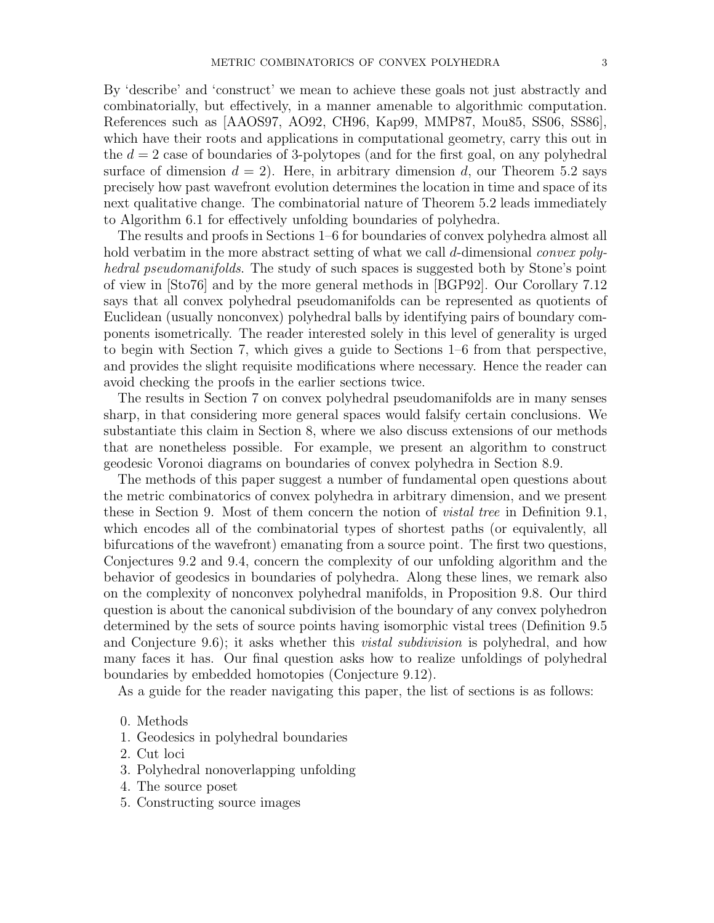By 'describe' and 'construct' we mean to achieve these goals not just abstractly and combinatorially, but effectively, in a manner amenable to algorithmic computation. References such as [AAOS97, AO92, CH96, Kap99, MMP87, Mou85, SS06, SS86], which have their roots and applications in computational geometry, carry this out in the  $d = 2$  case of boundaries of 3-polytopes (and for the first goal, on any polyhedral surface of dimension  $d = 2$ ). Here, in arbitrary dimension d, our Theorem 5.2 says precisely how past wavefront evolution determines the location in time and space of its next qualitative change. The combinatorial nature of Theorem 5.2 leads immediately to Algorithm 6.1 for effectively unfolding boundaries of polyhedra.

The results and proofs in Sections 1–6 for boundaries of convex polyhedra almost all hold verbatim in the more abstract setting of what we call d-dimensional *convex poly*hedral pseudomanifolds. The study of such spaces is suggested both by Stone's point of view in [Sto76] and by the more general methods in [BGP92]. Our Corollary 7.12 says that all convex polyhedral pseudomanifolds can be represented as quotients of Euclidean (usually nonconvex) polyhedral balls by identifying pairs of boundary components isometrically. The reader interested solely in this level of generality is urged to begin with Section 7, which gives a guide to Sections 1–6 from that perspective, and provides the slight requisite modifications where necessary. Hence the reader can avoid checking the proofs in the earlier sections twice.

The results in Section 7 on convex polyhedral pseudomanifolds are in many senses sharp, in that considering more general spaces would falsify certain conclusions. We substantiate this claim in Section 8, where we also discuss extensions of our methods that are nonetheless possible. For example, we present an algorithm to construct geodesic Voronoi diagrams on boundaries of convex polyhedra in Section 8.9.

The methods of this paper suggest a number of fundamental open questions about the metric combinatorics of convex polyhedra in arbitrary dimension, and we present these in Section 9. Most of them concern the notion of vistal tree in Definition 9.1, which encodes all of the combinatorial types of shortest paths (or equivalently, all bifurcations of the wavefront) emanating from a source point. The first two questions, Conjectures 9.2 and 9.4, concern the complexity of our unfolding algorithm and the behavior of geodesics in boundaries of polyhedra. Along these lines, we remark also on the complexity of nonconvex polyhedral manifolds, in Proposition 9.8. Our third question is about the canonical subdivision of the boundary of any convex polyhedron determined by the sets of source points having isomorphic vistal trees (Definition 9.5 and Conjecture 9.6); it asks whether this vistal subdivision is polyhedral, and how many faces it has. Our final question asks how to realize unfoldings of polyhedral boundaries by embedded homotopies (Conjecture 9.12).

As a guide for the reader navigating this paper, the list of sections is as follows:

- 0. Methods
- 1. Geodesics in polyhedral boundaries
- 2. Cut loci
- 3. Polyhedral nonoverlapping unfolding
- 4. The source poset
- 5. Constructing source images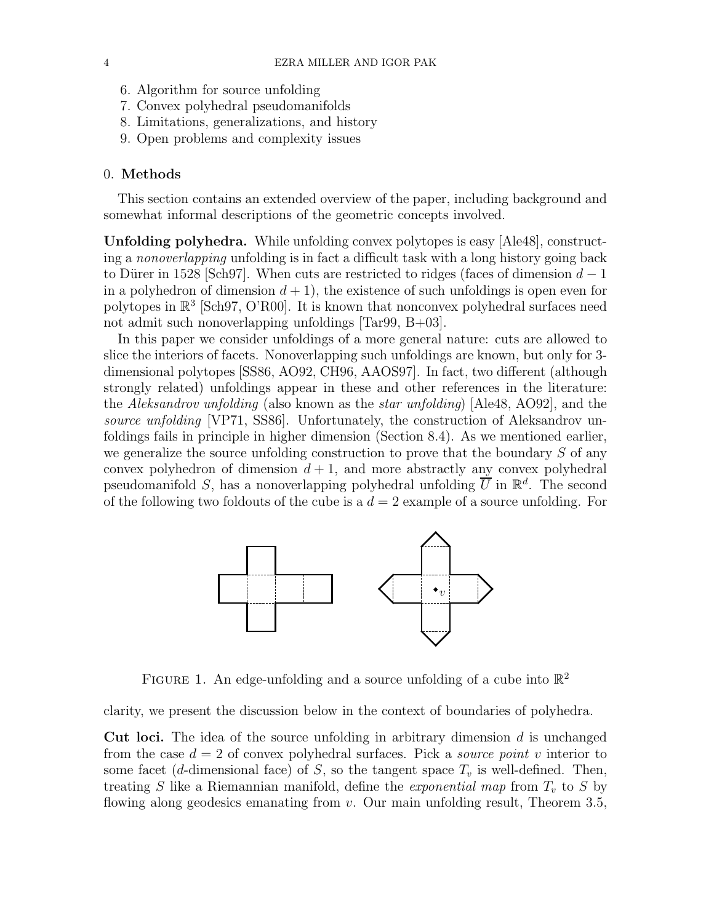- 6. Algorithm for source unfolding
- 7. Convex polyhedral pseudomanifolds
- 8. Limitations, generalizations, and history
- 9. Open problems and complexity issues

### 0. Methods

This section contains an extended overview of the paper, including background and somewhat informal descriptions of the geometric concepts involved.

Unfolding polyhedra. While unfolding convex polytopes is easy [Ale48], constructing a nonoverlapping unfolding is in fact a difficult task with a long history going back to Dürer in 1528 [Sch97]. When cuts are restricted to ridges (faces of dimension  $d-1$ in a polyhedron of dimension  $d + 1$ , the existence of such unfoldings is open even for polytopes in  $\mathbb{R}^3$  [Sch97, O'R00]. It is known that nonconvex polyhedral surfaces need not admit such nonoverlapping unfoldings [Tar99, B+03].

In this paper we consider unfoldings of a more general nature: cuts are allowed to slice the interiors of facets. Nonoverlapping such unfoldings are known, but only for 3 dimensional polytopes [SS86, AO92, CH96, AAOS97]. In fact, two different (although strongly related) unfoldings appear in these and other references in the literature: the Aleksandrov unfolding (also known as the star unfolding) [Ale48, AO92], and the source unfolding [VP71, SS86]. Unfortunately, the construction of Aleksandrov unfoldings fails in principle in higher dimension (Section 8.4). As we mentioned earlier, we generalize the source unfolding construction to prove that the boundary  $S$  of any convex polyhedron of dimension  $d+1$ , and more abstractly any convex polyhedral pseudomanifold S, has a nonoverlapping polyhedral unfolding  $\overline{U}$  in  $\mathbb{R}^d$ . The second of the following two foldouts of the cube is a  $d = 2$  example of a source unfolding. For



FIGURE 1. An edge-unfolding and a source unfolding of a cube into  $\mathbb{R}^2$ 

clarity, we present the discussion below in the context of boundaries of polyhedra.

Cut loci. The idea of the source unfolding in arbitrary dimension d is unchanged from the case  $d = 2$  of convex polyhedral surfaces. Pick a *source point v* interior to some facet (d-dimensional face) of S, so the tangent space  $T_v$  is well-defined. Then, treating S like a Riemannian manifold, define the *exponential map* from  $T_v$  to S by flowing along geodesics emanating from  $v$ . Our main unfolding result, Theorem 3.5,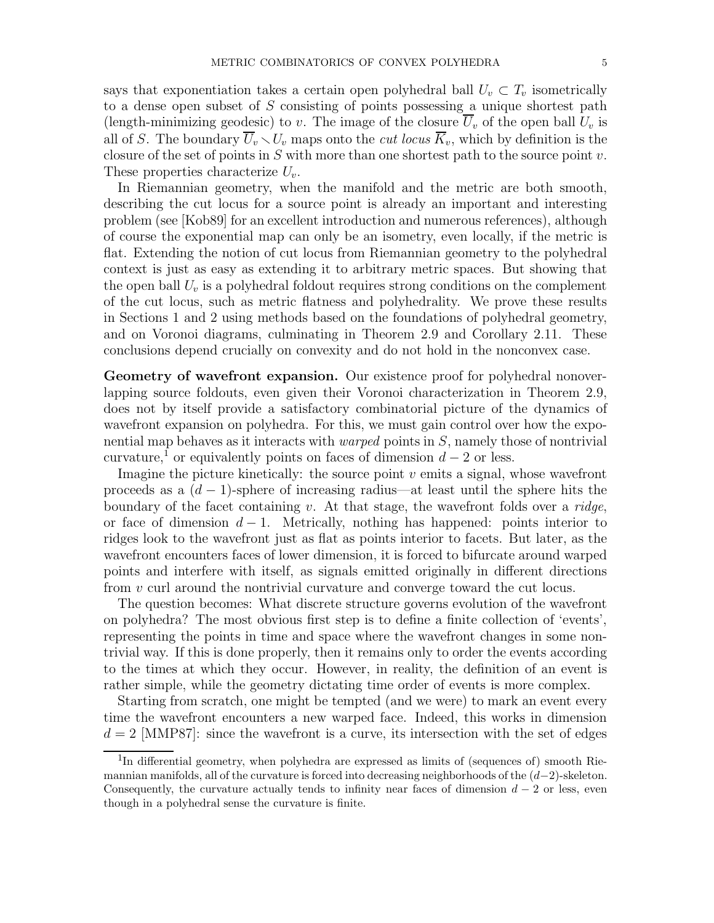says that exponentiation takes a certain open polyhedral ball  $U_v \subset T_v$  isometrically to a dense open subset of S consisting of points possessing a unique shortest path (length-minimizing geodesic) to v. The image of the closure  $\overline{U}_v$  of the open ball  $U_v$  is all of S. The boundary  $\overline{U}_v \setminus U_v$  maps onto the *cut locus*  $\overline{K}_v$ , which by definition is the closure of the set of points in  $S$  with more than one shortest path to the source point  $v$ . These properties characterize  $U_v$ .

In Riemannian geometry, when the manifold and the metric are both smooth, describing the cut locus for a source point is already an important and interesting problem (see [Kob89] for an excellent introduction and numerous references), although of course the exponential map can only be an isometry, even locally, if the metric is flat. Extending the notion of cut locus from Riemannian geometry to the polyhedral context is just as easy as extending it to arbitrary metric spaces. But showing that the open ball  $U_v$  is a polyhedral foldout requires strong conditions on the complement of the cut locus, such as metric flatness and polyhedrality. We prove these results in Sections 1 and 2 using methods based on the foundations of polyhedral geometry, and on Voronoi diagrams, culminating in Theorem 2.9 and Corollary 2.11. These conclusions depend crucially on convexity and do not hold in the nonconvex case.

Geometry of wavefront expansion. Our existence proof for polyhedral nonoverlapping source foldouts, even given their Voronoi characterization in Theorem 2.9, does not by itself provide a satisfactory combinatorial picture of the dynamics of wavefront expansion on polyhedra. For this, we must gain control over how the exponential map behaves as it interacts with warped points in S, namely those of nontrivial curvature,<sup>1</sup> or equivalently points on faces of dimension  $d - 2$  or less.

Imagine the picture kinetically: the source point  $v$  emits a signal, whose wavefront proceeds as a  $(d-1)$ -sphere of increasing radius—at least until the sphere hits the boundary of the facet containing v. At that stage, the wavefront folds over a *ridge*, or face of dimension  $d-1$ . Metrically, nothing has happened: points interior to ridges look to the wavefront just as flat as points interior to facets. But later, as the wavefront encounters faces of lower dimension, it is forced to bifurcate around warped points and interfere with itself, as signals emitted originally in different directions from v curl around the nontrivial curvature and converge toward the cut locus.

The question becomes: What discrete structure governs evolution of the wavefront on polyhedra? The most obvious first step is to define a finite collection of 'events', representing the points in time and space where the wavefront changes in some nontrivial way. If this is done properly, then it remains only to order the events according to the times at which they occur. However, in reality, the definition of an event is rather simple, while the geometry dictating time order of events is more complex.

Starting from scratch, one might be tempted (and we were) to mark an event every time the wavefront encounters a new warped face. Indeed, this works in dimension  $d = 2$  [MMP87]: since the wavefront is a curve, its intersection with the set of edges

<sup>&</sup>lt;sup>1</sup>In differential geometry, when polyhedra are expressed as limits of (sequences of) smooth Riemannian manifolds, all of the curvature is forced into decreasing neighborhoods of the  $(d-2)$ -skeleton. Consequently, the curvature actually tends to infinity near faces of dimension  $d - 2$  or less, even though in a polyhedral sense the curvature is finite.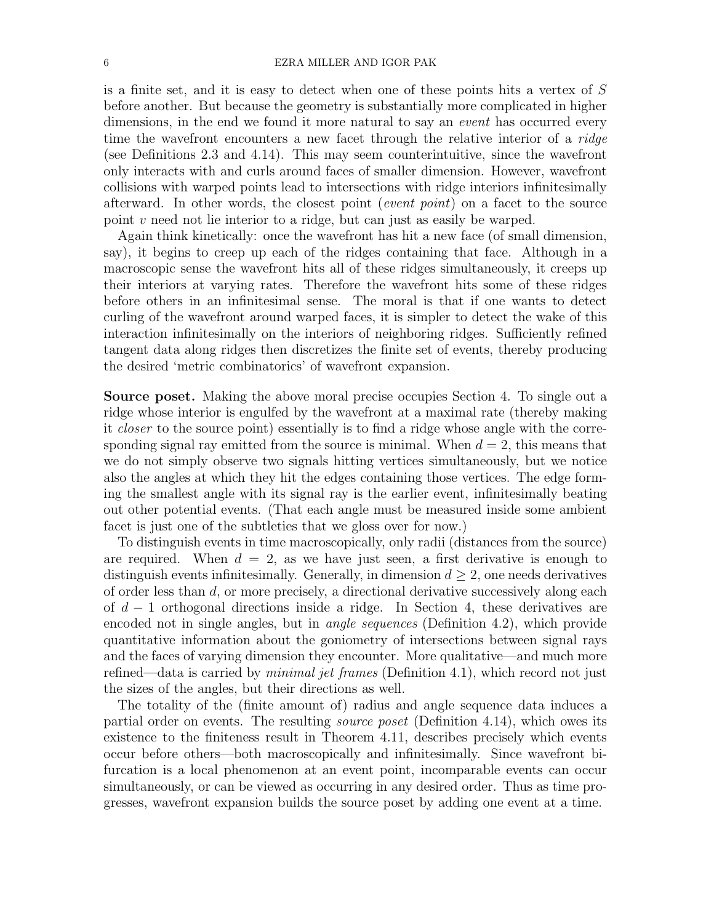is a finite set, and it is easy to detect when one of these points hits a vertex of S before another. But because the geometry is substantially more complicated in higher dimensions, in the end we found it more natural to say an *event* has occurred every time the wavefront encounters a new facet through the relative interior of a *ridge* (see Definitions 2.3 and 4.14). This may seem counterintuitive, since the wavefront only interacts with and curls around faces of smaller dimension. However, wavefront collisions with warped points lead to intersections with ridge interiors infinitesimally afterward. In other words, the closest point (event point) on a facet to the source point v need not lie interior to a ridge, but can just as easily be warped.

Again think kinetically: once the wavefront has hit a new face (of small dimension, say), it begins to creep up each of the ridges containing that face. Although in a macroscopic sense the wavefront hits all of these ridges simultaneously, it creeps up their interiors at varying rates. Therefore the wavefront hits some of these ridges before others in an infinitesimal sense. The moral is that if one wants to detect curling of the wavefront around warped faces, it is simpler to detect the wake of this interaction infinitesimally on the interiors of neighboring ridges. Sufficiently refined tangent data along ridges then discretizes the finite set of events, thereby producing the desired 'metric combinatorics' of wavefront expansion.

Source poset. Making the above moral precise occupies Section 4. To single out a ridge whose interior is engulfed by the wavefront at a maximal rate (thereby making it closer to the source point) essentially is to find a ridge whose angle with the corresponding signal ray emitted from the source is minimal. When  $d = 2$ , this means that we do not simply observe two signals hitting vertices simultaneously, but we notice also the angles at which they hit the edges containing those vertices. The edge forming the smallest angle with its signal ray is the earlier event, infinitesimally beating out other potential events. (That each angle must be measured inside some ambient facet is just one of the subtleties that we gloss over for now.)

To distinguish events in time macroscopically, only radii (distances from the source) are required. When  $d = 2$ , as we have just seen, a first derivative is enough to distinguish events infinitesimally. Generally, in dimension  $d \geq 2$ , one needs derivatives of order less than d, or more precisely, a directional derivative successively along each of  $d-1$  orthogonal directions inside a ridge. In Section 4, these derivatives are encoded not in single angles, but in angle sequences (Definition 4.2), which provide quantitative information about the goniometry of intersections between signal rays and the faces of varying dimension they encounter. More qualitative—and much more refined—data is carried by minimal jet frames (Definition 4.1), which record not just the sizes of the angles, but their directions as well.

The totality of the (finite amount of) radius and angle sequence data induces a partial order on events. The resulting source poset (Definition 4.14), which owes its existence to the finiteness result in Theorem 4.11, describes precisely which events occur before others—both macroscopically and infinitesimally. Since wavefront bifurcation is a local phenomenon at an event point, incomparable events can occur simultaneously, or can be viewed as occurring in any desired order. Thus as time progresses, wavefront expansion builds the source poset by adding one event at a time.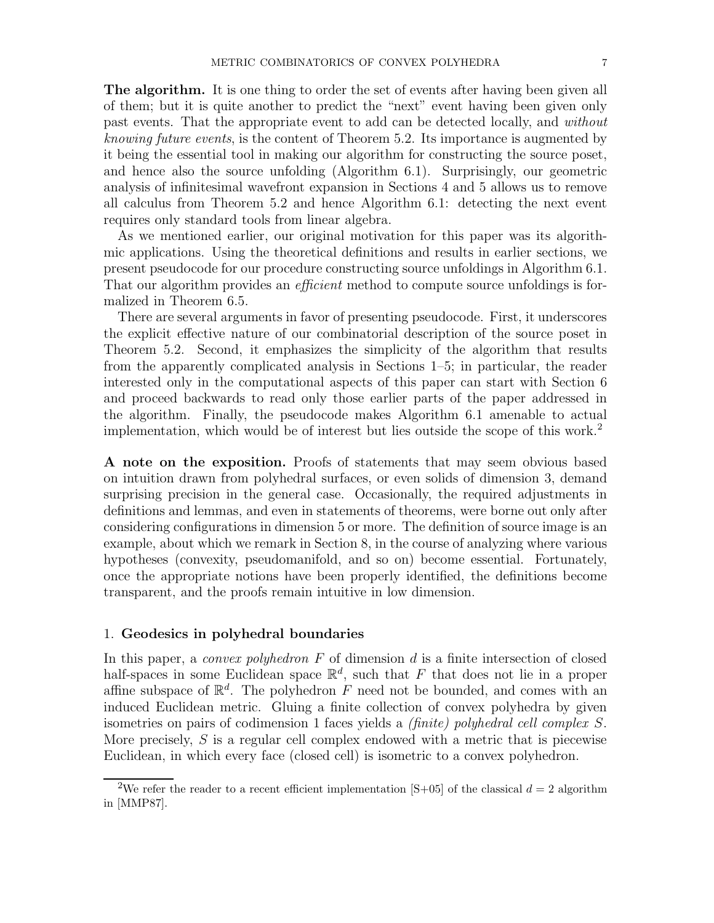The algorithm. It is one thing to order the set of events after having been given all of them; but it is quite another to predict the "next" event having been given only past events. That the appropriate event to add can be detected locally, and without knowing future events, is the content of Theorem 5.2. Its importance is augmented by it being the essential tool in making our algorithm for constructing the source poset, and hence also the source unfolding (Algorithm 6.1). Surprisingly, our geometric analysis of infinitesimal wavefront expansion in Sections 4 and 5 allows us to remove all calculus from Theorem 5.2 and hence Algorithm 6.1: detecting the next event requires only standard tools from linear algebra.

As we mentioned earlier, our original motivation for this paper was its algorithmic applications. Using the theoretical definitions and results in earlier sections, we present pseudocode for our procedure constructing source unfoldings in Algorithm 6.1. That our algorithm provides an *efficient* method to compute source unfoldings is formalized in Theorem 6.5.

There are several arguments in favor of presenting pseudocode. First, it underscores the explicit effective nature of our combinatorial description of the source poset in Theorem 5.2. Second, it emphasizes the simplicity of the algorithm that results from the apparently complicated analysis in Sections 1–5; in particular, the reader interested only in the computational aspects of this paper can start with Section 6 and proceed backwards to read only those earlier parts of the paper addressed in the algorithm. Finally, the pseudocode makes Algorithm 6.1 amenable to actual implementation, which would be of interest but lies outside the scope of this work.<sup>2</sup>

A note on the exposition. Proofs of statements that may seem obvious based on intuition drawn from polyhedral surfaces, or even solids of dimension 3, demand surprising precision in the general case. Occasionally, the required adjustments in definitions and lemmas, and even in statements of theorems, were borne out only after considering configurations in dimension 5 or more. The definition of source image is an example, about which we remark in Section 8, in the course of analyzing where various hypotheses (convexity, pseudomanifold, and so on) become essential. Fortunately, once the appropriate notions have been properly identified, the definitions become transparent, and the proofs remain intuitive in low dimension.

# 1. Geodesics in polyhedral boundaries

In this paper, a *convex polyhedron*  $F$  of dimension  $d$  is a finite intersection of closed half-spaces in some Euclidean space  $\mathbb{R}^d$ , such that F that does not lie in a proper affine subspace of  $\mathbb{R}^d$ . The polyhedron F need not be bounded, and comes with an induced Euclidean metric. Gluing a finite collection of convex polyhedra by given isometries on pairs of codimension 1 faces yields a (finite) polyhedral cell complex S. More precisely, S is a regular cell complex endowed with a metric that is piecewise Euclidean, in which every face (closed cell) is isometric to a convex polyhedron.

<sup>&</sup>lt;sup>2</sup>We refer the reader to a recent efficient implementation [S+05] of the classical  $d = 2$  algorithm in [MMP87].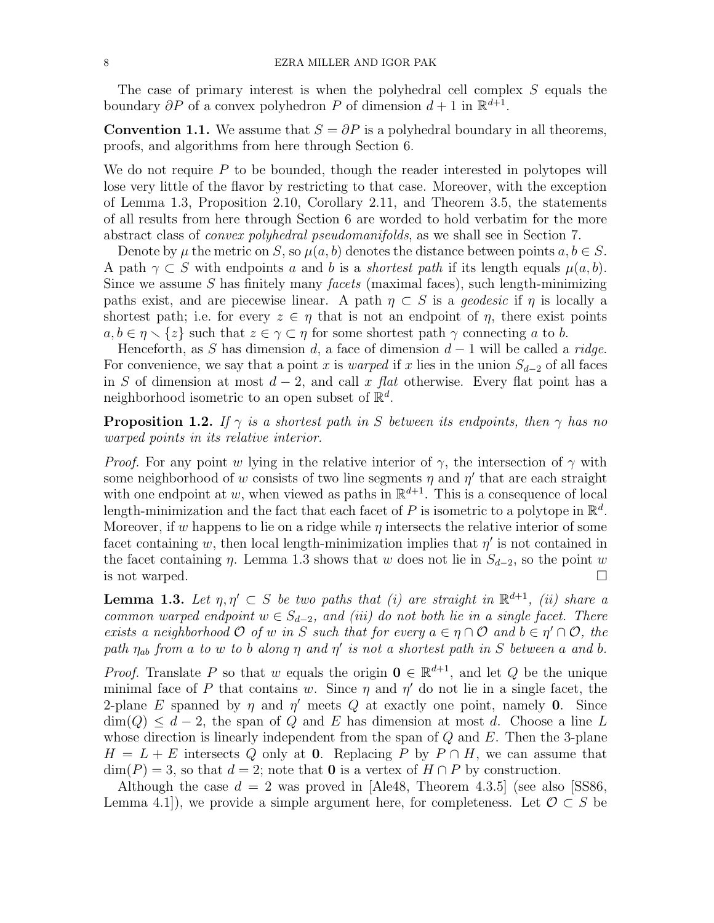The case of primary interest is when the polyhedral cell complex S equals the boundary  $\partial P$  of a convex polyhedron P of dimension  $d+1$  in  $\mathbb{R}^{d+1}$ .

**Convention 1.1.** We assume that  $S = \partial P$  is a polyhedral boundary in all theorems, proofs, and algorithms from here through Section 6.

We do not require  $P$  to be bounded, though the reader interested in polytopes will lose very little of the flavor by restricting to that case. Moreover, with the exception of Lemma 1.3, Proposition 2.10, Corollary 2.11, and Theorem 3.5, the statements of all results from here through Section 6 are worded to hold verbatim for the more abstract class of convex polyhedral pseudomanifolds, as we shall see in Section 7.

Denote by  $\mu$  the metric on S, so  $\mu(a, b)$  denotes the distance between points  $a, b \in S$ . A path  $\gamma \subset S$  with endpoints a and b is a *shortest path* if its length equals  $\mu(a, b)$ . Since we assume  $S$  has finitely many *facets* (maximal faces), such length-minimizing paths exist, and are piecewise linear. A path  $\eta \subset S$  is a *geodesic* if  $\eta$  is locally a shortest path; i.e. for every  $z \in \eta$  that is not an endpoint of  $\eta$ , there exist points  $a, b \in \eta \setminus \{z\}$  such that  $z \in \gamma \subset \eta$  for some shortest path  $\gamma$  connecting a to b.

Henceforth, as S has dimension d, a face of dimension  $d-1$  will be called a ridge. For convenience, we say that a point x is *warped* if x lies in the union  $S_{d-2}$  of all faces in S of dimension at most  $d-2$ , and call x flat otherwise. Every flat point has a neighborhood isometric to an open subset of  $\mathbb{R}^d$ .

**Proposition 1.2.** If  $\gamma$  is a shortest path in S between its endpoints, then  $\gamma$  has no warped points in its relative interior.

*Proof.* For any point w lying in the relative interior of  $\gamma$ , the intersection of  $\gamma$  with some neighborhood of w consists of two line segments  $\eta$  and  $\eta'$  that are each straight with one endpoint at w, when viewed as paths in  $\mathbb{R}^{d+1}$ . This is a consequence of local length-minimization and the fact that each facet of P is isometric to a polytope in  $\mathbb{R}^d$ . Moreover, if w happens to lie on a ridge while  $\eta$  intersects the relative interior of some facet containing w, then local length-minimization implies that  $\eta'$  is not contained in the facet containing  $\eta$ . Lemma 1.3 shows that w does not lie in  $S_{d-2}$ , so the point w is not warped.  $\square$ 

**Lemma 1.3.** Let  $\eta, \eta' \subset S$  be two paths that (i) are straight in  $\mathbb{R}^{d+1}$ , (ii) share a common warped endpoint  $w \in S_{d-2}$ , and (iii) do not both lie in a single facet. There exists a neighborhood  $\mathcal O$  of w in S such that for every  $a \in \eta \cap \mathcal O$  and  $b \in \eta' \cap \mathcal O$ , the path  $\eta_{ab}$  from a to w to b along  $\eta$  and  $\eta'$  is not a shortest path in S between a and b.

*Proof.* Translate P so that w equals the origin  $\mathbf{0} \in \mathbb{R}^{d+1}$ , and let Q be the unique minimal face of P that contains w. Since  $\eta$  and  $\eta'$  do not lie in a single facet, the 2-plane E spanned by  $\eta$  and  $\eta'$  meets Q at exactly one point, namely 0. Since  $\dim(Q) \leq d-2$ , the span of Q and E has dimension at most d. Choose a line L whose direction is linearly independent from the span of  $Q$  and  $E$ . Then the 3-plane  $H = L + E$  intersects Q only at 0. Replacing P by  $P \cap H$ , we can assume that  $\dim(P) = 3$ , so that  $d = 2$ ; note that **0** is a vertex of  $H \cap P$  by construction.

Although the case  $d = 2$  was proved in [Ale48, Theorem 4.3.5] (see also [SS86, Lemma 4.1), we provide a simple argument here, for completeness. Let  $\mathcal{O} \subset S$  be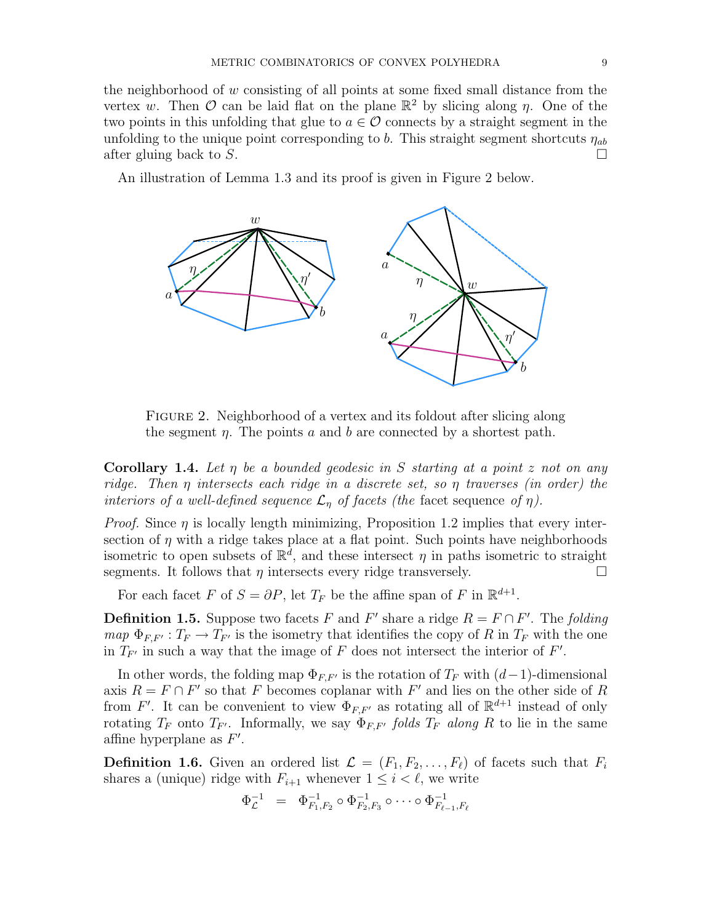the neighborhood of w consisting of all points at some fixed small distance from the vertex w. Then  $\mathcal O$  can be laid flat on the plane  $\mathbb R^2$  by slicing along  $\eta$ . One of the two points in this unfolding that glue to  $a \in \mathcal{O}$  connects by a straight segment in the unfolding to the unique point corresponding to b. This straight segment shortcuts  $\eta_{ab}$ after gluing back to S.

An illustration of Lemma 1.3 and its proof is given in Figure 2 below.



FIGURE 2. Neighborhood of a vertex and its foldout after slicing along the segment  $\eta$ . The points a and b are connected by a shortest path.

**Corollary 1.4.** Let  $\eta$  be a bounded geodesic in S starting at a point z not on any ridge. Then  $\eta$  intersects each ridge in a discrete set, so  $\eta$  traverses (in order) the interiors of a well-defined sequence  $\mathcal{L}_n$  of facets (the facet sequence of  $\eta$ ).

*Proof.* Since  $\eta$  is locally length minimizing, Proposition 1.2 implies that every intersection of  $\eta$  with a ridge takes place at a flat point. Such points have neighborhoods isometric to open subsets of  $\mathbb{R}^d$ , and these intersect  $\eta$  in paths isometric to straight segments. It follows that  $\eta$  intersects every ridge transversely.

For each facet F of  $S = \partial P$ , let  $T_F$  be the affine span of F in  $\mathbb{R}^{d+1}$ .

**Definition 1.5.** Suppose two facets F and F' share a ridge  $R = F \cap F'$ . The folding map  $\Phi_{F,F'} : T_F \to T_{F'}$  is the isometry that identifies the copy of R in  $T_F$  with the one in  $T_{F'}$  in such a way that the image of F does not intersect the interior of F'.

In other words, the folding map  $\Phi_{F,F'}$  is the rotation of  $T_F$  with  $(d-1)$ -dimensional axis  $R = F \cap F'$  so that F becomes coplanar with F' and lies on the other side of R from F'. It can be convenient to view  $\Phi_{F,F'}$  as rotating all of  $\mathbb{R}^{d+1}$  instead of only rotating  $T_F$  onto  $T_{F'}$ . Informally, we say  $\Phi_{F,F'}$  folds  $T_F$  along R to lie in the same affine hyperplane as  $F'$ .

**Definition 1.6.** Given an ordered list  $\mathcal{L} = (F_1, F_2, \dots, F_\ell)$  of facets such that  $F_i$ shares a (unique) ridge with  $F_{i+1}$  whenever  $1 \leq i \leq \ell$ , we write

$$
\Phi_{\mathcal{L}}^{-1} \;\; = \;\; \Phi_{F_1,F_2}^{-1} \circ \Phi_{F_2,F_3}^{-1} \circ \cdots \circ \Phi_{F_{\ell-1},F_{\ell}}^{-1}
$$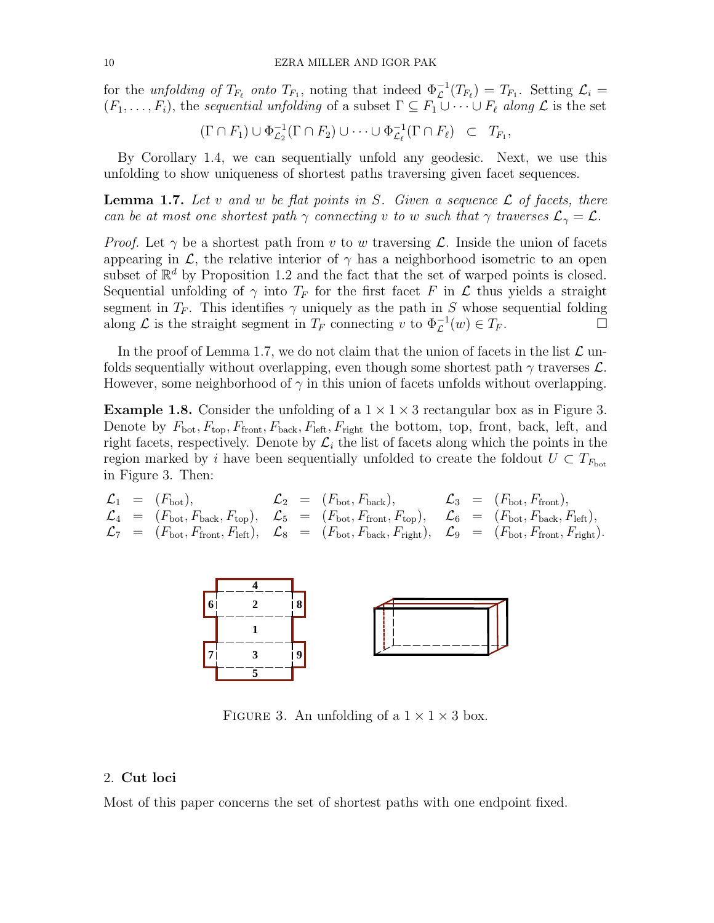for the unfolding of  $T_{F_\ell}$  onto  $T_{F_1}$ , noting that indeed  $\Phi_C^{-1}(T_{F_\ell}) = T_{F_1}$ . Setting  $\mathcal{L}_i =$  $(F_1, \ldots, F_i)$ , the sequential unfolding of a subset  $\Gamma \subseteq F_1 \cup \cdots \cup F_\ell$  along  $\mathcal L$  is the set

$$
(\Gamma \cap F_1) \cup \Phi_{\mathcal{L}_2}^{-1}(\Gamma \cap F_2) \cup \cdots \cup \Phi_{\mathcal{L}_{\ell}}^{-1}(\Gamma \cap F_{\ell}) \subset T_{F_1},
$$

By Corollary 1.4, we can sequentially unfold any geodesic. Next, we use this unfolding to show uniqueness of shortest paths traversing given facet sequences.

**Lemma 1.7.** Let v and w be flat points in S. Given a sequence  $\mathcal{L}$  of facets, there can be at most one shortest path  $\gamma$  connecting v to w such that  $\gamma$  traverses  $\mathcal{L}_{\gamma} = \mathcal{L}$ .

*Proof.* Let  $\gamma$  be a shortest path from v to w traversing  $\mathcal{L}$ . Inside the union of facets appearing in  $\mathcal{L}$ , the relative interior of  $\gamma$  has a neighborhood isometric to an open subset of  $\mathbb{R}^d$  by Proposition 1.2 and the fact that the set of warped points is closed. Sequential unfolding of  $\gamma$  into  $T_F$  for the first facet F in  $\mathcal L$  thus yields a straight segment in  $T_F$ . This identifies  $\gamma$  uniquely as the path in S whose sequential folding along  $\mathcal L$  is the straight segment in  $T_F$  connecting  $v$  to  $\Phi_{\mathcal L}^{-1}(w) \in T_F$ .

In the proof of Lemma 1.7, we do not claim that the union of facets in the list  $\mathcal L$  unfolds sequentially without overlapping, even though some shortest path  $\gamma$  traverses  $\mathcal{L}$ . However, some neighborhood of  $\gamma$  in this union of facets unfolds without overlapping.

**Example 1.8.** Consider the unfolding of a  $1 \times 1 \times 3$  rectangular box as in Figure 3. Denote by  $F_{\text{bot}}, F_{\text{top}}, F_{\text{front}}, F_{\text{back}}, F_{\text{left}}, F_{\text{right}}$  the bottom, top, front, back, left, and right facets, respectively. Denote by  $\mathcal{L}_i$  the list of facets along which the points in the region marked by i have been sequentially unfolded to create the foldout  $U \subset T_{F_{\text{bot}}}$ in Figure 3. Then:

$$
\begin{array}{lclclclcl} \mathcal{L}_1 &=& (F_{\mathrm{bot}}), & \mathcal{L}_2 &=& (F_{\mathrm{bot}}, F_{\mathrm{back}}), & \mathcal{L}_3 &=& (F_{\mathrm{bot}}, F_{\mathrm{front}}), \\ \mathcal{L}_4 &=& (F_{\mathrm{bot}}, F_{\mathrm{back}}, F_{\mathrm{top}}), & \mathcal{L}_5 &=& (F_{\mathrm{bot}}, F_{\mathrm{front}}, F_{\mathrm{top}}), & \mathcal{L}_6 &=& (F_{\mathrm{bot}}, F_{\mathrm{back}}, F_{\mathrm{left}}), \\ \mathcal{L}_7 &=& (F_{\mathrm{bot}}, F_{\mathrm{front}}, F_{\mathrm{left}}), & \mathcal{L}_8 &=& (F_{\mathrm{bot}}, F_{\mathrm{back}}, F_{\mathrm{right}}), & \mathcal{L}_9 &=& (F_{\mathrm{bot}}, F_{\mathrm{front}}, F_{\mathrm{right}}). \end{array}
$$



FIGURE 3. An unfolding of a  $1 \times 1 \times 3$  box.

# 2. Cut loci

Most of this paper concerns the set of shortest paths with one endpoint fixed.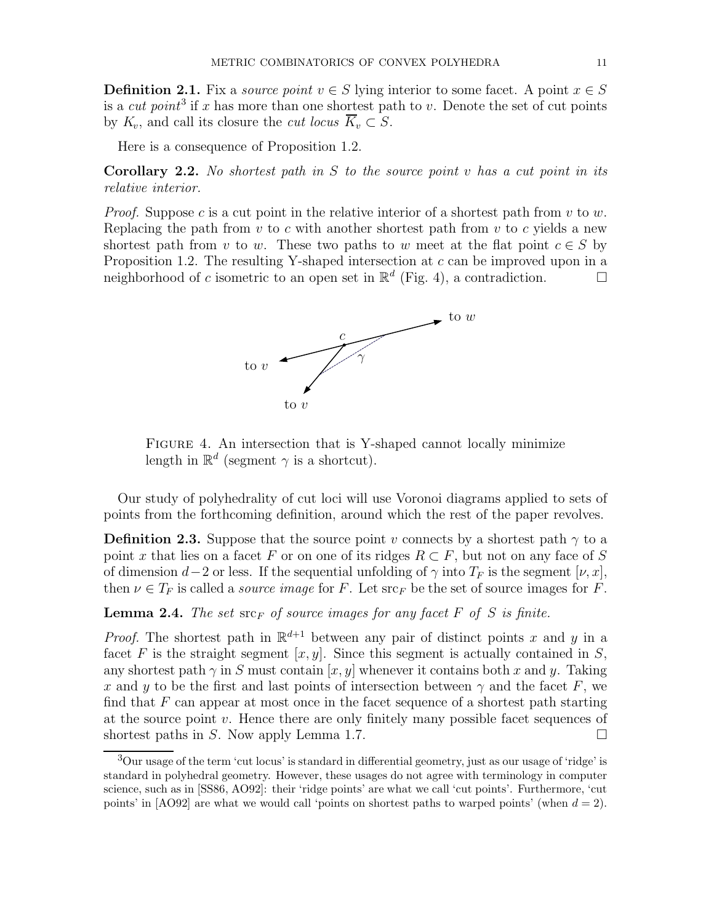**Definition 2.1.** Fix a *source point*  $v \in S$  lying interior to some facet. A point  $x \in S$ is a *cut point*<sup>3</sup> if x has more than one shortest path to v. Denote the set of cut points by  $K_v$ , and call its closure the *cut locus*  $\overline{K}_v \subset S$ .

Here is a consequence of Proposition 1.2.

**Corollary 2.2.** No shortest path in S to the source point v has a cut point in its relative interior.

*Proof.* Suppose c is a cut point in the relative interior of a shortest path from v to w. Replacing the path from v to c with another shortest path from v to c yields a new shortest path from v to w. These two paths to w meet at the flat point  $c \in S$  by Proposition 1.2. The resulting Y-shaped intersection at c can be improved upon in a neighborhood of c isometric to an open set in  $\mathbb{R}^d$  (Fig. 4), a contradiction.



Figure 4. An intersection that is Y-shaped cannot locally minimize length in  $\mathbb{R}^d$  (segment  $\gamma$  is a shortcut).

Our study of polyhedrality of cut loci will use Voronoi diagrams applied to sets of points from the forthcoming definition, around which the rest of the paper revolves.

**Definition 2.3.** Suppose that the source point v connects by a shortest path  $\gamma$  to a point x that lies on a facet F or on one of its ridges  $R \subset F$ , but not on any face of S of dimension  $d-2$  or less. If the sequential unfolding of  $\gamma$  into  $T_F$  is the segment [ $\nu, x$ ], then  $\nu \in T_F$  is called a *source image* for F. Let  $\text{src}_F$  be the set of source images for F.

**Lemma 2.4.** The set  $\text{src}_F$  of source images for any facet  $F$  of  $S$  is finite.

*Proof.* The shortest path in  $\mathbb{R}^{d+1}$  between any pair of distinct points x and y in a facet F is the straight segment  $[x, y]$ . Since this segment is actually contained in S, any shortest path  $\gamma$  in S must contain  $[x, y]$  whenever it contains both x and y. Taking x and y to be the first and last points of intersection between  $\gamma$  and the facet F, we find that  $F$  can appear at most once in the facet sequence of a shortest path starting at the source point v. Hence there are only finitely many possible facet sequences of shortest paths in S. Now apply Lemma 1.7.  $\Box$ 

<sup>3</sup>Our usage of the term 'cut locus' is standard in differential geometry, just as our usage of 'ridge' is standard in polyhedral geometry. However, these usages do not agree with terminology in computer science, such as in [SS86, AO92]: their 'ridge points' are what we call 'cut points'. Furthermore, 'cut points' in [AO92] are what we would call 'points on shortest paths to warped points' (when  $d = 2$ ).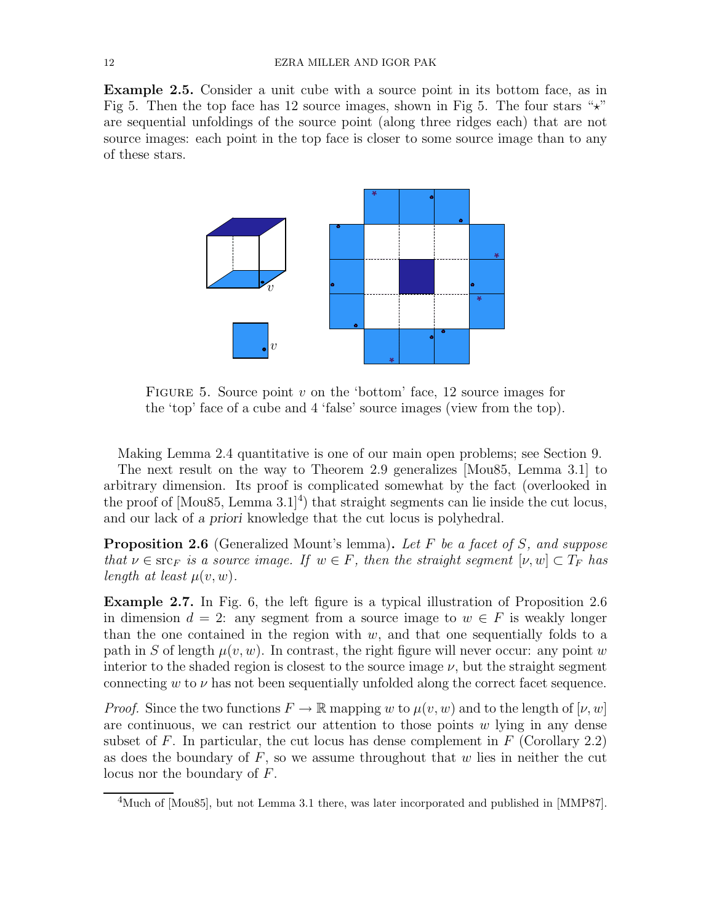Example 2.5. Consider a unit cube with a source point in its bottom face, as in Fig 5. Then the top face has 12 source images, shown in Fig 5. The four stars " $\star$ " are sequential unfoldings of the source point (along three ridges each) that are not source images: each point in the top face is closer to some source image than to any of these stars.



FIGURE 5. Source point  $v$  on the 'bottom' face, 12 source images for the 'top' face of a cube and 4 'false' source images (view from the top).

Making Lemma 2.4 quantitative is one of our main open problems; see Section 9.

The next result on the way to Theorem 2.9 generalizes [Mou85, Lemma 3.1] to arbitrary dimension. Its proof is complicated somewhat by the fact (overlooked in the proof of  $[Mou85, Lemma 3.1]^4$ ) that straight segments can lie inside the cut locus, and our lack of a priori knowledge that the cut locus is polyhedral.

Proposition 2.6 (Generalized Mount's lemma). Let F be a facet of S, and suppose that  $\nu \in \text{src}_F$  is a source image. If  $w \in F$ , then the straight segment  $[\nu, w] \subset T_F$  has length at least  $\mu(v, w)$ .

Example 2.7. In Fig. 6, the left figure is a typical illustration of Proposition 2.6 in dimension  $d = 2$ : any segment from a source image to  $w \in F$  is weakly longer than the one contained in the region with  $w$ , and that one sequentially folds to a path in S of length  $\mu(v, w)$ . In contrast, the right figure will never occur: any point w interior to the shaded region is closest to the source image  $\nu$ , but the straight segment connecting  $w$  to  $\nu$  has not been sequentially unfolded along the correct facet sequence.

*Proof.* Since the two functions  $F \to \mathbb{R}$  mapping w to  $\mu(v, w)$  and to the length of  $[\nu, w]$ are continuous, we can restrict our attention to those points  $w$  lying in any dense subset of F. In particular, the cut locus has dense complement in  $F$  (Corollary 2.2) as does the boundary of  $F$ , so we assume throughout that  $w$  lies in neither the cut locus nor the boundary of F.

<sup>&</sup>lt;sup>4</sup>Much of [Mou85], but not Lemma 3.1 there, was later incorporated and published in [MMP87].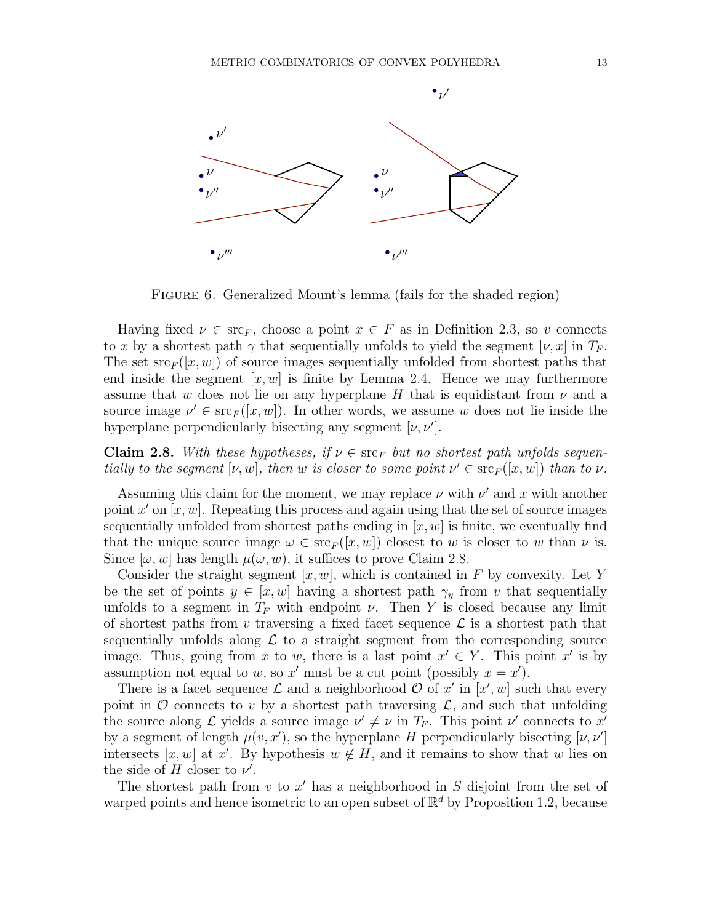

FIGURE 6. Generalized Mount's lemma (fails for the shaded region)

Having fixed  $\nu \in \text{src}_F$ , choose a point  $x \in F$  as in Definition 2.3, so v connects to x by a shortest path  $\gamma$  that sequentially unfolds to yield the segment  $[\nu, x]$  in  $T_F$ . The set  $\text{src}_F([x, w])$  of source images sequentially unfolded from shortest paths that end inside the segment  $[x, w]$  is finite by Lemma 2.4. Hence we may furthermore assume that w does not lie on any hyperplane H that is equidistant from  $\nu$  and a source image  $\nu' \in \text{src}_F([x, w])$ . In other words, we assume w does not lie inside the hyperplane perpendicularly bisecting any segment  $[\nu, \nu']$ .

Claim 2.8. With these hypotheses, if  $\nu \in \text{src}_F$  but no shortest path unfolds sequentially to the segment  $[\nu, w]$ , then w is closer to some point  $\nu' \in \text{src}_F([x, w])$  than to  $\nu$ .

Assuming this claim for the moment, we may replace  $\nu$  with  $\nu'$  and x with another point  $x'$  on  $[x, w]$ . Repeating this process and again using that the set of source images sequentially unfolded from shortest paths ending in  $[x, w]$  is finite, we eventually find that the unique source image  $\omega \in \text{src}_F([x, w])$  closest to w is closer to w than  $\nu$  is. Since  $[\omega, w]$  has length  $\mu(\omega, w)$ , it suffices to prove Claim 2.8.

Consider the straight segment  $[x, w]$ , which is contained in F by convexity. Let Y be the set of points  $y \in [x, w]$  having a shortest path  $\gamma_y$  from v that sequentially unfolds to a segment in  $T_F$  with endpoint  $\nu$ . Then Y is closed because any limit of shortest paths from v traversing a fixed facet sequence  $\mathcal L$  is a shortest path that sequentially unfolds along  $\mathcal L$  to a straight segment from the corresponding source image. Thus, going from x to w, there is a last point  $x' \in Y$ . This point x' is by assumption not equal to w, so x' must be a cut point (possibly  $x = x'$ ).

There is a facet sequence  $\mathcal L$  and a neighborhood  $\mathcal O$  of  $x'$  in  $[x', w]$  such that every point in  $\mathcal O$  connects to v by a shortest path traversing  $\mathcal L$ , and such that unfolding the source along  $\mathcal L$  yields a source image  $\nu' \neq \nu$  in  $T_F$ . This point  $\nu'$  connects to x' by a segment of length  $\mu(v, x')$ , so the hyperplane H perpendicularly bisecting  $[\nu, \nu']$ intersects  $[x, w]$  at x'. By hypothesis  $w \notin H$ , and it remains to show that w lies on the side of H closer to  $\nu'$ .

The shortest path from  $v$  to  $x'$  has a neighborhood in  $S$  disjoint from the set of warped points and hence isometric to an open subset of  $\mathbb{R}^d$  by Proposition 1.2, because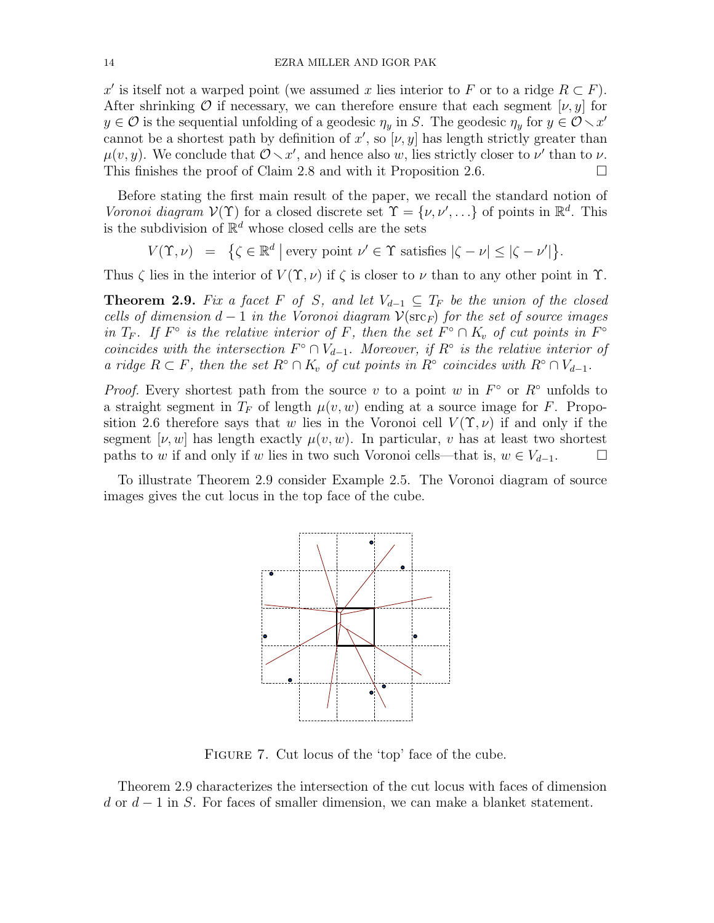$x'$  is itself not a warped point (we assumed x lies interior to F or to a ridge  $R \subset F$ ). After shrinking O if necessary, we can therefore ensure that each segment  $[\nu, y]$  for  $y \in \mathcal{O}$  is the sequential unfolding of a geodesic  $\eta_y$  in S. The geodesic  $\eta_y$  for  $y \in \mathcal{O} \setminus x'$ cannot be a shortest path by definition of x', so  $[\nu, y]$  has length strictly greater than  $\mu(v, y)$ . We conclude that  $\mathcal{O} \setminus x'$ , and hence also w, lies strictly closer to  $\nu'$  than to  $\nu$ . This finishes the proof of Claim 2.8 and with it Proposition 2.6.  $\Box$ 

Before stating the first main result of the paper, we recall the standard notion of Voronoi diagram  $V(\Upsilon)$  for a closed discrete set  $\Upsilon = {\nu, \nu', \ldots}$  of points in  $\mathbb{R}^d$ . This is the subdivision of  $\mathbb{R}^d$  whose closed cells are the sets

$$
V(\Upsilon,\nu) = \{\zeta \in \mathbb{R}^d \mid \text{every point } \nu' \in \Upsilon \text{ satisfies } |\zeta - \nu| \le |\zeta - \nu'| \}.
$$

Thus  $\zeta$  lies in the interior of  $V(\Upsilon, \nu)$  if  $\zeta$  is closer to  $\nu$  than to any other point in  $\Upsilon$ .

**Theorem 2.9.** Fix a facet F of S, and let  $V_{d-1} \subseteq T_F$  be the union of the closed cells of dimension  $d-1$  in the Voronoi diagram  $\mathcal{V}(\text{src}_F)$  for the set of source images in  $T_F$ . If  $F^{\circ}$  is the relative interior of F, then the set  $F^{\circ} \cap K_v$  of cut points in  $F^{\circ}$ coincides with the intersection  $F^{\circ} \cap V_{d-1}$ . Moreover, if  $R^{\circ}$  is the relative interior of a ridge  $R \subset F$ , then the set  $R^{\circ} \cap K_v$  of cut points in  $R^{\circ}$  coincides with  $R^{\circ} \cap V_{d-1}$ .

*Proof.* Every shortest path from the source v to a point w in  $F^{\circ}$  or  $R^{\circ}$  unfolds to a straight segment in  $T_F$  of length  $\mu(v, w)$  ending at a source image for F. Proposition 2.6 therefore says that w lies in the Voronoi cell  $V(\Upsilon, \nu)$  if and only if the segment  $[\nu, w]$  has length exactly  $\mu(v, w)$ . In particular, v has at least two shortest paths to w if and only if w lies in two such Voronoi cells—that is,  $w \in V_{d-1}$ .  $\Box$ 

To illustrate Theorem 2.9 consider Example 2.5. The Voronoi diagram of source images gives the cut locus in the top face of the cube.



FIGURE 7. Cut locus of the 'top' face of the cube.

Theorem 2.9 characterizes the intersection of the cut locus with faces of dimension d or  $d-1$  in S. For faces of smaller dimension, we can make a blanket statement.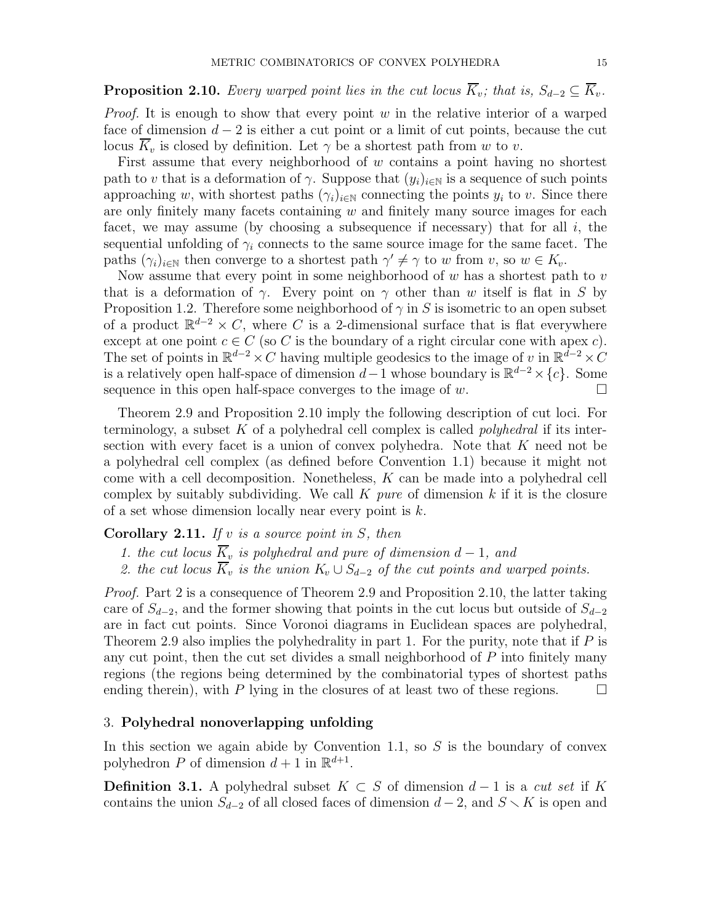# **Proposition 2.10.** Every warped point lies in the cut locus  $\overline{K}_v$ ; that is,  $S_{d-2} \subseteq \overline{K}_v$ .

*Proof.* It is enough to show that every point  $w$  in the relative interior of a warped face of dimension  $d-2$  is either a cut point or a limit of cut points, because the cut locus  $\overline{K}_v$  is closed by definition. Let  $\gamma$  be a shortest path from w to v.

First assume that every neighborhood of  $w$  contains a point having no shortest path to v that is a deformation of  $\gamma$ . Suppose that  $(y_i)_{i\in\mathbb{N}}$  is a sequence of such points approaching w, with shortest paths  $(\gamma_i)_{i\in\mathbb{N}}$  connecting the points  $y_i$  to v. Since there are only finitely many facets containing w and finitely many source images for each facet, we may assume (by choosing a subsequence if necessary) that for all  $i$ , the sequential unfolding of  $\gamma_i$  connects to the same source image for the same facet. The paths  $(\gamma_i)_{i\in\mathbb{N}}$  then converge to a shortest path  $\gamma' \neq \gamma$  to w from v, so  $w \in K_v$ .

Now assume that every point in some neighborhood of  $w$  has a shortest path to  $v$ that is a deformation of  $\gamma$ . Every point on  $\gamma$  other than w itself is flat in S by Proposition 1.2. Therefore some neighborhood of  $\gamma$  in S is isometric to an open subset of a product  $\mathbb{R}^{d-2} \times C$ , where C is a 2-dimensional surface that is flat everywhere except at one point  $c \in C$  (so C is the boundary of a right circular cone with apex c). The set of points in  $\mathbb{R}^{d-2} \times C$  having multiple geodesics to the image of v in  $\mathbb{R}^{\bar{d}-2} \times C$ is a relatively open half-space of dimension  $d-1$  whose boundary is  $\mathbb{R}^{d-2}\times\{c\}$ . Some sequence in this open half-space converges to the image of  $w$ .

Theorem 2.9 and Proposition 2.10 imply the following description of cut loci. For terminology, a subset K of a polyhedral cell complex is called *polyhedral* if its intersection with every facet is a union of convex polyhedra. Note that K need not be a polyhedral cell complex (as defined before Convention 1.1) because it might not come with a cell decomposition. Nonetheless, K can be made into a polyhedral cell complex by suitably subdividing. We call  $K$  pure of dimension  $k$  if it is the closure of a set whose dimension locally near every point is  $k$ .

# **Corollary 2.11.** If v is a source point in  $S$ , then

- 1. the cut locus  $K_v$  is polyhedral and pure of dimension  $d-1$ , and
- 2. the cut locus  $K_v$  is the union  $K_v \cup S_{d-2}$  of the cut points and warped points.

Proof. Part 2 is a consequence of Theorem 2.9 and Proposition 2.10, the latter taking care of  $S_{d-2}$ , and the former showing that points in the cut locus but outside of  $S_{d-2}$ are in fact cut points. Since Voronoi diagrams in Euclidean spaces are polyhedral, Theorem 2.9 also implies the polyhedrality in part 1. For the purity, note that if  $P$  is any cut point, then the cut set divides a small neighborhood of  $P$  into finitely many regions (the regions being determined by the combinatorial types of shortest paths ending therein), with P lying in the closures of at least two of these regions.  $\square$ 

## 3. Polyhedral nonoverlapping unfolding

In this section we again abide by Convention 1.1, so  $S$  is the boundary of convex polyhedron P of dimension  $d+1$  in  $\mathbb{R}^{d+1}$ .

**Definition 3.1.** A polyhedral subset  $K \subset S$  of dimension  $d-1$  is a *cut set* if K contains the union  $S_{d-2}$  of all closed faces of dimension  $d-2$ , and  $S\setminus K$  is open and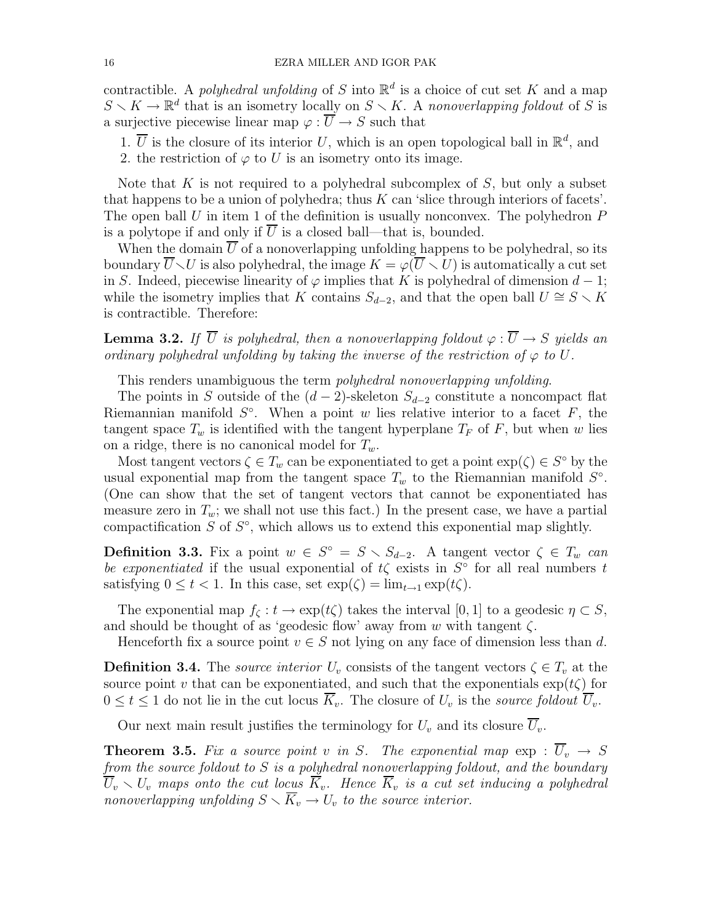contractible. A *polyhedral unfolding* of S into  $\mathbb{R}^d$  is a choice of cut set K and a map  $S \setminus K \to \mathbb{R}^d$  that is an isometry locally on  $S \setminus K$ . A nonoverlapping foldout of S is a surjective piecewise linear map  $\varphi : \overline{U} \to S$  such that

1.  $\overline{U}$  is the closure of its interior U, which is an open topological ball in  $\mathbb{R}^d$ , and 2. the restriction of  $\varphi$  to U is an isometry onto its image.

Note that  $K$  is not required to a polyhedral subcomplex of  $S$ , but only a subset that happens to be a union of polyhedra; thus  $K$  can 'slice through interiors of facets'. The open ball U in item 1 of the definition is usually nonconvex. The polyhedron  $P$ is a polytope if and only if  $\overline{U}$  is a closed ball—that is, bounded.

When the domain  $\overline{U}$  of a nonoverlapping unfolding happens to be polyhedral, so its boundary  $\overline{U} \setminus U$  is also polyhedral, the image  $K = \varphi(\overline{U} \setminus U)$  is automatically a cut set in S. Indeed, piecewise linearity of  $\varphi$  implies that K is polyhedral of dimension  $d-1$ ; while the isometry implies that K contains  $S_{d-2}$ , and that the open ball  $U \cong S \setminus K$ is contractible. Therefore:

**Lemma 3.2.** If  $\overline{U}$  is polyhedral, then a nonoverlapping foldout  $\varphi : \overline{U} \to S$  yields an ordinary polyhedral unfolding by taking the inverse of the restriction of  $\varphi$  to U.

This renders unambiguous the term *polyhedral nonoverlapping unfolding*.

The points in S outside of the  $(d-2)$ -skeleton  $S_{d-2}$  constitute a noncompact flat Riemannian manifold  $S^{\circ}$ . When a point w lies relative interior to a facet F, the tangent space  $T_w$  is identified with the tangent hyperplane  $T_F$  of F, but when w lies on a ridge, there is no canonical model for  $T_w$ .

Most tangent vectors  $\zeta \in T_w$  can be exponentiated to get a point  $\exp(\zeta) \in S^{\circ}$  by the usual exponential map from the tangent space  $T_w$  to the Riemannian manifold  $S^{\circ}$ . (One can show that the set of tangent vectors that cannot be exponentiated has measure zero in  $T_w$ ; we shall not use this fact.) In the present case, we have a partial compactification  $S$  of  $S^{\circ}$ , which allows us to extend this exponential map slightly.

**Definition 3.3.** Fix a point  $w \in S^{\circ} = S \setminus S_{d-2}$ . A tangent vector  $\zeta \in T_w$  can be exponentiated if the usual exponential of  $t\zeta$  exists in  $S^{\circ}$  for all real numbers t satisfying  $0 \le t < 1$ . In this case, set  $\exp(\zeta) = \lim_{t \to 1} \exp(t\zeta)$ .

The exponential map  $f_{\zeta}: t \to \exp(t\zeta)$  takes the interval [0, 1] to a geodesic  $\eta \subset S$ , and should be thought of as 'geodesic flow' away from w with tangent  $\zeta$ .

Henceforth fix a source point  $v \in S$  not lying on any face of dimension less than d.

**Definition 3.4.** The *source interior*  $U_v$  consists of the tangent vectors  $\zeta \in T_v$  at the source point v that can be exponentiated, and such that the exponentials  $\exp(t\zeta)$  for  $0 \leq t \leq 1$  do not lie in the cut locus  $\overline{K}_v$ . The closure of  $U_v$  is the source foldout  $\overline{U}_v$ .

Our next main result justifies the terminology for  $U_v$  and its closure  $\overline{U}_v$ .

**Theorem 3.5.** Fix a source point v in S. The exponential map  $\exp : \overline{U}_v \to S$ from the source foldout to S is a polyhedral nonoverlapping foldout, and the boundary  $\overline{U}_v \setminus U_v$  maps onto the cut locus  $\overline{K}_v$ . Hence  $\overline{K}_v$  is a cut set inducing a polyhedral nonoverlapping unfolding  $S \setminus \overline{K_v} \to U_v$  to the source interior.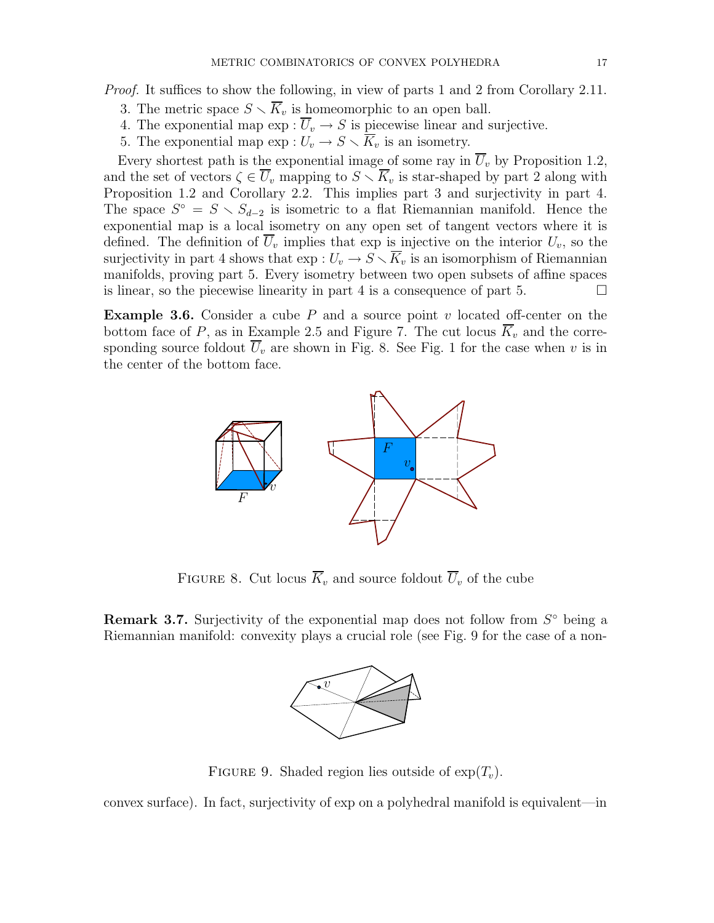Proof. It suffices to show the following, in view of parts 1 and 2 from Corollary 2.11.

- 3. The metric space  $S \setminus \overline{K}_v$  is homeomorphic to an open ball.
- 4. The exponential map  $\exp : \overline{U}_v \to S$  is piecewise linear and surjective.
- 5. The exponential map  $\exp: U_v \to S \setminus \overline{K}_v$  is an isometry.

Every shortest path is the exponential image of some ray in  $\overline{U}_v$  by Proposition 1.2, and the set of vectors  $\zeta \in \overline{U}_v$  mapping to  $S \setminus \overline{K}_v$  is star-shaped by part 2 along with Proposition 1.2 and Corollary 2.2. This implies part 3 and surjectivity in part 4. The space  $S^{\circ} = S \setminus S_{d-2}$  is isometric to a flat Riemannian manifold. Hence the exponential map is a local isometry on any open set of tangent vectors where it is defined. The definition of  $\overline{U}_v$  implies that exp is injective on the interior  $U_v$ , so the surjectivity in part 4 shows that  $\exp: U_v \to S \setminus \overline{K}_v$  is an isomorphism of Riemannian manifolds, proving part 5. Every isometry between two open subsets of affine spaces is linear, so the piecewise linearity in part 4 is a consequence of part 5.  $\Box$ 

**Example 3.6.** Consider a cube  $P$  and a source point  $v$  located off-center on the bottom face of P, as in Example 2.5 and Figure 7. The cut locus  $\overline{K}_v$  and the corresponding source foldout  $\overline{U}_v$  are shown in Fig. 8. See Fig. 1 for the case when v is in the center of the bottom face.



FIGURE 8. Cut locus  $\overline{K}_v$  and source foldout  $\overline{U}_v$  of the cube

**Remark 3.7.** Surjectivity of the exponential map does not follow from  $S^{\circ}$  being a Riemannian manifold: convexity plays a crucial role (see Fig. 9 for the case of a non-



FIGURE 9. Shaded region lies outside of  $\exp(T_v)$ .

convex surface). In fact, surjectivity of exp on a polyhedral manifold is equivalent—in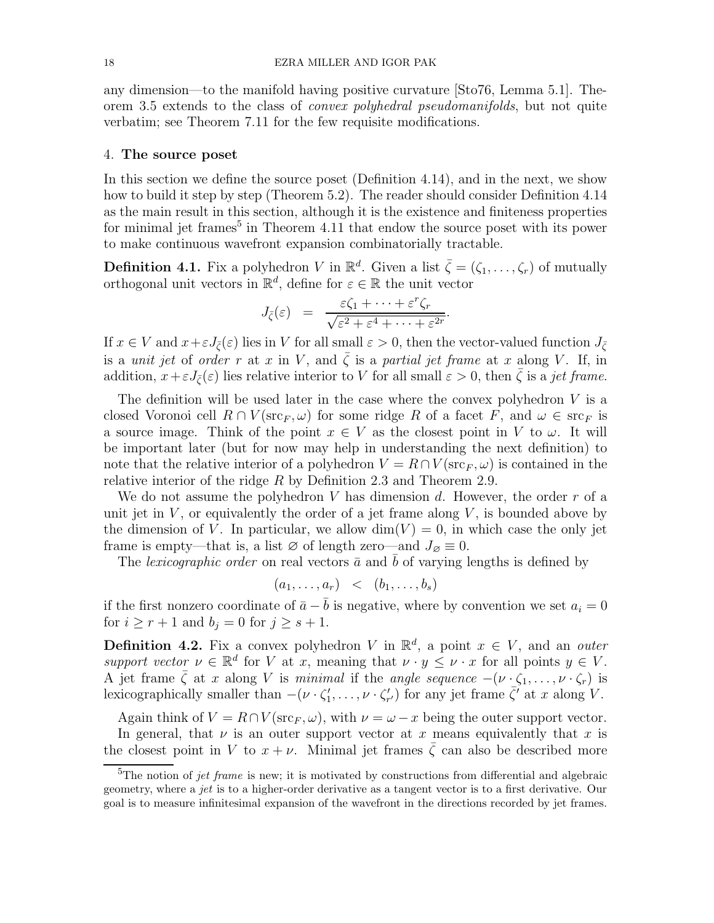any dimension—to the manifold having positive curvature [Sto76, Lemma 5.1]. Theorem 3.5 extends to the class of convex polyhedral pseudomanifolds, but not quite verbatim; see Theorem 7.11 for the few requisite modifications.

### 4. The source poset

In this section we define the source poset (Definition 4.14), and in the next, we show how to build it step by step (Theorem 5.2). The reader should consider Definition 4.14 as the main result in this section, although it is the existence and finiteness properties for minimal jet frames<sup>5</sup> in Theorem 4.11 that endow the source poset with its power to make continuous wavefront expansion combinatorially tractable.

**Definition 4.1.** Fix a polyhedron V in  $\mathbb{R}^d$ . Given a list  $\bar{\zeta} = (\zeta_1, \ldots, \zeta_r)$  of mutually orthogonal unit vectors in  $\mathbb{R}^d$ , define for  $\varepsilon \in \mathbb{R}$  the unit vector

$$
J_{\bar{\zeta}}(\varepsilon) = \frac{\varepsilon \zeta_1 + \dots + \varepsilon^r \zeta_r}{\sqrt{\varepsilon^2 + \varepsilon^4 + \dots + \varepsilon^{2r}}}.
$$

If  $x \in V$  and  $x + \varepsilon J_{\overline{\zeta}}(\varepsilon)$  lies in V for all small  $\varepsilon > 0$ , then the vector-valued function  $J_{\overline{\zeta}}$ is a *unit jet* of *order* r at x in V, and  $\overline{\zeta}$  is a partial jet frame at x along V. If, in addition,  $x+\varepsilon J_{\overline{\varepsilon}}(\varepsilon)$  lies relative interior to V for all small  $\varepsilon > 0$ , then  $\zeta$  is a jet frame.

The definition will be used later in the case where the convex polyhedron  $V$  is a closed Voronoi cell  $R \cap V(\text{src}_F, \omega)$  for some ridge R of a facet F, and  $\omega \in \text{src}_F$  is a source image. Think of the point  $x \in V$  as the closest point in V to  $\omega$ . It will be important later (but for now may help in understanding the next definition) to note that the relative interior of a polyhedron  $V = R \cap V(\text{src}_F, \omega)$  is contained in the relative interior of the ridge R by Definition 2.3 and Theorem 2.9.

We do not assume the polyhedron V has dimension d. However, the order  $r$  of a unit jet in  $V$ , or equivalently the order of a jet frame along  $V$ , is bounded above by the dimension of V. In particular, we allow  $\dim(V) = 0$ , in which case the only jet frame is empty—that is, a list  $\varnothing$  of length zero—and  $J_{\varnothing} \equiv 0$ .

The *lexicographic order* on real vectors  $\bar{a}$  and  $\bar{b}$  of varying lengths is defined by

$$
(a_1,\ldots,a_r) \quad < \quad (b_1,\ldots,b_s)
$$

if the first nonzero coordinate of  $\bar{a} - \bar{b}$  is negative, where by convention we set  $a_i = 0$ for  $i \geq r+1$  and  $b_j = 0$  for  $j \geq s+1$ .

**Definition 4.2.** Fix a convex polyhedron V in  $\mathbb{R}^d$ , a point  $x \in V$ , and an outer support vector  $\nu \in \mathbb{R}^d$  for V at x, meaning that  $\nu \cdot y \leq \nu \cdot x$  for all points  $y \in V$ . A jet frame  $\bar{\zeta}$  at x along V is minimal if the angle sequence  $-(\nu \cdot \zeta_1, \ldots, \nu \cdot \zeta_r)$  is lexicographically smaller than  $-(\nu \cdot \zeta_1', \ldots, \nu \cdot \zeta_{r'}')$  for any jet frame  $\bar{\zeta}'$  at x along V.

Again think of  $V = R \cap V(\text{src}_F, \omega)$ , with  $\nu = \omega - x$  being the outer support vector.

In general, that  $\nu$  is an outer support vector at x means equivalently that x is the closest point in V to  $x + \nu$ . Minimal jet frames  $\overline{\zeta}$  can also be described more

 ${}^{5}$ The notion of *jet frame* is new; it is motivated by constructions from differential and algebraic geometry, where a jet is to a higher-order derivative as a tangent vector is to a first derivative. Our goal is to measure infinitesimal expansion of the wavefront in the directions recorded by jet frames.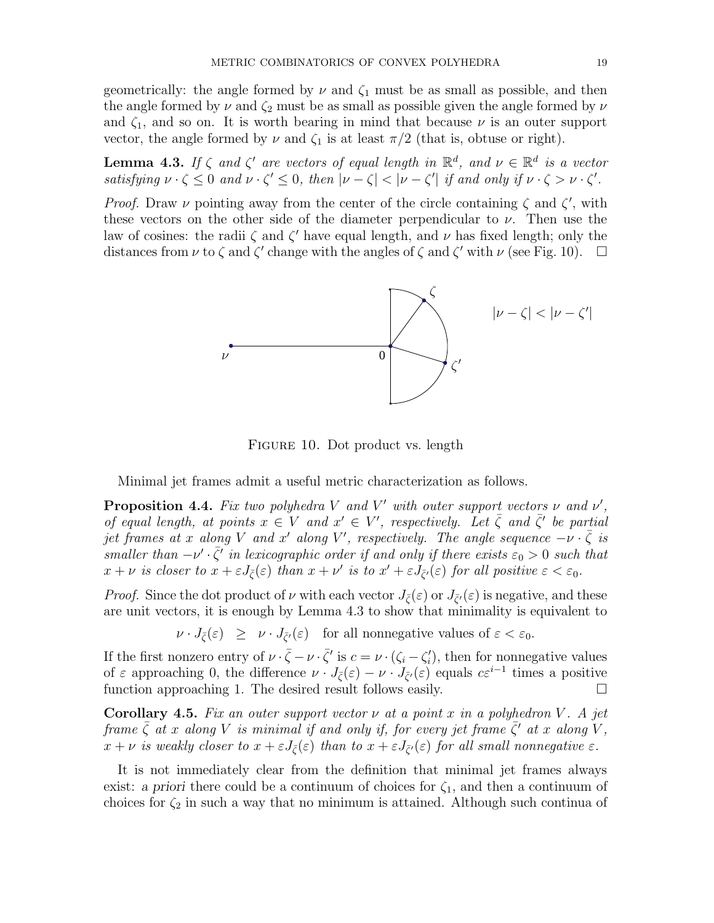geometrically: the angle formed by  $\nu$  and  $\zeta_1$  must be as small as possible, and then the angle formed by  $\nu$  and  $\zeta_2$  must be as small as possible given the angle formed by  $\nu$ and  $\zeta_1$ , and so on. It is worth bearing in mind that because  $\nu$  is an outer support vector, the angle formed by  $\nu$  and  $\zeta_1$  is at least  $\pi/2$  (that is, obtuse or right).

**Lemma 4.3.** If  $\zeta$  and  $\zeta'$  are vectors of equal length in  $\mathbb{R}^d$ , and  $\nu \in \mathbb{R}^d$  is a vector satisfying  $\nu \cdot \zeta \leq 0$  and  $\nu \cdot \zeta' \leq 0$ , then  $|\nu - \zeta| < |\nu - \zeta'|$  if and only if  $\nu \cdot \zeta > \nu \cdot \zeta'$ .

*Proof.* Draw  $\nu$  pointing away from the center of the circle containing  $\zeta$  and  $\zeta'$ , with these vectors on the other side of the diameter perpendicular to  $\nu$ . Then use the law of cosines: the radii  $\zeta$  and  $\zeta'$  have equal length, and  $\nu$  has fixed length; only the distances from  $\nu$  to  $\zeta$  and  $\zeta'$  change with the angles of  $\zeta$  and  $\zeta'$  with  $\nu$  (see Fig. 10).  $\Box$ 



FIGURE 10. Dot product vs. length

Minimal jet frames admit a useful metric characterization as follows.

**Proposition 4.4.** Fix two polyhedra V and V' with outer support vectors  $\nu$  and  $\nu'$ , of equal length, at points  $x \in V$  and  $x' \in V'$ , respectively. Let  $\overline{\zeta}$  and  $\overline{\zeta}'$  be partial jet frames at x along V and x' along V', respectively. The angle sequence  $-\nu \cdot \bar{\zeta}$  is  $Smaller than -\nu' \cdot \bar{\zeta}'$  in lexicographic order if and only if there exists  $\varepsilon_0 > 0$  such that  $x + \nu$  is closer to  $x + \varepsilon J_{\overline{\zeta}}(\varepsilon)$  than  $x + \nu'$  is to  $x' + \varepsilon J_{\overline{\zeta'}}(\varepsilon)$  for all positive  $\varepsilon < \varepsilon_0$ .

*Proof.* Since the dot product of  $\nu$  with each vector  $J_{\bar{\zeta}}(\varepsilon)$  or  $J_{\bar{\zeta}'}(\varepsilon)$  is negative, and these are unit vectors, it is enough by Lemma 4.3 to show that minimality is equivalent to

 $\nu \cdot J_{\bar{\zeta}}(\varepsilon) \geq \nu \cdot J_{\bar{\zeta}'}(\varepsilon)$  for all nonnegative values of  $\varepsilon < \varepsilon_0$ .

If the first nonzero entry of  $\nu \cdot \bar{\zeta} - \nu \cdot \bar{\zeta}'$  is  $c = \nu \cdot (\zeta_i - \zeta'_i)$ , then for nonnegative values of  $\varepsilon$  approaching 0, the difference  $\nu \cdot J_{\bar{\zeta}}(\varepsilon) - \nu \cdot J_{\bar{\zeta}'}(\varepsilon)$  equals  $c \varepsilon^{i-1}$  times a positive function approaching 1. The desired result follows easily.  $\Box$ 

Corollary 4.5. Fix an outer support vector  $\nu$  at a point x in a polyhedron V. A jet frame  $\bar{\zeta}$  at x along V is minimal if and only if, for every jet frame  $\bar{\zeta}'$  at x along V,  $x+\nu$  is weakly closer to  $x+\varepsilon J_{\bar{\zeta}}(\varepsilon)$  than to  $x+\varepsilon J_{\bar{\zeta}'}(\varepsilon)$  for all small nonnegative  $\varepsilon$ .

It is not immediately clear from the definition that minimal jet frames always exist: a priori there could be a continuum of choices for  $\zeta_1$ , and then a continuum of choices for  $\zeta_2$  in such a way that no minimum is attained. Although such continua of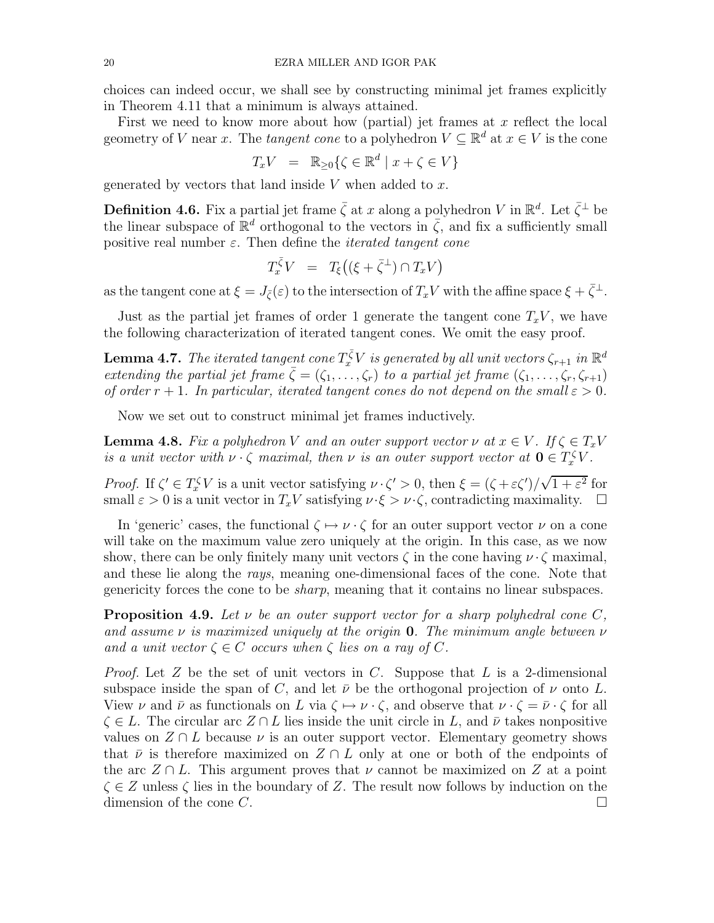choices can indeed occur, we shall see by constructing minimal jet frames explicitly in Theorem 4.11 that a minimum is always attained.

First we need to know more about how (partial) jet frames at  $x$  reflect the local geometry of V near x. The *tangent cone* to a polyhedron  $V \subseteq \mathbb{R}^d$  at  $x \in V$  is the cone

$$
T_xV = \mathbb{R}_{\geq 0}\{\zeta \in \mathbb{R}^d \mid x + \zeta \in V\}
$$

generated by vectors that land inside  $V$  when added to  $x$ .

**Definition 4.6.** Fix a partial jet frame  $\bar{\zeta}$  at x along a polyhedron V in  $\mathbb{R}^d$ . Let  $\bar{\zeta}^{\perp}$  be the linear subspace of  $\mathbb{R}^d$  orthogonal to the vectors in  $\overline{\zeta}$ , and fix a sufficiently small positive real number  $\varepsilon$ . Then define the *iterated tangent cone* 

$$
T_x^{\bar{\zeta}}V = T_{\xi}((\xi + \bar{\zeta}^{\perp}) \cap T_xV)
$$

as the tangent cone at  $\xi = J_{\bar{\zeta}}(\varepsilon)$  to the intersection of  $T_xV$  with the affine space  $\xi + \bar{\zeta}^{\perp}$ .

Just as the partial jet frames of order 1 generate the tangent cone  $T_xV$ , we have the following characterization of iterated tangent cones. We omit the easy proof.

**Lemma 4.7.** The iterated tangent cone  $T_x^{\bar{\zeta}}V$  is generated by all unit vectors  $\zeta_{r+1}$  in  $\mathbb{R}^d$ extending the partial jet frame  $\bar{\zeta} = (\zeta_1, \ldots, \zeta_r)$  to a partial jet frame  $(\zeta_1, \ldots, \zeta_r, \zeta_{r+1})$ of order  $r + 1$ . In particular, iterated tangent cones do not depend on the small  $\varepsilon > 0$ .

Now we set out to construct minimal jet frames inductively.

**Lemma 4.8.** Fix a polyhedron V and an outer support vector  $\nu$  at  $x \in V$ . If  $\zeta \in T_xV$ is a unit vector with  $\nu \cdot \zeta$  maximal, then  $\nu$  is an outer support vector at  $\mathbf{0} \in T_x^{\zeta}V$ .

Proof. If  $\zeta' \in T_x^{\zeta} V$  is a unit vector satisfying  $\nu \cdot \zeta' > 0$ , then  $\xi = (\zeta + \varepsilon \zeta')/\sqrt{1 + \varepsilon^2}$  for small  $\varepsilon > 0$  is a unit vector in  $T_x V$  satisfying  $\nu \cdot \xi > \nu \cdot \zeta$ , contradicting maximality.  $\Box$ 

In 'generic' cases, the functional  $\zeta \mapsto \nu \cdot \zeta$  for an outer support vector  $\nu$  on a cone will take on the maximum value zero uniquely at the origin. In this case, as we now show, there can be only finitely many unit vectors  $\zeta$  in the cone having  $\nu \cdot \zeta$  maximal, and these lie along the rays, meaning one-dimensional faces of the cone. Note that genericity forces the cone to be sharp, meaning that it contains no linear subspaces.

**Proposition 4.9.** Let  $\nu$  be an outer support vector for a sharp polyhedral cone C, and assume  $\nu$  is maximized uniquely at the origin **0**. The minimum angle between  $\nu$ and a unit vector  $\zeta \in C$  occurs when  $\zeta$  lies on a ray of C.

*Proof.* Let  $Z$  be the set of unit vectors in  $C$ . Suppose that  $L$  is a 2-dimensional subspace inside the span of C, and let  $\bar{\nu}$  be the orthogonal projection of  $\nu$  onto L. View  $\nu$  and  $\bar{\nu}$  as functionals on L via  $\zeta \mapsto \nu \cdot \zeta$ , and observe that  $\nu \cdot \zeta = \bar{\nu} \cdot \zeta$  for all  $\zeta \in L$ . The circular arc  $Z \cap L$  lies inside the unit circle in L, and  $\bar{\nu}$  takes nonpositive values on  $Z \cap L$  because  $\nu$  is an outer support vector. Elementary geometry shows that  $\bar{\nu}$  is therefore maximized on  $Z \cap L$  only at one or both of the endpoints of the arc  $Z \cap L$ . This argument proves that  $\nu$  cannot be maximized on Z at a point  $\zeta \in Z$  unless  $\zeta$  lies in the boundary of Z. The result now follows by induction on the dimension of the cone C. dimension of the cone C.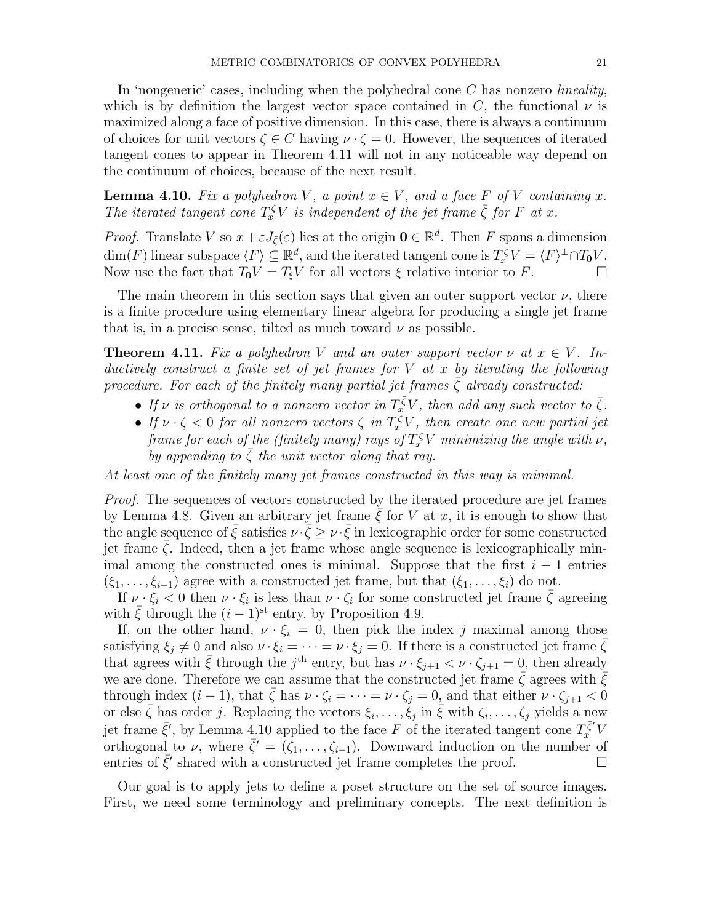In 'nongeneric' cases, including when the polyhedral cone  $C$  has nonzero *lineality*, which is by definition the largest vector space contained in C, the functional  $\nu$  is maximized along a face of positive dimension. In this case, there is always a continuum of choices for unit vectors  $\zeta \in C$  having  $\nu \cdot \zeta = 0$ . However, the sequences of iterated

the continuum of choices, because of the next result. **Lemma 4.10.** Fix a polyhedron V, a point  $x \in V$ , and a face F of V containing x.

tangent cones to appear in Theorem 4.11 will not in any noticeable way depend on

The iterated tangent cone  $T_x^{\bar{\zeta}}V$  is independent of the jet frame  $\bar{\zeta}$  for F at x.

*Proof.* Translate V so  $x + \varepsilon J_{\overline{\zeta}}(\varepsilon)$  lies at the origin  $\mathbf{0} \in \mathbb{R}^d$ . Then F spans a dimension  $\dim(F)$  linear subspace  $\langle F \rangle \subseteq \mathbb{R}^d$ , and the iterated tangent cone is  $T_x^{\bar{\zeta}}V = \langle F \rangle^{\perp} \cap T_0V$ . Now use the fact that  $T_0V = T_{\xi}V$  for all vectors  $\xi$  relative interior to F.

The main theorem in this section says that given an outer support vector  $\nu$ , there is a finite procedure using elementary linear algebra for producing a single jet frame that is, in a precise sense, tilted as much toward  $\nu$  as possible.

**Theorem 4.11.** Fix a polyhedron V and an outer support vector  $\nu$  at  $x \in V$ . Inductively construct a finite set of jet frames for V at x by iterating the following procedure. For each of the finitely many partial jet frames  $\zeta$  already constructed:

- If  $\nu$  is orthogonal to a nonzero vector in  $T_{\frac{\bar{x}}{2}}^{\bar{\zeta}}V$ , then add any such vector to  $\bar{\zeta}$ .
- If  $\nu \cdot \zeta < 0$  for all nonzero vectors  $\zeta$  in  $T_x^{\bar{\zeta}} V$ , then create one new partial jet frame for each of the (finitely many) rays of  $T_x^{\bar{\zeta}}V$  minimizing the angle with  $\nu,$ by appending to  $\zeta$  the unit vector along that ray.

At least one of the finitely many jet frames constructed in this way is minimal.

Proof. The sequences of vectors constructed by the iterated procedure are jet frames by Lemma 4.8. Given an arbitrary jet frame  $\xi$  for V at x, it is enough to show that the angle sequence of  $\bar{\xi}$  satisfies  $\nu \cdot \bar{\zeta} \geq \nu \cdot \bar{\xi}$  in lexicographic order for some constructed jet frame  $\zeta$ . Indeed, then a jet frame whose angle sequence is lexicographically minimal among the constructed ones is minimal. Suppose that the first  $i - 1$  entries  $(\xi_1, \ldots, \xi_{i-1})$  agree with a constructed jet frame, but that  $(\xi_1, \ldots, \xi_i)$  do not.

If  $\nu \cdot \xi_i < 0$  then  $\nu \cdot \xi_i$  is less than  $\nu \cdot \zeta_i$  for some constructed jet frame  $\bar{\zeta}$  agreeing with  $\bar{\xi}$  through the  $(i - 1)$ <sup>st</sup> entry, by Proposition 4.9.

If, on the other hand,  $\nu \cdot \xi_i = 0$ , then pick the index j maximal among those satisfying  $\xi_i \neq 0$  and also  $\nu \cdot \xi_i = \cdots = \nu \cdot \xi_j = 0$ . If there is a constructed jet frame  $\overline{\zeta}$ that agrees with  $\bar{\xi}$  through the j<sup>th</sup> entry, but has  $\nu \cdot \xi_{j+1} < \nu \cdot \zeta_{j+1} = 0$ , then already we are done. Therefore we can assume that the constructed jet frame  $\zeta$  agrees with  $\xi$ through index  $(i-1)$ , that  $\overline{\zeta}$  has  $\nu \cdot \zeta_i = \cdots = \nu \cdot \zeta_i = 0$ , and that either  $\nu \cdot \zeta_{i+1} < 0$ or else  $\bar{\zeta}$  has order j. Replacing the vectors  $\xi_i, \ldots, \xi_j$  in  $\bar{\xi}$  with  $\zeta_i, \ldots, \zeta_j$  yields a new jet frame  $\bar{\xi}'$ , by Lemma 4.10 applied to the face F of the iterated tangent cone  $T_x^{\bar{\zeta}'}$ orthogonal to  $\nu$ , where  $\bar{\zeta}' = (\zeta_1, \ldots, \zeta_{i-1})$ . Downward induction on the number of entries of  $\bar{\xi}'$  shared with a constructed jet frame completes the proof.

Our goal is to apply jets to define a poset structure on the set of source images. First, we need some terminology and preliminary concepts. The next definition is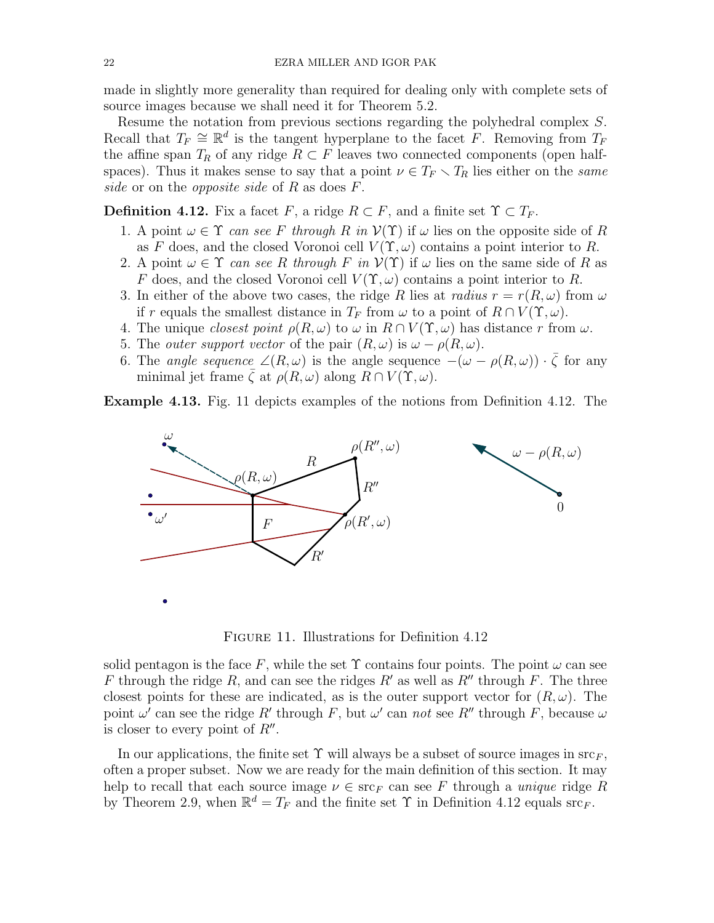made in slightly more generality than required for dealing only with complete sets of source images because we shall need it for Theorem 5.2.

Resume the notation from previous sections regarding the polyhedral complex S. Recall that  $T_F \cong \mathbb{R}^d$  is the tangent hyperplane to the facet F. Removing from  $T_F$ the affine span  $T_R$  of any ridge  $R \subset F$  leaves two connected components (open halfspaces). Thus it makes sense to say that a point  $\nu \in T_F \setminus T_R$  lies either on the same side or on the *opposite side* of R as does  $F$ .

**Definition 4.12.** Fix a facet F, a ridge  $R \subset F$ , and a finite set  $\Upsilon \subset T_F$ .

- 1. A point  $\omega \in \Upsilon$  can see F through R in  $V(\Upsilon)$  if  $\omega$  lies on the opposite side of R as F does, and the closed Voronoi cell  $V(\Upsilon, \omega)$  contains a point interior to R.
- 2. A point  $\omega \in \Upsilon$  can see R through F in  $V(\Upsilon)$  if  $\omega$  lies on the same side of R as F does, and the closed Voronoi cell  $V(\Upsilon,\omega)$  contains a point interior to R.
- 3. In either of the above two cases, the ridge R lies at radius  $r = r(R, \omega)$  from  $\omega$ if r equals the smallest distance in  $T_F$  from  $\omega$  to a point of  $R \cap V(\Upsilon, \omega)$ .
- 4. The unique *closest point*  $\rho(R,\omega)$  to  $\omega$  in  $R \cap V(\Upsilon,\omega)$  has distance r from  $\omega$ .
- 5. The *outer support vector* of the pair  $(R, \omega)$  is  $\omega \rho(R, \omega)$ .
- 6. The *angle sequence* ∠( $R, \omega$ ) is the angle sequence  $-(\omega \rho(R, \omega)) \cdot \bar{\zeta}$  for any minimal jet frame  $\overline{\zeta}$  at  $\rho(R,\omega)$  along  $R \cap V(\Upsilon,\omega)$ .

Example 4.13. Fig. 11 depicts examples of the notions from Definition 4.12. The PSfrag replacements



Figure 11. Illustrations for Definition 4.12

solid pentagon is the face F, while the set  $\Upsilon$  contains four points. The point  $\omega$  can see F through the ridge R, and can see the ridges R' as well as R'' through F. The three closest points for these are indicated, as is the outer support vector for  $(R, \omega)$ . The point  $\omega'$  can see the ridge R' through F, but  $\omega'$  can not see R'' through F, because  $\omega$ is closer to every point of  $R''$ .

In our applications, the finite set  $\Upsilon$  will always be a subset of source images in src<sub>F</sub>, often a proper subset. Now we are ready for the main definition of this section. It may help to recall that each source image  $\nu \in \text{src}_F$  can see F through a unique ridge R by Theorem 2.9, when  $\mathbb{R}^d = T_F$  and the finite set  $\Upsilon$  in Definition 4.12 equals src<sub>F</sub>.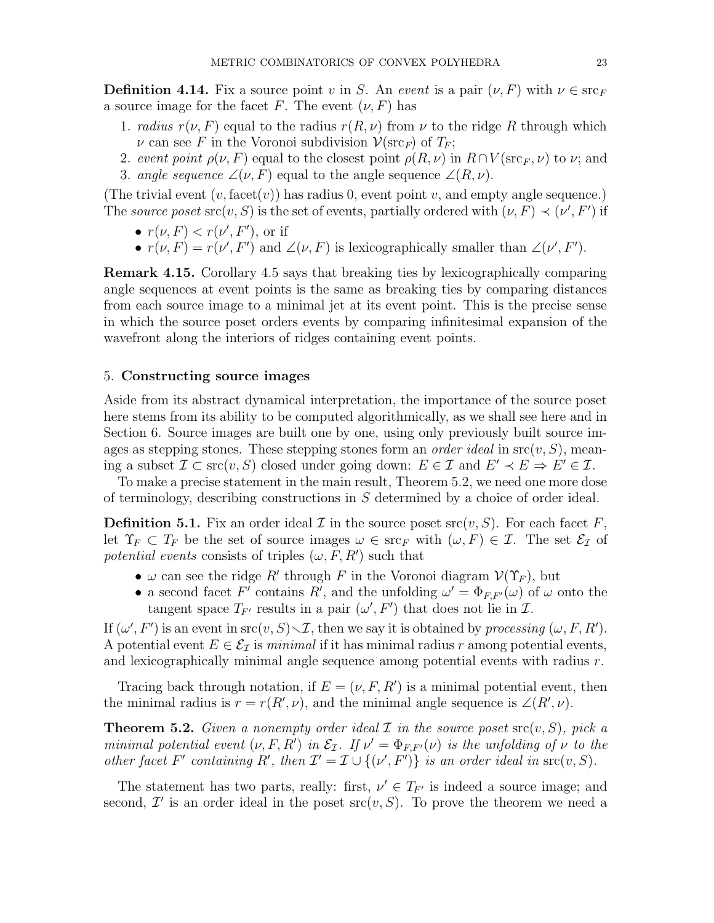- 1. radius  $r(\nu, F)$  equal to the radius  $r(R, \nu)$  from  $\nu$  to the ridge R through which  $\nu$  can see F in the Voronoi subdivision  $\mathcal{V}(\text{src}_F)$  of  $T_F$ ;
- 2. event point  $\rho(\nu, F)$  equal to the closest point  $\rho(R, \nu)$  in  $R \cap V(\text{src}_F, \nu)$  to  $\nu$ ; and 3. angle sequence  $\angle(\nu, F)$  equal to the angle sequence  $\angle(R, \nu)$ .
- 

(The trivial event  $(v, \text{facet}(v))$  has radius 0, event point v, and empty angle sequence.) The source poset  $\mathrm{src}(v, S)$  is the set of events, partially ordered with  $(\nu, F) \prec (\nu', F')$  if

- $r(\nu, F) < r(\nu', F')$ , or if
- $r(\nu, F) = r(\nu', F')$  and  $\angle(\nu, F)$  is lexicographically smaller than  $\angle(\nu', F')$ .

Remark 4.15. Corollary 4.5 says that breaking ties by lexicographically comparing angle sequences at event points is the same as breaking ties by comparing distances from each source image to a minimal jet at its event point. This is the precise sense in which the source poset orders events by comparing infinitesimal expansion of the wavefront along the interiors of ridges containing event points.

# 5. Constructing source images

Aside from its abstract dynamical interpretation, the importance of the source poset here stems from its ability to be computed algorithmically, as we shall see here and in Section 6. Source images are built one by one, using only previously built source images as stepping stones. These stepping stones form an *order ideal* in  $src(v, S)$ , meaning a subset  $\mathcal{I} \subset \text{src}(v, S)$  closed under going down:  $E \in \mathcal{I}$  and  $E' \prec E \Rightarrow E' \in \mathcal{I}$ .

To make a precise statement in the main result, Theorem 5.2, we need one more dose of terminology, describing constructions in S determined by a choice of order ideal.

**Definition 5.1.** Fix an order ideal  $\mathcal I$  in the source poset  $\text{src}(v, S)$ . For each facet F, let  $\Upsilon_F \subset T_F$  be the set of source images  $\omega \in \text{src}_F$  with  $(\omega, F) \in \mathcal{I}$ . The set  $\mathcal{E}_{\mathcal{I}}$  of potential events consists of triples  $(\omega, F, R')$  such that

- $\omega$  can see the ridge R' through F in the Voronoi diagram  $\mathcal{V}(\Upsilon_F)$ , but
- a second facet F' contains R', and the unfolding  $\omega' = \Phi_{F,F'}(\omega)$  of  $\omega$  onto the tangent space  $T_{F'}$  results in a pair  $(\omega', F')$  that does not lie in  $\mathcal{I}$ .

If  $(\omega', F')$  is an event in  $src(v, S) \setminus \mathcal{I}$ , then we say it is obtained by *processing*  $(\omega, F, R')$ . A potential event  $E \in \mathcal{E}_{\mathcal{I}}$  is minimal if it has minimal radius r among potential events, and lexicographically minimal angle sequence among potential events with radius r.

Tracing back through notation, if  $E = (\nu, F, R')$  is a minimal potential event, then the minimal radius is  $r = r(R', \nu)$ , and the minimal angle sequence is  $\angle(R', \nu)$ .

**Theorem 5.2.** Given a nonempty order ideal  $\mathcal I$  in the source poset  $\text{src}(v, S)$ , pick a minimal potential event  $(\nu, F, R')$  in  $\mathcal{E}_{\mathcal{I}}$ . If  $\nu' = \Phi_{F,F'}(\nu)$  is the unfolding of  $\nu$  to the other facet F' containing R', then  $\mathcal{I}' = \mathcal{I} \cup \{(\nu', F')\}$  is an order ideal in  $\text{src}(v, S)$ .

The statement has two parts, really: first,  $\nu' \in T_{F'}$  is indeed a source image; and second,  $\mathcal{I}'$  is an order ideal in the poset  $src(v, S)$ . To prove the theorem we need a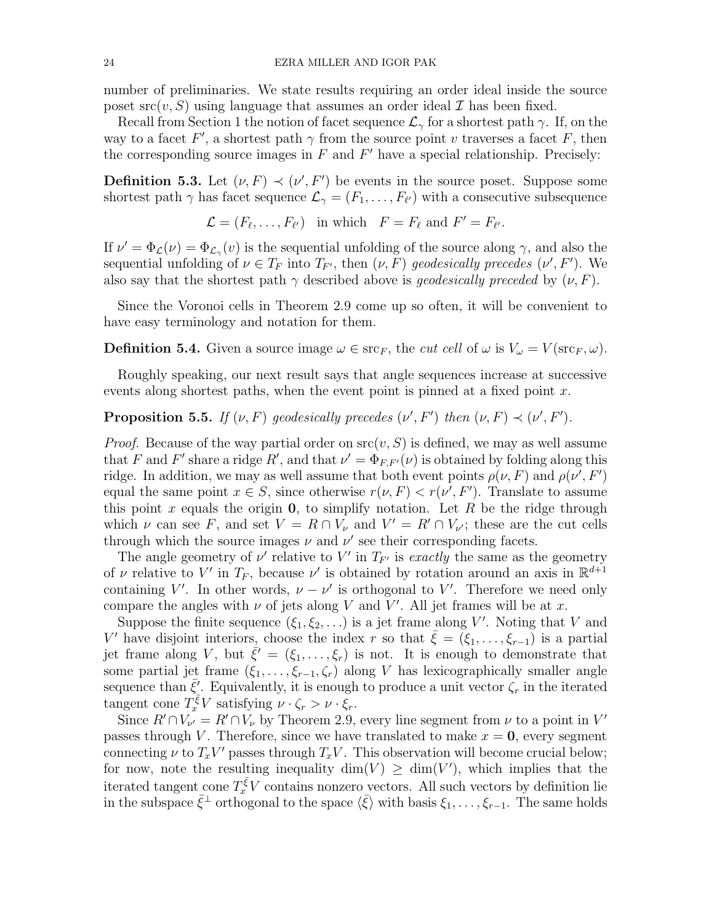number of preliminaries. We state results requiring an order ideal inside the source poset  $src(v, S)$  using language that assumes an order ideal  $\mathcal I$  has been fixed.

Recall from Section 1 the notion of facet sequence  $\mathcal{L}_{\gamma}$  for a shortest path  $\gamma$ . If, on the way to a facet  $F'$ , a shortest path  $\gamma$  from the source point v traverses a facet F, then the corresponding source images in  $F$  and  $F'$  have a special relationship. Precisely:

**Definition 5.3.** Let  $(\nu, F) \prec (\nu', F')$  be events in the source poset. Suppose some shortest path  $\gamma$  has facet sequence  $\mathcal{L}_{\gamma} = (F_1, \ldots, F_{\ell'})$  with a consecutive subsequence

$$
\mathcal{L} = (F_{\ell}, \dots, F_{\ell'})
$$
 in which  $F = F_{\ell}$  and  $F' = F_{\ell'}$ .

If  $\nu' = \Phi_{\mathcal{L}}(\nu) = \Phi_{\mathcal{L}_{\gamma}}(\nu)$  is the sequential unfolding of the source along  $\gamma$ , and also the sequential unfolding of  $\nu \in T_F$  into  $T_{F'}$ , then  $(\nu, F)$  geodesically precedes  $(\nu', F')$ . We also say that the shortest path  $\gamma$  described above is *geodesically preceded* by  $(\nu, F)$ .

Since the Voronoi cells in Theorem 2.9 come up so often, it will be convenient to have easy terminology and notation for them.

**Definition 5.4.** Given a source image  $\omega \in \text{src}_F$ , the *cut cell* of  $\omega$  is  $V_{\omega} = V(\text{src}_F, \omega)$ .

Roughly speaking, our next result says that angle sequences increase at successive events along shortest paths, when the event point is pinned at a fixed point  $x$ .

**Proposition 5.5.** If  $(\nu, F)$  geodesically precedes  $(\nu', F')$  then  $(\nu, F) \prec (\nu', F')$ .

*Proof.* Because of the way partial order on  $src(v, S)$  is defined, we may as well assume that F and F' share a ridge R', and that  $\nu' = \Phi_{F,F'}(\nu)$  is obtained by folding along this ridge. In addition, we may as well assume that both event points  $\rho(\nu, F)$  and  $\rho(\nu', F')$ equal the same point  $x \in S$ , since otherwise  $r(\nu, F) < r(\nu', F')$ . Translate to assume this point x equals the origin  $\mathbf{0}$ , to simplify notation. Let R be the ridge through which  $\nu$  can see F, and set  $V = R \cap V_{\nu}$  and  $V' = R' \cap V_{\nu'}$ ; these are the cut cells through which the source images  $\nu$  and  $\nu'$  see their corresponding facets.

The angle geometry of  $\nu'$  relative to V' in  $T_{F'}$  is exactly the same as the geometry of  $\nu$  relative to  $V'$  in  $T_F$ , because  $\nu'$  is obtained by rotation around an axis in  $\mathbb{R}^{d+1}$ containing V'. In other words,  $\nu - \nu'$  is orthogonal to V'. Therefore we need only compare the angles with  $\nu$  of jets along V and V'. All jet frames will be at x.

Suppose the finite sequence  $(\xi_1, \xi_2, \ldots)$  is a jet frame along V'. Noting that V and V' have disjoint interiors, choose the index r so that  $\bar{\xi} = (\xi_1, \ldots, \xi_{r-1})$  is a partial jet frame along V, but  $\dot{\xi}' = (\xi_1, \ldots, \xi_r)$  is not. It is enough to demonstrate that some partial jet frame  $(\xi_1, \ldots, \xi_{r-1}, \zeta_r)$  along V has lexicographically smaller angle sequence than  $\bar{\xi}'$ . Equivalently, it is enough to produce a unit vector  $\zeta_r$  in the iterated tangent cone  $T_x^{\tilde{\xi}}V$  satisfying  $\nu \cdot \zeta_r > \nu \cdot \tilde{\xi}_r$ .

Since  $R' \cap V_{\nu'} = R' \cap V_{\nu}$  by Theorem 2.9, every line segment from  $\nu$  to a point in V' passes through V. Therefore, since we have translated to make  $x = 0$ , every segment connecting  $\nu$  to  $T_x V'$  passes through  $T_x V$ . This observation will become crucial below; for now, note the resulting inequality  $\dim(V) \geq \dim(V')$ , which implies that the iterated tangent cone  $T_x^{\bar{\xi}}V$  contains nonzero vectors. All such vectors by definition lie in the subspace  $\bar{\xi}^{\perp}$  orthogonal to the space  $\langle \bar{\xi} \rangle$  with basis  $\xi_1, \ldots, \xi_{r-1}$ . The same holds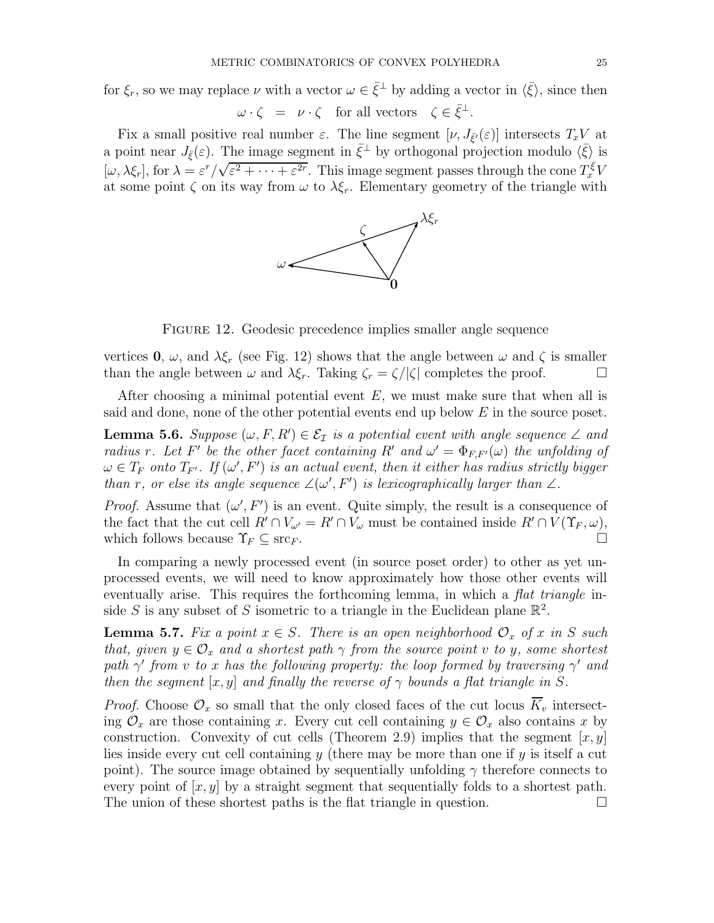for  $\xi_r$ , so we may replace  $\nu$  with a vector  $\omega \in \bar{\xi}^{\perp}$  by adding a vector in  $\langle \bar{\xi} \rangle$ , since then  $\omega \cdot \zeta = \nu \cdot \zeta$  for all vectors  $\zeta \in \bar{\xi}^{\perp}$ .

Fix a small positive real number  $\varepsilon$ . The line segment  $[\nu, J_{\bar{\xi}'}(\varepsilon)]$  intersects  $T_xV$  at a point near  $J_{\bar{\xi}}(\varepsilon)$ . The image segment in  $\bar{\xi}^{\perp}$  by orthogonal projection modulo  $\langle \bar{\xi} \rangle$  is  $[\omega, \lambda \xi_r]$ , for  $\lambda = \varepsilon^r / \sqrt{\varepsilon^2 + \cdots + \varepsilon^{2r}}$ . This image segment passes through the cone  $T_x^{\bar{\xi}}$ at some point  $\zeta$  on its way from  $\omega$  to  $\lambda \xi_r$ . Elementary geometry of the triangle with



FIGURE 12. Geodesic precedence implies smaller angle sequence

vertices  $\mathbf{0}, \omega$ , and  $\lambda \xi_r$  (see Fig. 12) shows that the angle between  $\omega$  and  $\zeta$  is smaller than the angle between  $\omega$  and  $\lambda \xi_r$ . Taking  $\zeta_r = \zeta/|\zeta|$  completes the proof.

After choosing a minimal potential event  $E$ , we must make sure that when all is said and done, none of the other potential events end up below E in the source poset.

**Lemma 5.6.** Suppose  $(\omega, F, R') \in \mathcal{E}_{\mathcal{I}}$  is a potential event with angle sequence  $\angle$  and radius r. Let F' be the other facet containing R' and  $\omega' = \Phi_{F,F'}(\omega)$  the unfolding of  $\omega \in T_F$  onto  $T_{F'}$ . If  $(\omega', F')$  is an actual event, then it either has radius strictly bigger than r, or else its angle sequence  $\angle(\omega', F')$  is lexicographically larger than  $\angle$ .

*Proof.* Assume that  $(\omega', F')$  is an event. Quite simply, the result is a consequence of the fact that the cut cell  $R' \cap V_{\omega'} = R' \cap V_{\omega}$  must be contained inside  $R' \cap V(\Upsilon_F, \omega)$ ,<br>which follows because  $\Upsilon_F \subset \text{src}_F$ which follows because  $\Upsilon_F \subseteq \mathrm{src}_F$ .

In comparing a newly processed event (in source poset order) to other as yet unprocessed events, we will need to know approximately how those other events will eventually arise. This requires the forthcoming lemma, in which a *flat triangle* inside S is any subset of S isometric to a triangle in the Euclidean plane  $\mathbb{R}^2$ .

**Lemma 5.7.** Fix a point  $x \in S$ . There is an open neighborhood  $\mathcal{O}_x$  of x in S such that, given  $y \in \mathcal{O}_x$  and a shortest path  $\gamma$  from the source point v to y, some shortest path  $\gamma'$  from v to x has the following property: the loop formed by traversing  $\gamma'$  and then the segment  $[x, y]$  and finally the reverse of  $\gamma$  bounds a flat triangle in S.

*Proof.* Choose  $\mathcal{O}_x$  so small that the only closed faces of the cut locus  $\overline{K}_v$  intersecting  $\mathcal{O}_x$  are those containing x. Every cut cell containing  $y \in \mathcal{O}_x$  also contains x by construction. Convexity of cut cells (Theorem 2.9) implies that the segment  $[x, y]$ lies inside every cut cell containing  $y$  (there may be more than one if  $y$  is itself a cut point). The source image obtained by sequentially unfolding  $\gamma$  therefore connects to every point of  $[x, y]$  by a straight segment that sequentially folds to a shortest path. The union of these shortest paths is the flat triangle in question.  $\Box$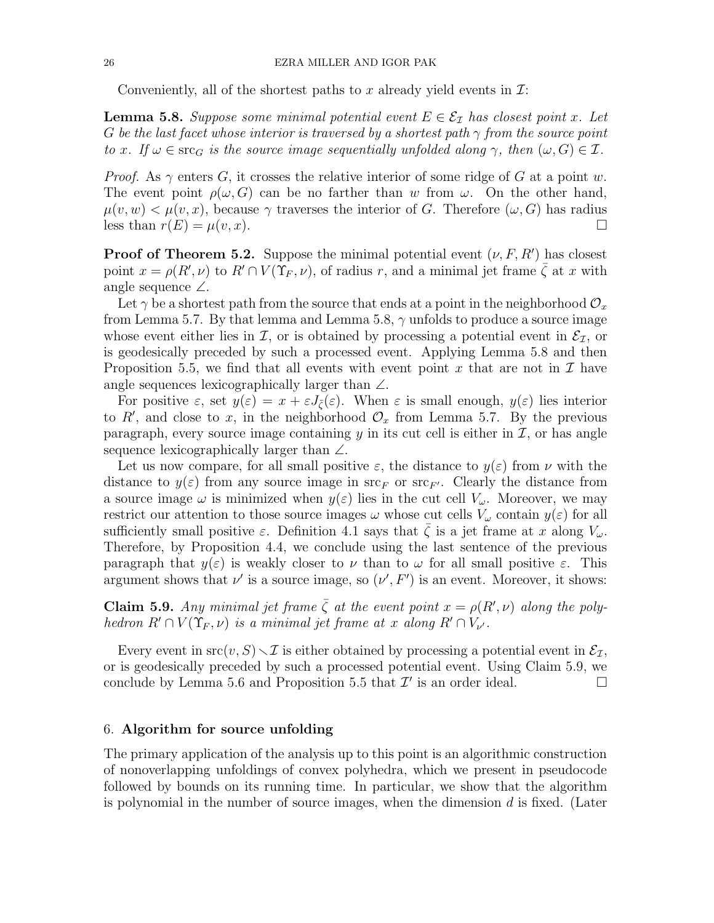Conveniently, all of the shortest paths to x already yield events in  $\mathcal{I}:$ 

**Lemma 5.8.** Suppose some minimal potential event  $E \in \mathcal{E}_{\mathcal{I}}$  has closest point x. Let G be the last facet whose interior is traversed by a shortest path  $\gamma$  from the source point to x. If  $\omega \in \text{src}_G$  is the source image sequentially unfolded along  $\gamma$ , then  $(\omega, G) \in \mathcal{I}$ .

*Proof.* As  $\gamma$  enters G, it crosses the relative interior of some ridge of G at a point w. The event point  $\rho(\omega, G)$  can be no farther than w from  $\omega$ . On the other hand,  $\mu(v, w) < \mu(v, x)$ , because  $\gamma$  traverses the interior of G. Therefore  $(\omega, G)$  has radius less than  $r(E) = \mu(v, x)$ .

**Proof of Theorem 5.2.** Suppose the minimal potential event  $(\nu, F, R')$  has closest point  $x = \rho(R', \nu)$  to  $R' \cap V(\hat{\Upsilon}_F, \nu)$ , of radius r, and a minimal jet frame  $\bar{\zeta}$  at x with angle sequence ∠.

Let  $\gamma$  be a shortest path from the source that ends at a point in the neighborhood  $\mathcal{O}_x$ from Lemma 5.7. By that lemma and Lemma 5.8,  $\gamma$  unfolds to produce a source image whose event either lies in  $\mathcal{I}$ , or is obtained by processing a potential event in  $\mathcal{E}_{\mathcal{I}}$ , or is geodesically preceded by such a processed event. Applying Lemma 5.8 and then Proposition 5.5, we find that all events with event point x that are not in  $\mathcal I$  have angle sequences lexicographically larger than ∠.

For positive  $\varepsilon$ , set  $y(\varepsilon) = x + \varepsilon J_{\overline{\zeta}}(\varepsilon)$ . When  $\varepsilon$  is small enough,  $y(\varepsilon)$  lies interior to R', and close to x, in the neighborhood  $\mathcal{O}_x$  from Lemma 5.7. By the previous paragraph, every source image containing y in its cut cell is either in  $\mathcal{I}$ , or has angle sequence lexicographically larger than ∠.

Let us now compare, for all small positive  $\varepsilon$ , the distance to  $y(\varepsilon)$  from  $\nu$  with the distance to  $y(\varepsilon)$  from any source image in  $\text{src}_F$  or  $\text{src}_{F'}$ . Clearly the distance from a source image  $\omega$  is minimized when  $y(\varepsilon)$  lies in the cut cell  $V_{\omega}$ . Moreover, we may restrict our attention to those source images  $\omega$  whose cut cells  $V_{\omega}$  contain  $y(\varepsilon)$  for all sufficiently small positive  $\varepsilon$ . Definition 4.1 says that  $\zeta$  is a jet frame at x along  $V_\omega$ . Therefore, by Proposition 4.4, we conclude using the last sentence of the previous paragraph that  $y(\varepsilon)$  is weakly closer to  $\nu$  than to  $\omega$  for all small positive  $\varepsilon$ . This argument shows that  $\nu'$  is a source image, so  $(\nu', F')$  is an event. Moreover, it shows:

**Claim 5.9.** Any minimal jet frame  $\bar{\zeta}$  at the event point  $x = \rho(R', \nu)$  along the polyhedron  $R' \cap V(\Upsilon_F, \nu)$  is a minimal jet frame at x along  $R' \cap V_{\nu'}$ .

Every event in  $src(v, S) \setminus \mathcal{I}$  is either obtained by processing a potential event in  $\mathcal{E}_{\mathcal{I}}$ , or is geodesically preceded by such a processed potential event. Using Claim 5.9, we conclude by Lemma 5.6 and Proposition 5.5 that  $\mathcal{I}'$  is an order ideal.

# 6. Algorithm for source unfolding

The primary application of the analysis up to this point is an algorithmic construction of nonoverlapping unfoldings of convex polyhedra, which we present in pseudocode followed by bounds on its running time. In particular, we show that the algorithm is polynomial in the number of source images, when the dimension  $d$  is fixed. (Later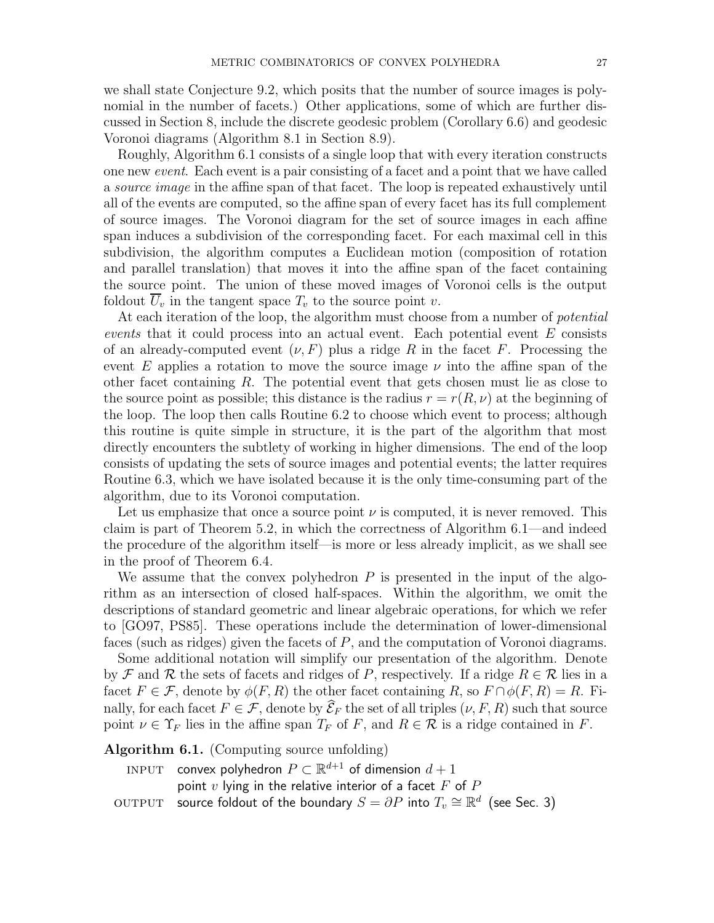we shall state Conjecture 9.2, which posits that the number of source images is polynomial in the number of facets.) Other applications, some of which are further discussed in Section 8, include the discrete geodesic problem (Corollary 6.6) and geodesic Voronoi diagrams (Algorithm 8.1 in Section 8.9).

Roughly, Algorithm 6.1 consists of a single loop that with every iteration constructs one new event. Each event is a pair consisting of a facet and a point that we have called a source image in the affine span of that facet. The loop is repeated exhaustively until all of the events are computed, so the affine span of every facet has its full complement of source images. The Voronoi diagram for the set of source images in each affine span induces a subdivision of the corresponding facet. For each maximal cell in this subdivision, the algorithm computes a Euclidean motion (composition of rotation and parallel translation) that moves it into the affine span of the facet containing the source point. The union of these moved images of Voronoi cells is the output foldout  $U_v$  in the tangent space  $T_v$  to the source point v.

At each iteration of the loop, the algorithm must choose from a number of potential events that it could process into an actual event. Each potential event E consists of an already-computed event  $(\nu, F)$  plus a ridge R in the facet F. Processing the event E applies a rotation to move the source image  $\nu$  into the affine span of the other facet containing R. The potential event that gets chosen must lie as close to the source point as possible; this distance is the radius  $r = r(R, \nu)$  at the beginning of the loop. The loop then calls Routine 6.2 to choose which event to process; although this routine is quite simple in structure, it is the part of the algorithm that most directly encounters the subtlety of working in higher dimensions. The end of the loop consists of updating the sets of source images and potential events; the latter requires Routine 6.3, which we have isolated because it is the only time-consuming part of the algorithm, due to its Voronoi computation.

Let us emphasize that once a source point  $\nu$  is computed, it is never removed. This claim is part of Theorem 5.2, in which the correctness of Algorithm 6.1—and indeed the procedure of the algorithm itself—is more or less already implicit, as we shall see in the proof of Theorem 6.4.

We assume that the convex polyhedron  $P$  is presented in the input of the algorithm as an intersection of closed half-spaces. Within the algorithm, we omit the descriptions of standard geometric and linear algebraic operations, for which we refer to [GO97, PS85]. These operations include the determination of lower-dimensional faces (such as ridges) given the facets of P, and the computation of Voronoi diagrams.

Some additional notation will simplify our presentation of the algorithm. Denote by F and R the sets of facets and ridges of P, respectively. If a ridge  $R \in \mathcal{R}$  lies in a facet  $F \in \mathcal{F}$ , denote by  $\phi(F, R)$  the other facet containing R, so  $F \cap \phi(F, R) = R$ . Finally, for each facet  $F \in \mathcal{F}$ , denote by  $\widehat{\mathcal{E}}_F$  the set of all triples  $(\nu, F, R)$  such that source point  $\nu \in \Upsilon_F$  lies in the affine span  $T_F$  of F, and  $R \in \mathcal{R}$  is a ridge contained in F.

# Algorithm 6.1. (Computing source unfolding)

INPUT convex polyhedron  $P \subset \mathbb{R}^{d+1}$  of dimension  $d+1$ point  $v$  lying in the relative interior of a facet  $F$  of  $P$  $\text{OUTPUT}$  source foldout of the boundary  $S = \partial P$  into  $T_v \cong \mathbb{R}^d$  (see Sec. 3)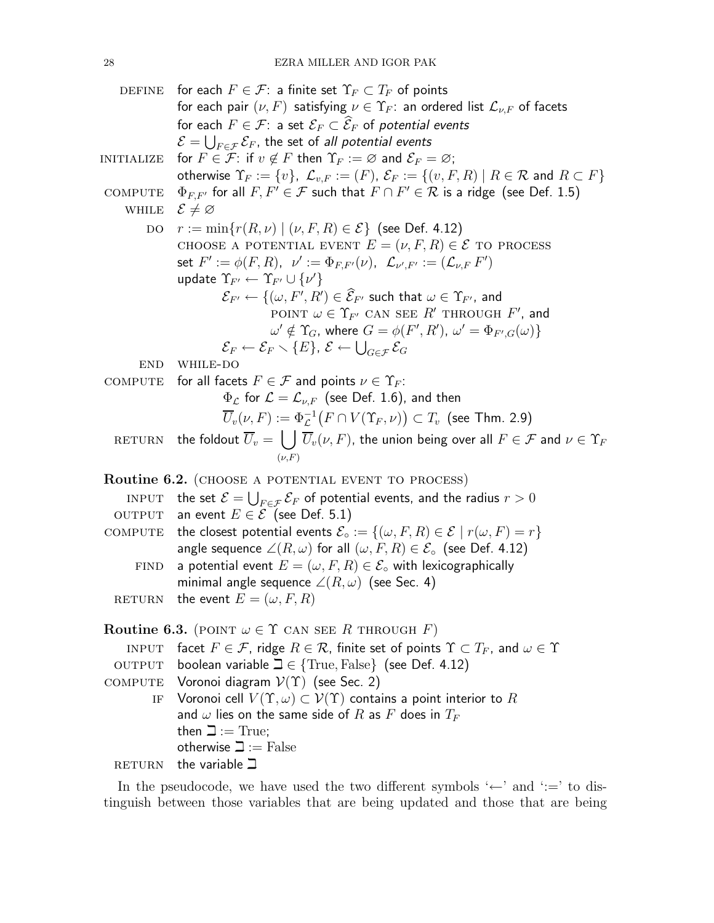| <b>DEFINE</b>                                                         | for each $F \in \mathcal{F}$ : a finite set $\Upsilon_F \subset T_F$ of points                                                                                                                                                                       |
|-----------------------------------------------------------------------|------------------------------------------------------------------------------------------------------------------------------------------------------------------------------------------------------------------------------------------------------|
|                                                                       | for each pair $(\nu, F)$ satisfying $\nu \in \Upsilon_F$ : an ordered list $\mathcal{L}_{\nu, F}$ of facets                                                                                                                                          |
|                                                                       | for each $F \in \mathcal{F}$ : a set $\mathcal{E}_F \subset \widehat{\mathcal{E}}_F$ of potential events                                                                                                                                             |
|                                                                       | $\mathcal{E} = \bigcup_{F \in \mathcal{F}} \mathcal{E}_F$ , the set of <i>all potential events</i>                                                                                                                                                   |
| <b>INITIALIZE</b>                                                     | for $F \in \mathcal{F}$ : if $v \notin F$ then $\Upsilon_F := \emptyset$ and $\mathcal{E}_F = \emptyset$ ;                                                                                                                                           |
| $\sf{COMPUTE}$                                                        | otherwise $\Upsilon_F := \{v\}, \mathcal{L}_{v,F} := (F), \mathcal{E}_F := \{(v, F, R) \mid R \in \mathcal{R} \text{ and } R \subset F\}$<br>$\Phi_{F,F'}$ for all $F,F'\in\mathcal{F}$ such that $F\cap F'\in\mathcal{R}$ is a ridge (see Def. 1.5) |
| WHILE                                                                 | $\mathcal{E} \neq \varnothing$                                                                                                                                                                                                                       |
| DO                                                                    | $r := \min\{r(R, \nu) \mid (\nu, F, R) \in \mathcal{E}\}\$ (see Def. 4.12)                                                                                                                                                                           |
|                                                                       | CHOOSE A POTENTIAL EVENT $E = (\nu, F, R) \in \mathcal{E}$ TO PROCESS                                                                                                                                                                                |
|                                                                       | set $F' := \phi(F, R)$ , $\nu' := \Phi_{F,F'}(\nu)$ , $\mathcal{L}_{\nu',F'} := (\mathcal{L}_{\nu,F} F')$                                                                                                                                            |
|                                                                       | update $\Upsilon_{F'} \leftarrow \Upsilon_{F'} \cup \{\nu'\}$                                                                                                                                                                                        |
|                                                                       | $\mathcal{E}_{F'} \leftarrow \{(\omega, F', R') \in \widehat{\mathcal{E}}_{F'}$ such that $\omega \in \Upsilon_{F'}$ , and                                                                                                                           |
|                                                                       | POINT $\omega \in \Upsilon_{F'}$ CAN SEE $R'$ THROUGH $F'$ , and                                                                                                                                                                                     |
|                                                                       | $\omega' \notin \Upsilon_G$ , where $G = \phi(F', R')$ , $\omega' = \Phi_{F', G}(\omega)$                                                                                                                                                            |
| <b>END</b>                                                            | $\mathcal{E}_F \leftarrow \mathcal{E}_F \setminus \{E\}, \, \mathcal{E} \leftarrow \bigcup_{G \in \mathcal{F}} \mathcal{E}_G$<br>WHILE-DO                                                                                                            |
| COMPUTE                                                               | for all facets $F \in \mathcal{F}$ and points $\nu \in \Upsilon_F$ :                                                                                                                                                                                 |
|                                                                       | $\Phi_{\mathcal{L}}$ for $\mathcal{L} = \mathcal{L}_{\nu,F}$ (see Def. 1.6), and then                                                                                                                                                                |
|                                                                       | $\overline{U}_v(\nu,F) := \Phi_{\mathcal{L}}^{-1}(F \cap V(\Upsilon_F,\nu)) \subset T_v$ (see Thm. 2.9)                                                                                                                                              |
| <b>RETURN</b>                                                         | the foldout $\overline{U}_v = \bigcup \overline{U}_v(\nu, F)$ , the union being over all $F \in \mathcal{F}$ and $\nu \in \Upsilon_F$                                                                                                                |
|                                                                       | $(\nu, F)$                                                                                                                                                                                                                                           |
| <b>Routine 6.2.</b> (CHOOSE A POTENTIAL EVENT TO PROCESS)             |                                                                                                                                                                                                                                                      |
| $\ensuremath{\mathsf{INPUT}}$                                         | the set $\mathcal{E} = \bigcup_{F \in \mathcal{F}} \mathcal{E}_F$ of potential events, and the radius $r > 0$                                                                                                                                        |
| <b>OUTPUT</b>                                                         | an event $E \in \mathcal{E}$ (see Def. 5.1)                                                                                                                                                                                                          |
| $\sf{COMPUTE}$                                                        | the closest potential events $\mathcal{E}_{\circ} := \{(\omega, F, R) \in \mathcal{E} \mid r(\omega, F) = r\}$                                                                                                                                       |
|                                                                       | angle sequence $\angle(R,\omega)$ for all $(\omega, F, R) \in \mathcal{E}_{\infty}$ (see Def. 4.12)                                                                                                                                                  |
| ${\rm FIND}$                                                          | a potential event $E = (\omega, F, R) \in \mathcal{E}_{\text{o}}$ with lexicographically                                                                                                                                                             |
|                                                                       | minimal angle sequence $\angle(R,\omega)$ (see Sec. 4)                                                                                                                                                                                               |
|                                                                       | RETURN the event $E = (\omega, F, R)$                                                                                                                                                                                                                |
| <b>Routine 6.3.</b> (POINT $\omega \in \Upsilon$ CAN SEE R THROUGH F) |                                                                                                                                                                                                                                                      |
| <b>INPUT</b>                                                          | facet $F \in \mathcal{F}$ , ridge $R \in \mathcal{R}$ , finite set of points $\Upsilon \subset T_F$ , and $\omega \in \Upsilon$                                                                                                                      |
| <b>OUTPUT</b>                                                         | boolean variable $\Box \in \{True, False\}$ (see Def. 4.12)                                                                                                                                                                                          |
|                                                                       | COMPUTE Voronoi diagram $V(T)$ (see Sec. 2)                                                                                                                                                                                                          |
| IF                                                                    | Voronoi cell $V(\Upsilon, \omega) \subset V(\Upsilon)$ contains a point interior to R                                                                                                                                                                |
|                                                                       | and $\omega$ lies on the same side of R as F does in $T_F$<br>then $\Box := \text{True}$ ;                                                                                                                                                           |
|                                                                       | otherwise $\Box :=$ False                                                                                                                                                                                                                            |
| RETURN                                                                | the variable $\Box$                                                                                                                                                                                                                                  |

In the pseudocode, we have used the two different symbols '←' and ':=' to distinguish between those variables that are being updated and those that are being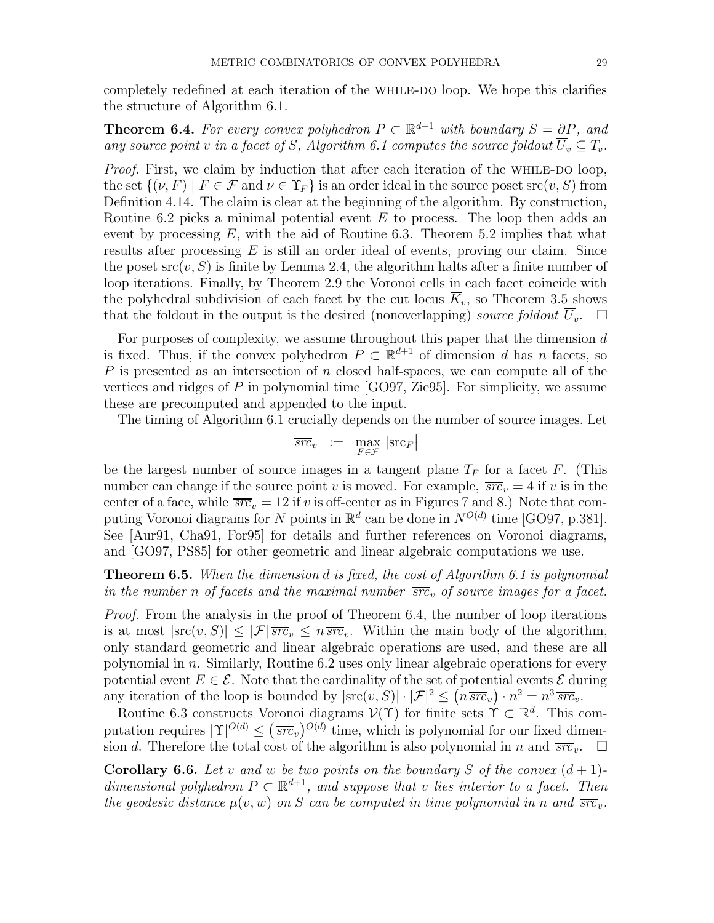completely redefined at each iteration of the WHILE-DO loop. We hope this clarifies the structure of Algorithm 6.1.

**Theorem 6.4.** For every convex polyhedron  $P \subset \mathbb{R}^{d+1}$  with boundary  $S = \frac{\partial P}{\partial S}$ , and any source point v in a facet of S, Algorithm 6.1 computes the source foldout  $\overline{U}_v \subseteq T_v$ .

*Proof.* First, we claim by induction that after each iteration of the WHILE-DO loop, the set  $\{(\nu, F) \mid F \in \mathcal{F} \text{ and } \nu \in \Upsilon_F \}$  is an order ideal in the source poset src $(\nu, S)$  from Definition 4.14. The claim is clear at the beginning of the algorithm. By construction, Routine 6.2 picks a minimal potential event  $E$  to process. The loop then adds an event by processing  $E$ , with the aid of Routine 6.3. Theorem 5.2 implies that what results after processing  $E$  is still an order ideal of events, proving our claim. Since the poset  $src(v, S)$  is finite by Lemma 2.4, the algorithm halts after a finite number of loop iterations. Finally, by Theorem 2.9 the Voronoi cells in each facet coincide with the polyhedral subdivision of each facet by the cut locus  $K_v$ , so Theorem 3.5 shows that the foldout in the output is the desired (nonoverlapping) source foldout  $\overline{U}_v$ .  $\Box$ 

For purposes of complexity, we assume throughout this paper that the dimension d is fixed. Thus, if the convex polyhedron  $P \subset \mathbb{R}^{d+1}$  of dimension d has n facets, so  $P$  is presented as an intersection of  $n$  closed half-spaces, we can compute all of the vertices and ridges of  $P$  in polynomial time  $[GO97, Zie95]$ . For simplicity, we assume these are precomputed and appended to the input.

The timing of Algorithm 6.1 crucially depends on the number of source images. Let

$$
\overline{src}_v := \max_{F \in \mathcal{F}} |\text{src}_F|
$$

be the largest number of source images in a tangent plane  $T_F$  for a facet F. (This number can change if the source point v is moved. For example,  $\overline{src}_v = 4$  if v is in the center of a face, while  $\overline{src}_v = 12$  if v is off-center as in Figures 7 and 8.) Note that computing Voronoi diagrams for N points in  $\mathbb{R}^d$  can be done in  $N^{O(d)}$  time [GO97, p.381]. See [Aur91, Cha91, For95] for details and further references on Voronoi diagrams, and [GO97, PS85] for other geometric and linear algebraic computations we use.

**Theorem 6.5.** When the dimension d is fixed, the cost of Algorithm 6.1 is polynomial in the number n of facets and the maximal number  $\overline{src}_v$  of source images for a facet.

*Proof.* From the analysis in the proof of Theorem 6.4, the number of loop iterations is at most  $|\text{src}(v, S)| \leq |\mathcal{F}| \overline{\text{src}}_v \leq n \overline{\text{src}}_v$ . Within the main body of the algorithm, only standard geometric and linear algebraic operations are used, and these are all polynomial in  $n$ . Similarly, Routine 6.2 uses only linear algebraic operations for every potential event  $E \in \mathcal{E}$ . Note that the cardinality of the set of potential events  $\mathcal{E}$  during any iteration of the loop is bounded by  $|\text{src}(v, S)| \cdot |\mathcal{F}|^2 \leq (n \overline{\text{src}}_v) \cdot n^2 = n^3 \overline{\text{src}}_v$ .

Routine 6.3 constructs Voronoi diagrams  $\mathcal{V}(\Upsilon)$  for finite sets  $\Upsilon \subset \mathbb{R}^d$ . This computation requires  $|\Upsilon|^{O(d)} \leq (\overline{src}_v)^{O(d)}$  time, which is polynomial for our fixed dimension d. Therefore the total cost of the algorithm is also polynomial in n and  $\overline{src}_v$ .  $\Box$ 

**Corollary 6.6.** Let v and w be two points on the boundary S of the convex  $(d + 1)$ dimensional polyhedron  $P \subset \mathbb{R}^{d+1}$ , and suppose that v lies interior to a facet. Then the geodesic distance  $\mu(v, w)$  on S can be computed in time polynomial in n and  $\overline{src}_v$ .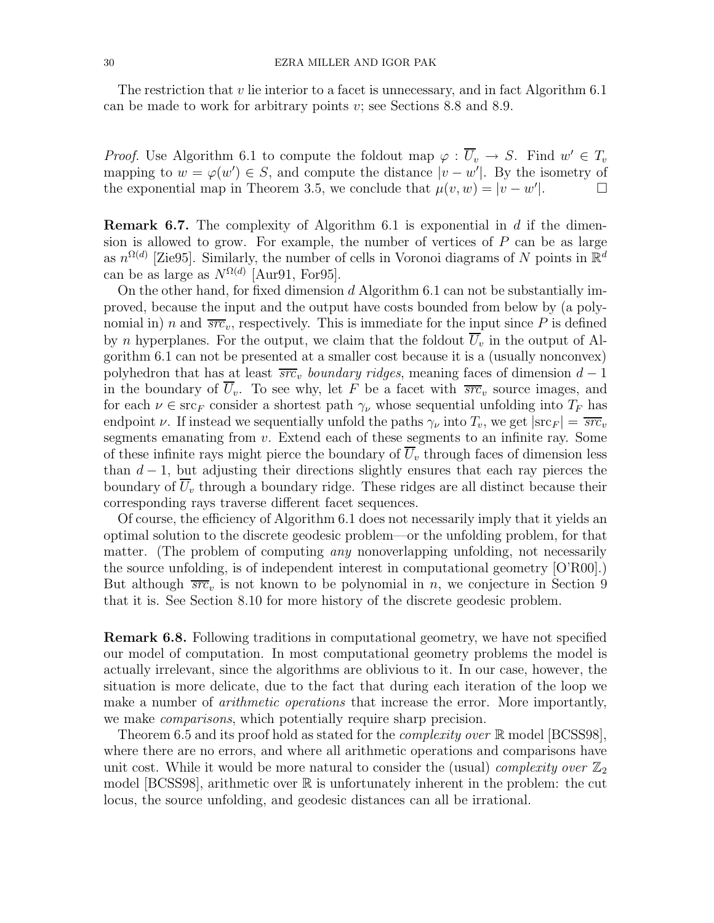The restriction that  $v$  lie interior to a facet is unnecessary, and in fact Algorithm 6.1 can be made to work for arbitrary points  $v$ ; see Sections 8.8 and 8.9.

*Proof.* Use Algorithm 6.1 to compute the foldout map  $\varphi : \overline{U_v} \to S$ . Find  $w' \in T_v$ mapping to  $w = \varphi(w') \in S$ , and compute the distance  $|v - w'|$ . By the isometry of the exponential map in Theorem 3.5, we conclude that  $\mu(v, w) = |v - w'|$ <sup>|</sup>.

**Remark 6.7.** The complexity of Algorithm 6.1 is exponential in  $d$  if the dimension is allowed to grow. For example, the number of vertices of  $P$  can be as large as  $n^{\Omega(d)}$  [Zie95]. Similarly, the number of cells in Voronoi diagrams of N points in  $\mathbb{R}^d$ can be as large as  $N^{\Omega(d)}$  [Aur91, For95].

On the other hand, for fixed dimension  $d$  Algorithm 6.1 can not be substantially improved, because the input and the output have costs bounded from below by (a polynomial in) n and  $\overline{src}_v$ , respectively. This is immediate for the input since P is defined by n hyperplanes. For the output, we claim that the foldout  $\overline{U}_v$  in the output of Algorithm 6.1 can not be presented at a smaller cost because it is a (usually nonconvex) polyhedron that has at least  $\overline{src}_v$  boundary ridges, meaning faces of dimension  $d-1$ in the boundary of  $U_v$ . To see why, let F be a facet with  $\overline{src}_v$  source images, and for each  $\nu \in \text{src}_F$  consider a shortest path  $\gamma_{\nu}$  whose sequential unfolding into  $T_F$  has endpoint v. If instead we sequentially unfold the paths  $\gamma_{\nu}$  into  $T_{v}$ , we get  $|\text{src}_{F}| = \overline{src}_{v}$ segments emanating from  $v$ . Extend each of these segments to an infinite ray. Some of these infinite rays might pierce the boundary of  $U_v$  through faces of dimension less than  $d-1$ , but adjusting their directions slightly ensures that each ray pierces the boundary of  $\overline{U}_v$  through a boundary ridge. These ridges are all distinct because their corresponding rays traverse different facet sequences.

Of course, the efficiency of Algorithm 6.1 does not necessarily imply that it yields an optimal solution to the discrete geodesic problem—or the unfolding problem, for that matter. (The problem of computing *any* nonoverlapping unfolding, not necessarily the source unfolding, is of independent interest in computational geometry [O'R00].) But although  $\overline{src}_v$  is not known to be polynomial in n, we conjecture in Section 9 that it is. See Section 8.10 for more history of the discrete geodesic problem.

Remark 6.8. Following traditions in computational geometry, we have not specified our model of computation. In most computational geometry problems the model is actually irrelevant, since the algorithms are oblivious to it. In our case, however, the situation is more delicate, due to the fact that during each iteration of the loop we make a number of *arithmetic operations* that increase the error. More importantly, we make comparisons, which potentially require sharp precision.

Theorem 6.5 and its proof hold as stated for the *complexity over* R model [BCSS98], where there are no errors, and where all arithmetic operations and comparisons have unit cost. While it would be more natural to consider the (usual) *complexity over*  $\mathbb{Z}_2$ model [BCSS98], arithmetic over  $\mathbb R$  is unfortunately inherent in the problem: the cut locus, the source unfolding, and geodesic distances can all be irrational.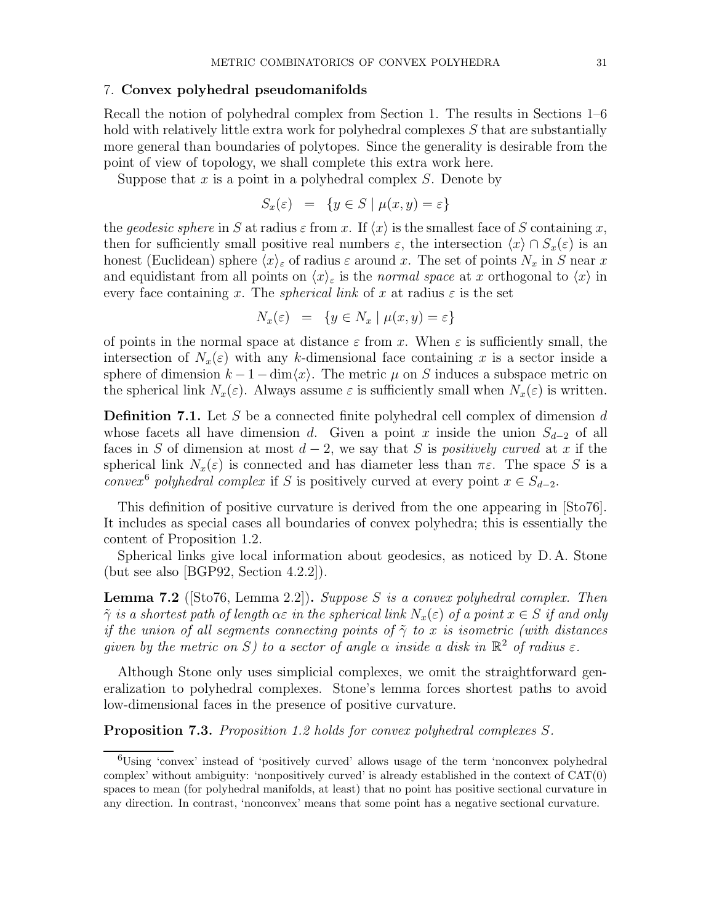### 7. Convex polyhedral pseudomanifolds

Recall the notion of polyhedral complex from Section 1. The results in Sections 1–6 hold with relatively little extra work for polyhedral complexes S that are substantially more general than boundaries of polytopes. Since the generality is desirable from the point of view of topology, we shall complete this extra work here.

Suppose that  $x$  is a point in a polyhedral complex  $S$ . Denote by

$$
S_x(\varepsilon) = \{ y \in S \mid \mu(x, y) = \varepsilon \}
$$

the geodesic sphere in S at radius  $\varepsilon$  from x. If  $\langle x \rangle$  is the smallest face of S containing x, then for sufficiently small positive real numbers  $\varepsilon$ , the intersection  $\langle x \rangle \cap S_x(\varepsilon)$  is an honest (Euclidean) sphere  $\langle x \rangle_{\varepsilon}$  of radius  $\varepsilon$  around x. The set of points  $N_x$  in S near x and equidistant from all points on  $\langle x \rangle_{\varepsilon}$  is the normal space at x orthogonal to  $\langle x \rangle$  in every face containing x. The *spherical link* of x at radius  $\varepsilon$  is the set

$$
N_x(\varepsilon) = \{ y \in N_x \mid \mu(x, y) = \varepsilon \}
$$

of points in the normal space at distance  $\varepsilon$  from x. When  $\varepsilon$  is sufficiently small, the intersection of  $N_x(\varepsilon)$  with any k-dimensional face containing x is a sector inside a sphere of dimension  $k - 1 - \dim(x)$ . The metric  $\mu$  on S induces a subspace metric on the spherical link  $N_x(\varepsilon)$ . Always assume  $\varepsilon$  is sufficiently small when  $N_x(\varepsilon)$  is written.

**Definition 7.1.** Let  $S$  be a connected finite polyhedral cell complex of dimension  $d$ whose facets all have dimension d. Given a point x inside the union  $S_{d-2}$  of all faces in S of dimension at most  $d-2$ , we say that S is positively curved at x if the spherical link  $N_x(\varepsilon)$  is connected and has diameter less than  $\pi\varepsilon$ . The space S is a convex<sup>6</sup> polyhedral complex if S is positively curved at every point  $x \in S_{d-2}$ .

This definition of positive curvature is derived from the one appearing in [Sto76]. It includes as special cases all boundaries of convex polyhedra; this is essentially the content of Proposition 1.2.

Spherical links give local information about geodesics, as noticed by D. A. Stone (but see also [BGP92, Section 4.2.2]).

**Lemma 7.2** ( $[Sto76, Lemma 2.2]$ ). Suppose S is a convex polyhedral complex. Then  $\tilde{\gamma}$  is a shortest path of length  $\alpha \varepsilon$  in the spherical link  $N_x(\varepsilon)$  of a point  $x \in S$  if and only if the union of all segments connecting points of  $\tilde{\gamma}$  to x is isometric (with distances given by the metric on S) to a sector of angle  $\alpha$  inside a disk in  $\mathbb{R}^2$  of radius  $\varepsilon$ .

Although Stone only uses simplicial complexes, we omit the straightforward generalization to polyhedral complexes. Stone's lemma forces shortest paths to avoid low-dimensional faces in the presence of positive curvature.

Proposition 7.3. Proposition 1.2 holds for convex polyhedral complexes S.

<sup>6</sup>Using 'convex' instead of 'positively curved' allows usage of the term 'nonconvex polyhedral complex' without ambiguity: 'nonpositively curved' is already established in the context of CAT(0) spaces to mean (for polyhedral manifolds, at least) that no point has positive sectional curvature in any direction. In contrast, 'nonconvex' means that some point has a negative sectional curvature.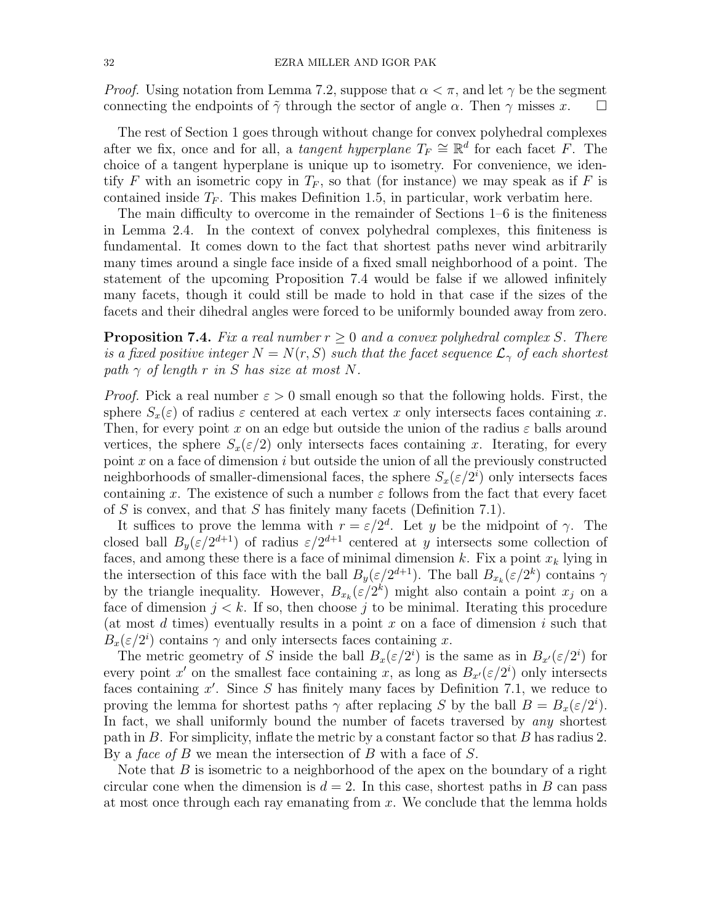*Proof.* Using notation from Lemma 7.2, suppose that  $\alpha < \pi$ , and let  $\gamma$  be the segment connecting the endpoints of  $\tilde{\gamma}$  through the sector of angle  $\alpha$ . Then  $\gamma$  misses x.

The rest of Section 1 goes through without change for convex polyhedral complexes after we fix, once and for all, a *tangent hyperplane*  $T_F \cong \mathbb{R}^d$  for each facet F. The choice of a tangent hyperplane is unique up to isometry. For convenience, we identify F with an isometric copy in  $T_F$ , so that (for instance) we may speak as if F is contained inside  $T_F$ . This makes Definition 1.5, in particular, work verbatim here.

The main difficulty to overcome in the remainder of Sections 1–6 is the finiteness in Lemma 2.4. In the context of convex polyhedral complexes, this finiteness is fundamental. It comes down to the fact that shortest paths never wind arbitrarily many times around a single face inside of a fixed small neighborhood of a point. The statement of the upcoming Proposition 7.4 would be false if we allowed infinitely many facets, though it could still be made to hold in that case if the sizes of the facets and their dihedral angles were forced to be uniformly bounded away from zero.

**Proposition 7.4.** Fix a real number  $r \geq 0$  and a convex polyhedral complex S. There is a fixed positive integer  $N = N(r, S)$  such that the facet sequence  $\mathcal{L}_{\gamma}$  of each shortest path  $\gamma$  of length r in S has size at most N.

*Proof.* Pick a real number  $\varepsilon > 0$  small enough so that the following holds. First, the sphere  $S_x(\varepsilon)$  of radius  $\varepsilon$  centered at each vertex x only intersects faces containing x. Then, for every point x on an edge but outside the union of the radius  $\varepsilon$  balls around vertices, the sphere  $S_x(\varepsilon/2)$  only intersects faces containing x. Iterating, for every point  $x$  on a face of dimension  $i$  but outside the union of all the previously constructed neighborhoods of smaller-dimensional faces, the sphere  $S_x(\varepsilon/2^i)$  only intersects faces containing x. The existence of such a number  $\varepsilon$  follows from the fact that every facet of  $S$  is convex, and that  $S$  has finitely many facets (Definition 7.1).

It suffices to prove the lemma with  $r = \varepsilon/2^d$ . Let y be the midpoint of  $\gamma$ . The closed ball  $B_y(\varepsilon/2^{d+1})$  of radius  $\varepsilon/2^{d+1}$  centered at y intersects some collection of faces, and among these there is a face of minimal dimension  $k$ . Fix a point  $x_k$  lying in the intersection of this face with the ball  $B_y(\varepsilon/2^{d+1})$ . The ball  $B_{x_k}(\varepsilon/2^k)$  contains  $\gamma$ by the triangle inequality. However,  $B_{x_k}(\varepsilon/2^k)$  might also contain a point  $x_j$  on a face of dimension  $j < k$ . If so, then choose j to be minimal. Iterating this procedure (at most d times) eventually results in a point x on a face of dimension i such that  $B_x(\varepsilon/2^i)$  contains  $\gamma$  and only intersects faces containing x.

The metric geometry of S inside the ball  $B_x(\varepsilon/2^i)$  is the same as in  $B_{x'}(\varepsilon/2^i)$  for every point x' on the smallest face containing x, as long as  $B_{x'}(\varepsilon/2^i)$  only intersects faces containing  $x'$ . Since S has finitely many faces by Definition 7.1, we reduce to proving the lemma for shortest paths  $\gamma$  after replacing S by the ball  $B = B_x(\varepsilon/2^i)$ . In fact, we shall uniformly bound the number of facets traversed by any shortest path in B. For simplicity, inflate the metric by a constant factor so that B has radius 2. By a face of B we mean the intersection of B with a face of  $S$ .

Note that  $B$  is isometric to a neighborhood of the apex on the boundary of a right circular cone when the dimension is  $d = 2$ . In this case, shortest paths in B can pass at most once through each ray emanating from x. We conclude that the lemma holds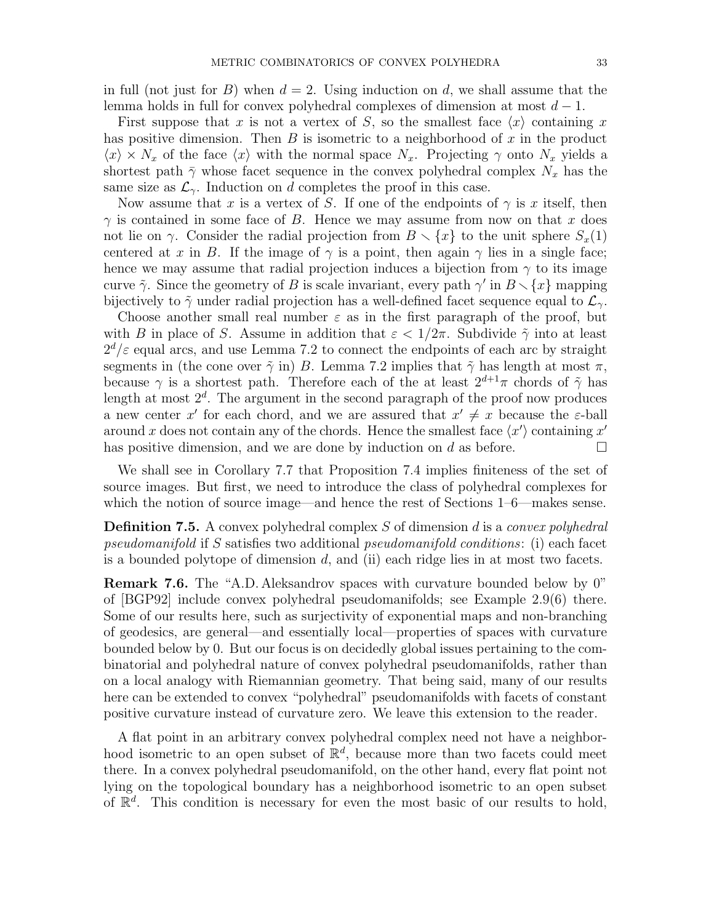in full (not just for B) when  $d = 2$ . Using induction on d, we shall assume that the lemma holds in full for convex polyhedral complexes of dimension at most  $d-1$ .

First suppose that x is not a vertex of S, so the smallest face  $\langle x \rangle$  containing x has positive dimension. Then  $B$  is isometric to a neighborhood of  $x$  in the product  $\langle x \rangle \times N_x$  of the face  $\langle x \rangle$  with the normal space  $N_x$ . Projecting  $\gamma$  onto  $N_x$  yields a shortest path  $\bar{\gamma}$  whose facet sequence in the convex polyhedral complex  $N_x$  has the same size as  $\mathcal{L}_{\gamma}$ . Induction on d completes the proof in this case.

Now assume that x is a vertex of S. If one of the endpoints of  $\gamma$  is x itself, then  $\gamma$  is contained in some face of B. Hence we may assume from now on that x does not lie on γ. Consider the radial projection from  $B \setminus \{x\}$  to the unit sphere  $S_x(1)$ centered at x in B. If the image of  $\gamma$  is a point, then again  $\gamma$  lies in a single face; hence we may assume that radial projection induces a bijection from  $\gamma$  to its image curve  $\tilde{\gamma}$ . Since the geometry of B is scale invariant, every path  $\gamma'$  in  $B \setminus \{x\}$  mapping bijectively to  $\tilde{\gamma}$  under radial projection has a well-defined facet sequence equal to  $\mathcal{L}_{\gamma}$ .

Choose another small real number  $\varepsilon$  as in the first paragraph of the proof, but with B in place of S. Assume in addition that  $\varepsilon < 1/2\pi$ . Subdivide  $\tilde{\gamma}$  into at least  $2^d/\varepsilon$  equal arcs, and use Lemma 7.2 to connect the endpoints of each arc by straight segments in (the cone over  $\tilde{\gamma}$  in) B. Lemma 7.2 implies that  $\tilde{\gamma}$  has length at most  $\pi$ , because  $\gamma$  is a shortest path. Therefore each of the at least  $2^{d+1}\pi$  chords of  $\tilde{\gamma}$  has length at most  $2^d$ . The argument in the second paragraph of the proof now produces a new center x' for each chord, and we are assured that  $x' \neq x$  because the  $\varepsilon$ -ball around x does not contain any of the chords. Hence the smallest face  $\langle x' \rangle$  containing  $x'$ has positive dimension, and we are done by induction on d as before.  $\Box$ 

We shall see in Corollary 7.7 that Proposition 7.4 implies finiteness of the set of source images. But first, we need to introduce the class of polyhedral complexes for which the notion of source image—and hence the rest of Sections 1–6—makes sense.

Definition 7.5. A convex polyhedral complex S of dimension d is a convex polyhedral pseudomanifold if S satisfies two additional pseudomanifold conditions: (i) each facet is a bounded polytope of dimension  $d$ , and (ii) each ridge lies in at most two facets.

Remark 7.6. The "A.D. Aleksandrov spaces with curvature bounded below by 0" of [BGP92] include convex polyhedral pseudomanifolds; see Example 2.9(6) there. Some of our results here, such as surjectivity of exponential maps and non-branching of geodesics, are general—and essentially local—properties of spaces with curvature bounded below by 0. But our focus is on decidedly global issues pertaining to the combinatorial and polyhedral nature of convex polyhedral pseudomanifolds, rather than on a local analogy with Riemannian geometry. That being said, many of our results here can be extended to convex "polyhedral" pseudomanifolds with facets of constant positive curvature instead of curvature zero. We leave this extension to the reader.

A flat point in an arbitrary convex polyhedral complex need not have a neighborhood isometric to an open subset of  $\mathbb{R}^d$ , because more than two facets could meet there. In a convex polyhedral pseudomanifold, on the other hand, every flat point not lying on the topological boundary has a neighborhood isometric to an open subset of  $\mathbb{R}^d$ . This condition is necessary for even the most basic of our results to hold,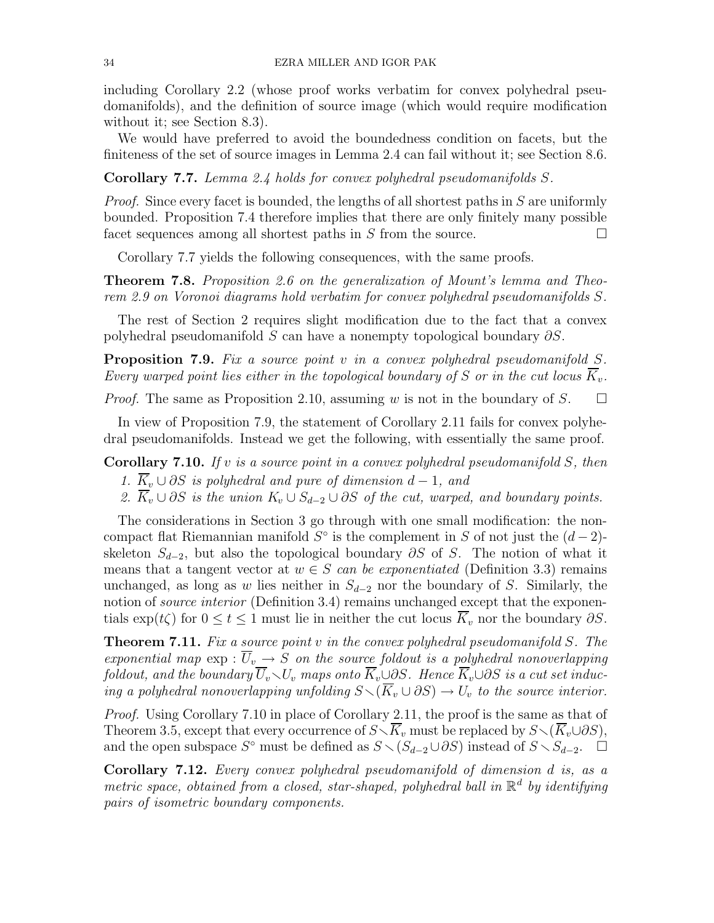including Corollary 2.2 (whose proof works verbatim for convex polyhedral pseudomanifolds), and the definition of source image (which would require modification without it; see Section 8.3).

We would have preferred to avoid the boundedness condition on facets, but the finiteness of the set of source images in Lemma 2.4 can fail without it; see Section 8.6.

# Corollary 7.7. Lemma 2.4 holds for convex polyhedral pseudomanifolds S.

Proof. Since every facet is bounded, the lengths of all shortest paths in S are uniformly bounded. Proposition 7.4 therefore implies that there are only finitely many possible facet sequences among all shortest paths in S from the source.  $\Box$ 

Corollary 7.7 yields the following consequences, with the same proofs.

Theorem 7.8. Proposition 2.6 on the generalization of Mount's lemma and Theorem 2.9 on Voronoi diagrams hold verbatim for convex polyhedral pseudomanifolds S.

The rest of Section 2 requires slight modification due to the fact that a convex polyhedral pseudomanifold S can have a nonempty topological boundary  $\partial S$ .

Proposition 7.9. Fix a source point v in a convex polyhedral pseudomanifold S. Every warped point lies either in the topological boundary of S or in the cut locus  $\overline{K}_{v}$ .

*Proof.* The same as Proposition 2.10, assuming w is not in the boundary of S.  $\Box$ 

In view of Proposition 7.9, the statement of Corollary 2.11 fails for convex polyhedral pseudomanifolds. Instead we get the following, with essentially the same proof.

# **Corollary 7.10.** If v is a source point in a convex polyhedral pseudomanifold  $S$ , then 1.  $K_v \cup \partial S$  is polyhedral and pure of dimension  $d-1$ , and

2.  $K_v \cup \partial S$  is the union  $K_v \cup S_{d-2} \cup \partial S$  of the cut, warped, and boundary points.

The considerations in Section 3 go through with one small modification: the noncompact flat Riemannian manifold  $S^{\circ}$  is the complement in S of not just the  $(d-2)$ skeleton  $S_{d-2}$ , but also the topological boundary  $\partial S$  of S. The notion of what it means that a tangent vector at  $w \in S$  can be exponentiated (Definition 3.3) remains unchanged, as long as w lies neither in  $S_{d-2}$  nor the boundary of S. Similarly, the notion of *source interior* (Definition 3.4) remains unchanged except that the exponentials exp(t $\zeta$ ) for  $0 \le t \le 1$  must lie in neither the cut locus  $\overline{K}_v$  nor the boundary  $\partial S$ .

**Theorem 7.11.** Fix a source point v in the convex polyhedral pseudomanifold S. The exponential map  $\exp : \overline{U}_v \to S$  on the source foldout is a polyhedral nonoverlapping foldout, and the boundary  $\overline{U}_v \setminus U_v$  maps onto  $\overline{K}_v$ ∪∂S. Hence  $\overline{K}_v$ ∪∂S is a cut set inducing a polyhedral nonoverlapping unfolding  $S\setminus(\overline{K}_v\cup\partial S)\to U_v$  to the source interior.

Proof. Using Corollary 7.10 in place of Corollary 2.11, the proof is the same as that of Theorem 3.5, except that every occurrence of  $S\setminus\overline{K}_v$  must be replaced by  $S\setminus(\overline{K}_v\cup\partial S)$ , and the open subspace  $S^{\circ}$  must be defined as  $S \setminus (S_{d-2} \cup \partial S)$  instead of  $S \setminus S_{d-2}$ .

Corollary 7.12. Every convex polyhedral pseudomanifold of dimension d is, as a metric space, obtained from a closed, star-shaped, polyhedral ball in  $\mathbb{R}^d$  by identifying pairs of isometric boundary components.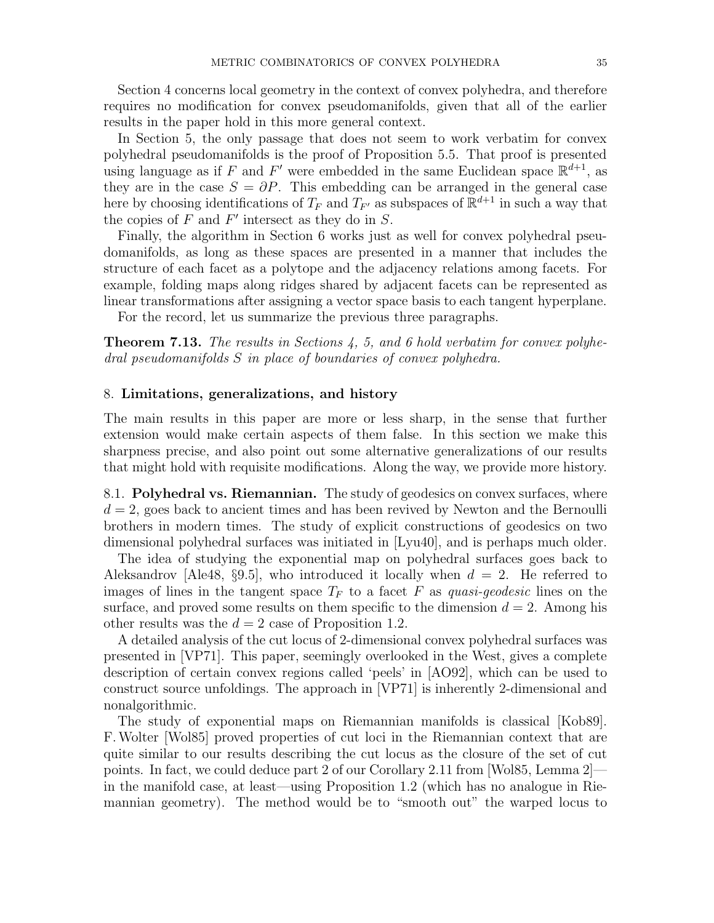Section 4 concerns local geometry in the context of convex polyhedra, and therefore requires no modification for convex pseudomanifolds, given that all of the earlier results in the paper hold in this more general context.

In Section 5, the only passage that does not seem to work verbatim for convex polyhedral pseudomanifolds is the proof of Proposition 5.5. That proof is presented using language as if F and F' were embedded in the same Euclidean space  $\mathbb{R}^{d+1}$ , as they are in the case  $S = \partial P$ . This embedding can be arranged in the general case here by choosing identifications of  $T_F$  and  $T_{F'}$  as subspaces of  $\mathbb{R}^{d+1}$  in such a way that the copies of  $F$  and  $F'$  intersect as they do in  $S$ .

Finally, the algorithm in Section 6 works just as well for convex polyhedral pseudomanifolds, as long as these spaces are presented in a manner that includes the structure of each facet as a polytope and the adjacency relations among facets. For example, folding maps along ridges shared by adjacent facets can be represented as linear transformations after assigning a vector space basis to each tangent hyperplane.

For the record, let us summarize the previous three paragraphs.

**Theorem 7.13.** The results in Sections 4, 5, and 6 hold verbatim for convex polyhedral pseudomanifolds S in place of boundaries of convex polyhedra.

# 8. Limitations, generalizations, and history

The main results in this paper are more or less sharp, in the sense that further extension would make certain aspects of them false. In this section we make this sharpness precise, and also point out some alternative generalizations of our results that might hold with requisite modifications. Along the way, we provide more history.

8.1. Polyhedral vs. Riemannian. The study of geodesics on convex surfaces, where  $d = 2$ , goes back to ancient times and has been revived by Newton and the Bernoulli brothers in modern times. The study of explicit constructions of geodesics on two dimensional polyhedral surfaces was initiated in [Lyu40], and is perhaps much older.

The idea of studying the exponential map on polyhedral surfaces goes back to Aleksandrov [Ale48, §9.5], who introduced it locally when  $d = 2$ . He referred to images of lines in the tangent space  $T_F$  to a facet F as quasi-geodesic lines on the surface, and proved some results on them specific to the dimension  $d = 2$ . Among his other results was the  $d = 2$  case of Proposition 1.2.

A detailed analysis of the cut locus of 2-dimensional convex polyhedral surfaces was presented in [VP71]. This paper, seemingly overlooked in the West, gives a complete description of certain convex regions called 'peels' in [AO92], which can be used to construct source unfoldings. The approach in [VP71] is inherently 2-dimensional and nonalgorithmic.

The study of exponential maps on Riemannian manifolds is classical [Kob89]. F.Wolter [Wol85] proved properties of cut loci in the Riemannian context that are quite similar to our results describing the cut locus as the closure of the set of cut points. In fact, we could deduce part 2 of our Corollary 2.11 from [Wol85, Lemma 2] in the manifold case, at least—using Proposition 1.2 (which has no analogue in Riemannian geometry). The method would be to "smooth out" the warped locus to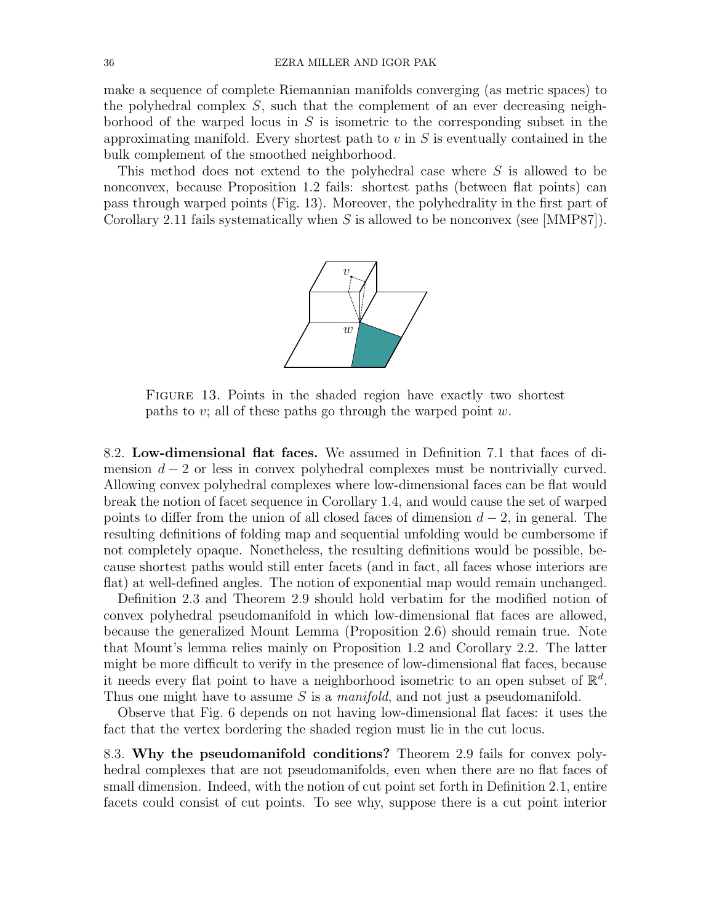make a sequence of complete Riemannian manifolds converging (as metric spaces) to the polyhedral complex  $S$ , such that the complement of an ever decreasing neighborhood of the warped locus in  $S$  is isometric to the corresponding subset in the approximating manifold. Every shortest path to  $v$  in  $S$  is eventually contained in the bulk complement of the smoothed neighborhood.

This method does not extend to the polyhedral case where S is allowed to be nonconvex, because Proposition 1.2 fails: shortest paths (between flat points) can pass through warped points (Fig. 13). Moreover, the polyhedrality in the first part of Corollary 2.11 fails systematically when S is allowed to be nonconvex (see [MMP87]).



FIGURE 13. Points in the shaded region have exactly two shortest paths to v; all of these paths go through the warped point  $w$ .

8.2. Low-dimensional flat faces. We assumed in Definition 7.1 that faces of dimension  $d-2$  or less in convex polyhedral complexes must be nontrivially curved. Allowing convex polyhedral complexes where low-dimensional faces can be flat would break the notion of facet sequence in Corollary 1.4, and would cause the set of warped points to differ from the union of all closed faces of dimension  $d-2$ , in general. The resulting definitions of folding map and sequential unfolding would be cumbersome if not completely opaque. Nonetheless, the resulting definitions would be possible, because shortest paths would still enter facets (and in fact, all faces whose interiors are flat) at well-defined angles. The notion of exponential map would remain unchanged.

Definition 2.3 and Theorem 2.9 should hold verbatim for the modified notion of convex polyhedral pseudomanifold in which low-dimensional flat faces are allowed, because the generalized Mount Lemma (Proposition 2.6) should remain true. Note that Mount's lemma relies mainly on Proposition 1.2 and Corollary 2.2. The latter might be more difficult to verify in the presence of low-dimensional flat faces, because it needs every flat point to have a neighborhood isometric to an open subset of  $\mathbb{R}^d$ . Thus one might have to assume S is a *manifold*, and not just a pseudomanifold.

Observe that Fig. 6 depends on not having low-dimensional flat faces: it uses the fact that the vertex bordering the shaded region must lie in the cut locus.

8.3. Why the pseudomanifold conditions? Theorem 2.9 fails for convex polyhedral complexes that are not pseudomanifolds, even when there are no flat faces of small dimension. Indeed, with the notion of cut point set forth in Definition 2.1, entire facets could consist of cut points. To see why, suppose there is a cut point interior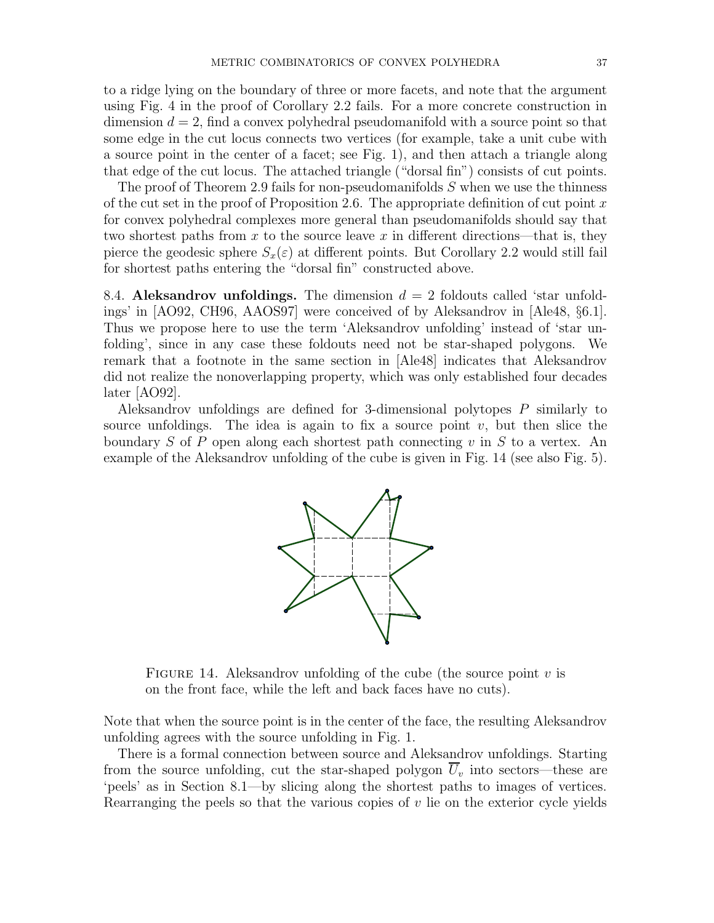to a ridge lying on the boundary of three or more facets, and note that the argument using Fig. 4 in the proof of Corollary 2.2 fails. For a more concrete construction in dimension  $d = 2$ , find a convex polyhedral pseudomanifold with a source point so that some edge in the cut locus connects two vertices (for example, take a unit cube with a source point in the center of a facet; see Fig. 1), and then attach a triangle along that edge of the cut locus. The attached triangle ("dorsal fin") consists of cut points.

The proof of Theorem 2.9 fails for non-pseudomanifolds S when we use the thinness of the cut set in the proof of Proposition 2.6. The appropriate definition of cut point  $x$ for convex polyhedral complexes more general than pseudomanifolds should say that two shortest paths from  $x$  to the source leave  $x$  in different directions—that is, they pierce the geodesic sphere  $S_x(\varepsilon)$  at different points. But Corollary 2.2 would still fail for shortest paths entering the "dorsal fin" constructed above.

8.4. Aleksandrov unfoldings. The dimension  $d = 2$  foldouts called 'star unfoldings' in [AO92, CH96, AAOS97] were conceived of by Aleksandrov in [Ale48, §6.1]. Thus we propose here to use the term 'Aleksandrov unfolding' instead of 'star unfolding', since in any case these foldouts need not be star-shaped polygons. We remark that a footnote in the same section in [Ale48] indicates that Aleksandrov did not realize the nonoverlapping property, which was only established four decades later [AO92].

Aleksandrov unfoldings are defined for 3-dimensional polytopes P similarly to source unfoldings. The idea is again to fix a source point  $v$ , but then slice the boundary S of P open along each shortest path connecting  $v$  in S to a vertex. An example of the Aleksandrov unfolding of the cube is given in Fig. 14 (see also Fig. 5).



FIGURE 14. Aleksandrov unfolding of the cube (the source point  $v$  is on the front face, while the left and back faces have no cuts).

Note that when the source point is in the center of the face, the resulting Aleksandrov unfolding agrees with the source unfolding in Fig. 1.

There is a formal connection between source and Aleksandrov unfoldings. Starting from the source unfolding, cut the star-shaped polygon  $\overline{U}_v$  into sectors—these are 'peels' as in Section 8.1—by slicing along the shortest paths to images of vertices. Rearranging the peels so that the various copies of  $v$  lie on the exterior cycle yields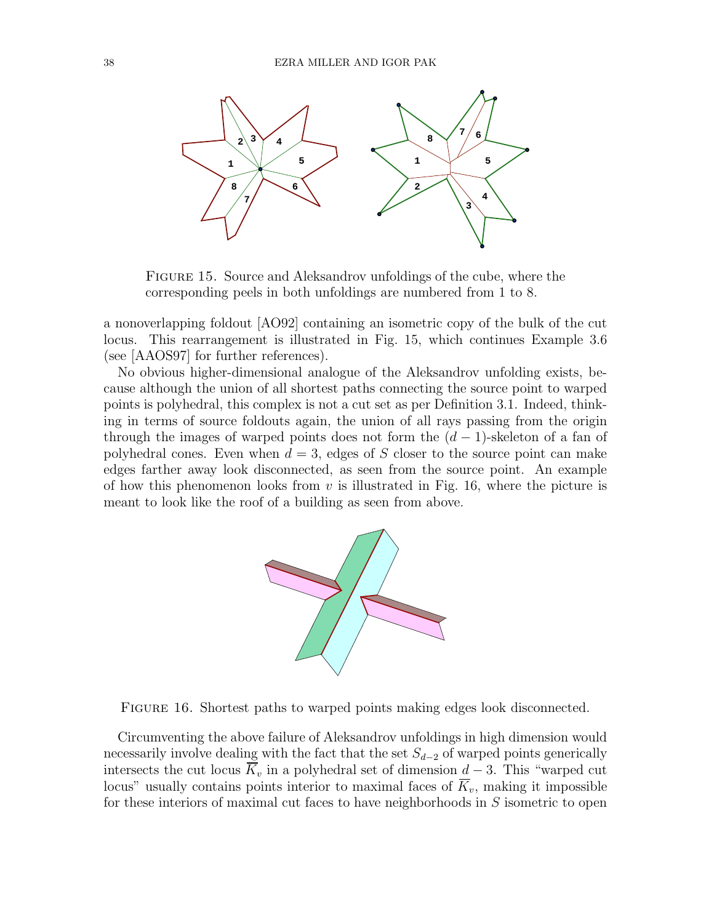

Figure 15. Source and Aleksandrov unfoldings of the cube, where the corresponding peels in both unfoldings are numbered from 1 to 8.

a nonoverlapping foldout [AO92] containing an isometric copy of the bulk of the cut locus. This rearrangement is illustrated in Fig. 15, which continues Example 3.6 (see [AAOS97] for further references).

No obvious higher-dimensional analogue of the Aleksandrov unfolding exists, because although the union of all shortest paths connecting the source point to warped points is polyhedral, this complex is not a cut set as per Definition 3.1. Indeed, thinking in terms of source foldouts again, the union of all rays passing from the origin through the images of warped points does not form the  $(d-1)$ -skeleton of a fan of polyhedral cones. Even when  $d = 3$ , edges of S closer to the source point can make edges farther away look disconnected, as seen from the source point. An example of how this phenomenon looks from  $v$  is illustrated in Fig. 16, where the picture is meant to look like the roof of a building as seen from above.



Figure 16. Shortest paths to warped points making edges look disconnected.

Circumventing the above failure of Aleksandrov unfoldings in high dimension would necessarily involve dealing with the fact that the set  $S_{d-2}$  of warped points generically intersects the cut locus  $\overline{K}_v$  in a polyhedral set of dimension  $\underline{d} - 3$ . This "warped cut locus" usually contains points interior to maximal faces of  $K_v$ , making it impossible for these interiors of maximal cut faces to have neighborhoods in  $S$  isometric to open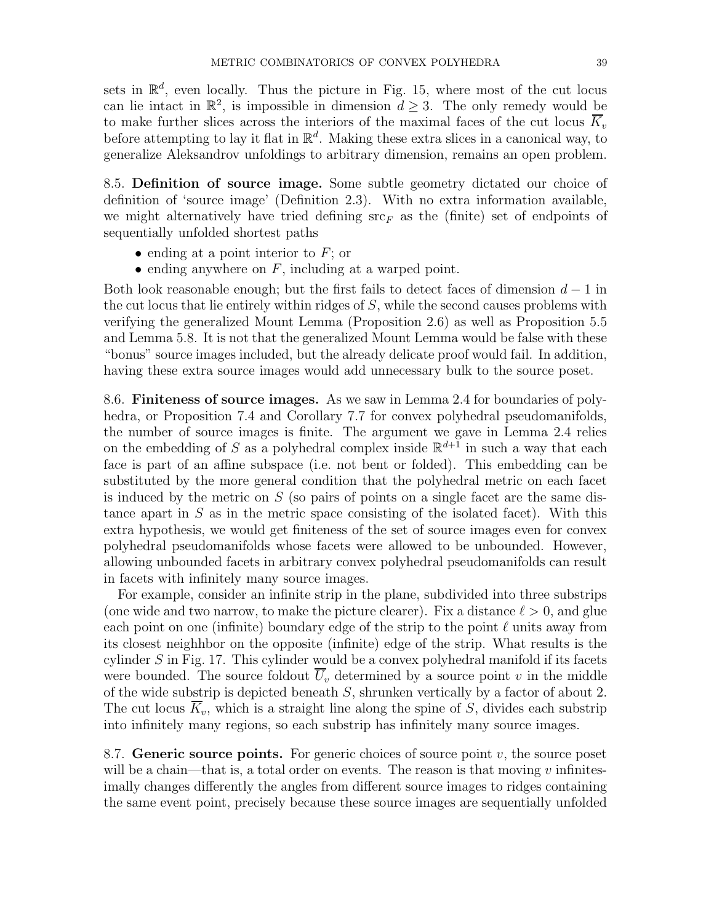sets in  $\mathbb{R}^d$ , even locally. Thus the picture in Fig. 15, where most of the cut locus can lie intact in  $\mathbb{R}^2$ , is impossible in dimension  $d \geq 3$ . The only remedy would be to make further slices across the interiors of the maximal faces of the cut locus  $\overline{K}_v$ before attempting to lay it flat in  $\mathbb{R}^d$ . Making these extra slices in a canonical way, to generalize Aleksandrov unfoldings to arbitrary dimension, remains an open problem.

8.5. Definition of source image. Some subtle geometry dictated our choice of definition of 'source image' (Definition 2.3). With no extra information available, we might alternatively have tried defining  $\operatorname{src}_F$  as the (finite) set of endpoints of sequentially unfolded shortest paths

- ending at a point interior to  $F$ ; or
- $\bullet$  ending anywhere on  $F$ , including at a warped point.

Both look reasonable enough; but the first fails to detect faces of dimension  $d-1$  in the cut locus that lie entirely within ridges of S, while the second causes problems with verifying the generalized Mount Lemma (Proposition 2.6) as well as Proposition 5.5 and Lemma 5.8. It is not that the generalized Mount Lemma would be false with these "bonus" source images included, but the already delicate proof would fail. In addition, having these extra source images would add unnecessary bulk to the source poset.

8.6. Finiteness of source images. As we saw in Lemma 2.4 for boundaries of polyhedra, or Proposition 7.4 and Corollary 7.7 for convex polyhedral pseudomanifolds, the number of source images is finite. The argument we gave in Lemma 2.4 relies on the embedding of S as a polyhedral complex inside  $\mathbb{R}^{d+1}$  in such a way that each face is part of an affine subspace (i.e. not bent or folded). This embedding can be substituted by the more general condition that the polyhedral metric on each facet is induced by the metric on  $S$  (so pairs of points on a single facet are the same distance apart in  $S$  as in the metric space consisting of the isolated facet). With this extra hypothesis, we would get finiteness of the set of source images even for convex polyhedral pseudomanifolds whose facets were allowed to be unbounded. However, allowing unbounded facets in arbitrary convex polyhedral pseudomanifolds can result in facets with infinitely many source images.

For example, consider an infinite strip in the plane, subdivided into three substrips (one wide and two narrow, to make the picture clearer). Fix a distance  $\ell > 0$ , and glue each point on one (infinite) boundary edge of the strip to the point  $\ell$  units away from its closest neighhbor on the opposite (infinite) edge of the strip. What results is the cylinder S in Fig. 17. This cylinder would be a convex polyhedral manifold if its facets were bounded. The source foldout  $\overline{U}_v$  determined by a source point v in the middle of the wide substrip is depicted beneath S, shrunken vertically by a factor of about 2. The cut locus  $K_v$ , which is a straight line along the spine of S, divides each substrip into infinitely many regions, so each substrip has infinitely many source images.

8.7. Generic source points. For generic choices of source point  $v$ , the source poset will be a chain—that is, a total order on events. The reason is that moving  $v$  infinitesimally changes differently the angles from different source images to ridges containing the same event point, precisely because these source images are sequentially unfolded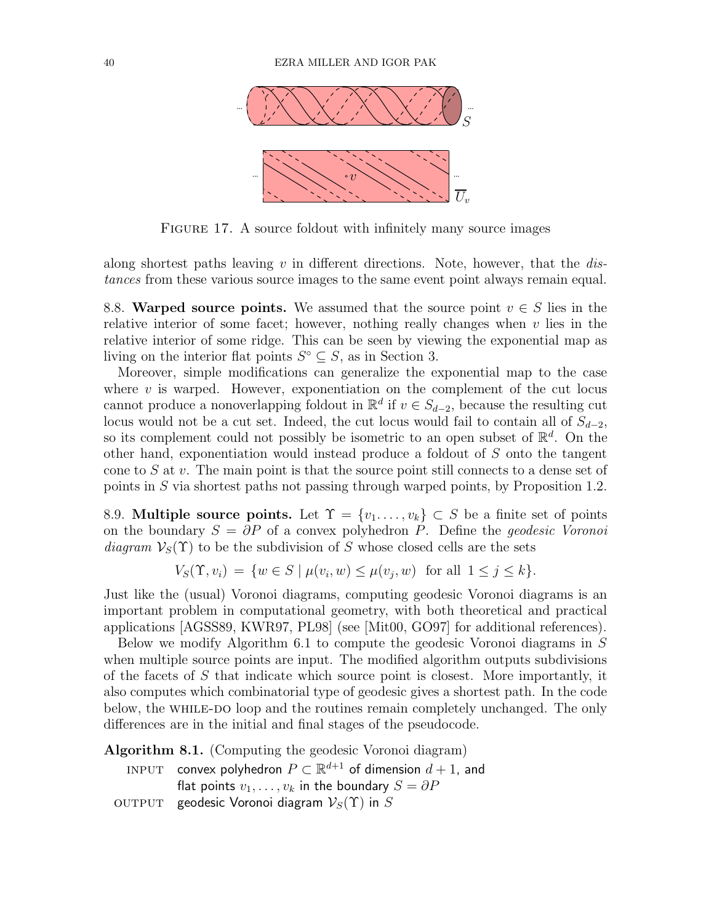

FIGURE 17. A source foldout with infinitely many source images

along shortest paths leaving  $v$  in different directions. Note, however, that the distances from these various source images to the same event point always remain equal.

8.8. Warped source points. We assumed that the source point  $v \in S$  lies in the relative interior of some facet; however, nothing really changes when  $v$  lies in the relative interior of some ridge. This can be seen by viewing the exponential map as living on the interior flat points  $S^{\circ} \subseteq S$ , as in Section 3.

Moreover, simple modifications can generalize the exponential map to the case where  $v$  is warped. However, exponentiation on the complement of the cut locus cannot produce a nonoverlapping foldout in  $\mathbb{R}^d$  if  $v \in S_{d-2}$ , because the resulting cut locus would not be a cut set. Indeed, the cut locus would fail to contain all of  $S_{d-2}$ , so its complement could not possibly be isometric to an open subset of  $\mathbb{R}^d$ . On the other hand, exponentiation would instead produce a foldout of S onto the tangent cone to  $S$  at  $v$ . The main point is that the source point still connects to a dense set of points in S via shortest paths not passing through warped points, by Proposition 1.2.

8.9. Multiple source points. Let  $\Upsilon = \{v_1, \ldots, v_k\} \subset S$  be a finite set of points on the boundary  $S = \partial P$  of a convex polyhedron P. Define the *geodesic Voronoi* diagram  $\mathcal{V}_S(\Upsilon)$  to be the subdivision of S whose closed cells are the sets

$$
V_S(\Upsilon, v_i) = \{ w \in S \mid \mu(v_i, w) \le \mu(v_j, w) \text{ for all } 1 \le j \le k \}.
$$

Just like the (usual) Voronoi diagrams, computing geodesic Voronoi diagrams is an important problem in computational geometry, with both theoretical and practical applications [AGSS89, KWR97, PL98] (see [Mit00, GO97] for additional references).

Below we modify Algorithm 6.1 to compute the geodesic Voronoi diagrams in S when multiple source points are input. The modified algorithm outputs subdivisions of the facets of S that indicate which source point is closest. More importantly, it also computes which combinatorial type of geodesic gives a shortest path. In the code below, the WHILE-DO loop and the routines remain completely unchanged. The only differences are in the initial and final stages of the pseudocode.

Algorithm 8.1. (Computing the geodesic Voronoi diagram)

INPUT convex polyhedron  $P \subset \mathbb{R}^{d+1}$  of dimension  $d+1$ , and flat points  $v_1, \ldots, v_k$  in the boundary  $S = \partial P$ OUTPUT geodesic Voronoi diagram  $\mathcal{V}_S(\Upsilon)$  in S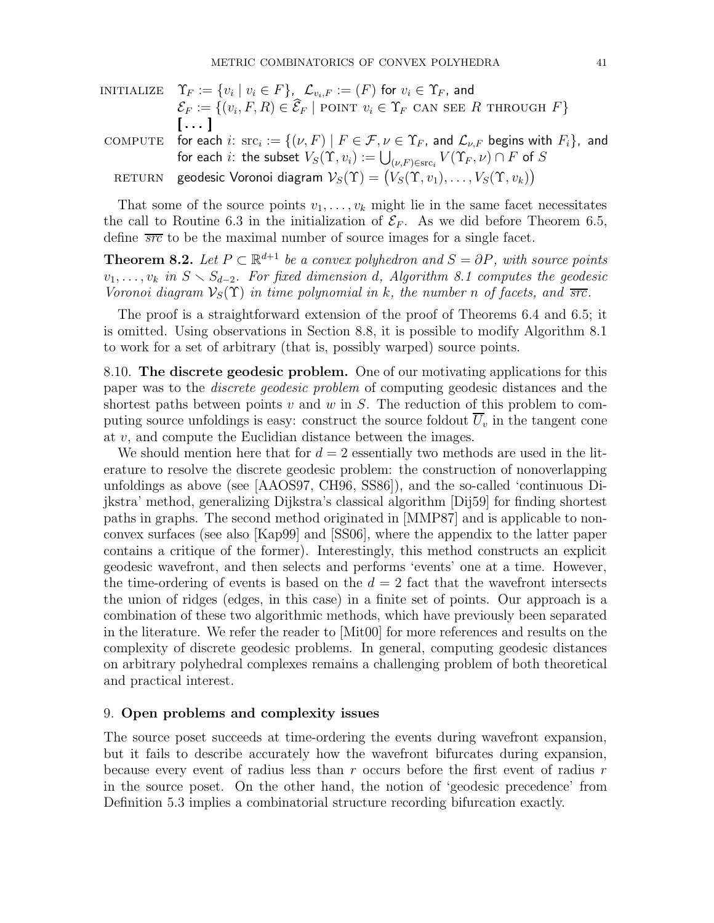INITIALIZE  $\Upsilon_F := \{v_i \mid v_i \in F\}$ ,  $\mathcal{L}_{v_i, F} := (F)$  for  $v_i \in \Upsilon_F$ , and  $\mathcal{E}_F := \{(v_i, F, R) \in \widehat{\mathcal{E}}_F \mid \text{point } v_i \in \Upsilon_F \text{ can see } R \text{ throughout } F\}$  $[\ldots]$ COMPUTE for each i:  $\text{src}_i := \{(\nu, F) \mid F \in \mathcal{F}, \nu \in \Upsilon_F$ , and  $\mathcal{L}_{\nu, F}$  begins with  $F_i\}$ , and for each i: the subset  $V_S(\Upsilon, v_i) := \bigcup_{(\nu, F) \in \mathrm{src}_i} V(\Upsilon_F, \nu) \cap F$  of  $S$ RETURN geodesic Voronoi diagram  $\mathcal{V}_S(\Upsilon) = (V_S(\Upsilon, v_1), \dots, V_S(\Upsilon, v_k))$ 

That some of the source points  $v_1, \ldots, v_k$  might lie in the same facet necessitates the call to Routine 6.3 in the initialization of  $\mathcal{E}_F$ . As we did before Theorem 6.5, define  $\overline{src}$  to be the maximal number of source images for a single facet.

**Theorem 8.2.** Let  $P \subset \mathbb{R}^{d+1}$  be a convex polyhedron and  $S = \partial P$ , with source points  $v_1, \ldots, v_k$  in  $S \setminus S_{d-2}$ . For fixed dimension d, Algorithm 8.1 computes the geodesic Voronoi diagram  $\mathcal{V}_S(\Upsilon)$  in time polynomial in k, the number n of facets, and  $\overline{src}$ .

The proof is a straightforward extension of the proof of Theorems 6.4 and 6.5; it is omitted. Using observations in Section 8.8, it is possible to modify Algorithm 8.1 to work for a set of arbitrary (that is, possibly warped) source points.

8.10. The discrete geodesic problem. One of our motivating applications for this paper was to the discrete geodesic problem of computing geodesic distances and the shortest paths between points v and w in  $S$ . The reduction of this problem to computing source unfoldings is easy: construct the source foldout  $U_v$  in the tangent cone at v, and compute the Euclidian distance between the images.

We should mention here that for  $d = 2$  essentially two methods are used in the literature to resolve the discrete geodesic problem: the construction of nonoverlapping unfoldings as above (see [AAOS97, CH96, SS86]), and the so-called 'continuous Dijkstra' method, generalizing Dijkstra's classical algorithm [Dij59] for finding shortest paths in graphs. The second method originated in [MMP87] and is applicable to nonconvex surfaces (see also [Kap99] and [SS06], where the appendix to the latter paper contains a critique of the former). Interestingly, this method constructs an explicit geodesic wavefront, and then selects and performs 'events' one at a time. However, the time-ordering of events is based on the  $d = 2$  fact that the wavefront intersects the union of ridges (edges, in this case) in a finite set of points. Our approach is a combination of these two algorithmic methods, which have previously been separated in the literature. We refer the reader to [Mit00] for more references and results on the complexity of discrete geodesic problems. In general, computing geodesic distances on arbitrary polyhedral complexes remains a challenging problem of both theoretical and practical interest.

# 9. Open problems and complexity issues

The source poset succeeds at time-ordering the events during wavefront expansion, but it fails to describe accurately how the wavefront bifurcates during expansion, because every event of radius less than  $r$  occurs before the first event of radius  $r$ in the source poset. On the other hand, the notion of 'geodesic precedence' from Definition 5.3 implies a combinatorial structure recording bifurcation exactly.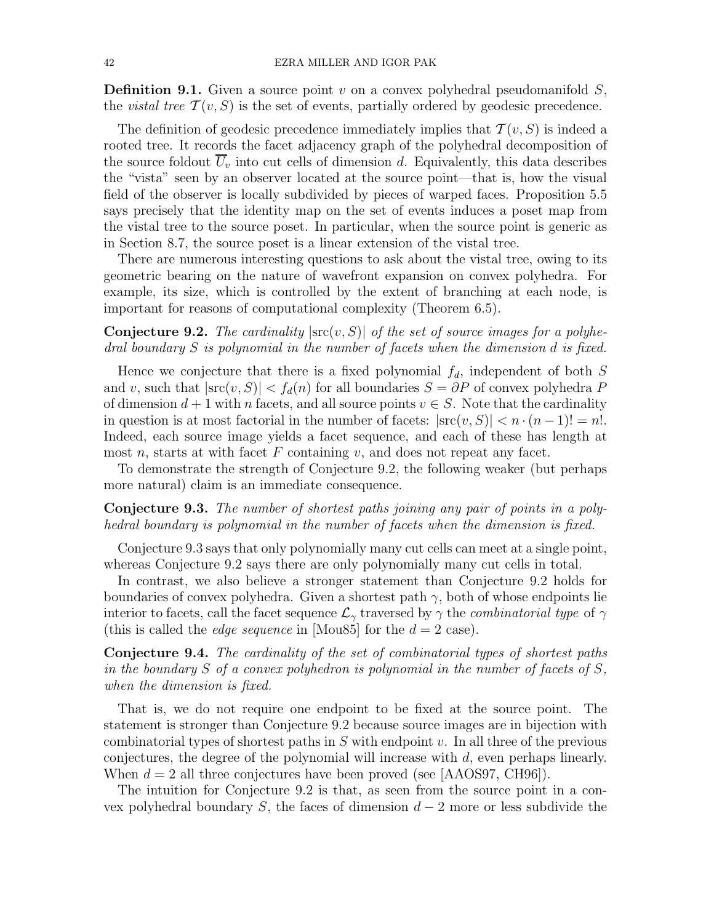**Definition 9.1.** Given a source point  $v$  on a convex polyhedral pseudomanifold  $S$ , the *vistal tree*  $\mathcal{T}(v, S)$  is the set of events, partially ordered by geodesic precedence.

The definition of geodesic precedence immediately implies that  $\mathcal{T}(v, S)$  is indeed a rooted tree. It records the facet adjacency graph of the polyhedral decomposition of the source foldout  $\overline{U}_v$  into cut cells of dimension d. Equivalently, this data describes the "vista" seen by an observer located at the source point—that is, how the visual field of the observer is locally subdivided by pieces of warped faces. Proposition 5.5 says precisely that the identity map on the set of events induces a poset map from the vistal tree to the source poset. In particular, when the source point is generic as in Section 8.7, the source poset is a linear extension of the vistal tree.

There are numerous interesting questions to ask about the vistal tree, owing to its geometric bearing on the nature of wavefront expansion on convex polyhedra. For example, its size, which is controlled by the extent of branching at each node, is important for reasons of computational complexity (Theorem 6.5).

**Conjecture 9.2.** The cardinality  $|src(v, S)|$  of the set of source images for a polyhedral boundary S is polynomial in the number of facets when the dimension d is fixed.

Hence we conjecture that there is a fixed polynomial  $f_d$ , independent of both S and v, such that  $|\text{src}(v, S)| < f_d(n)$  for all boundaries  $S = \partial P$  of convex polyhedra P of dimension  $d + 1$  with n facets, and all source points  $v \in S$ . Note that the cardinality in question is at most factorial in the number of facets:  $|\text{src}(v, S)| < n \cdot (n-1)! = n!$ . Indeed, each source image yields a facet sequence, and each of these has length at most n, starts at with facet  $F$  containing v, and does not repeat any facet.

To demonstrate the strength of Conjecture 9.2, the following weaker (but perhaps more natural) claim is an immediate consequence.

Conjecture 9.3. The number of shortest paths joining any pair of points in a polyhedral boundary is polynomial in the number of facets when the dimension is fixed.

Conjecture 9.3 says that only polynomially many cut cells can meet at a single point, whereas Conjecture 9.2 says there are only polynomially many cut cells in total.

In contrast, we also believe a stronger statement than Conjecture 9.2 holds for boundaries of convex polyhedra. Given a shortest path  $\gamma$ , both of whose endpoints lie interior to facets, call the facet sequence  $\mathcal{L}_{\gamma}$  traversed by  $\gamma$  the *combinatorial type* of  $\gamma$ (this is called the *edge sequence* in [Mou85] for the  $d = 2$  case).

Conjecture 9.4. The cardinality of the set of combinatorial types of shortest paths in the boundary S of a convex polyhedron is polynomial in the number of facets of  $S$ , when the dimension is fixed.

That is, we do not require one endpoint to be fixed at the source point. The statement is stronger than Conjecture 9.2 because source images are in bijection with combinatorial types of shortest paths in  $S$  with endpoint  $v$ . In all three of the previous conjectures, the degree of the polynomial will increase with d, even perhaps linearly. When  $d = 2$  all three conjectures have been proved (see [AAOS97, CH96]).

The intuition for Conjecture 9.2 is that, as seen from the source point in a convex polyhedral boundary S, the faces of dimension  $d-2$  more or less subdivide the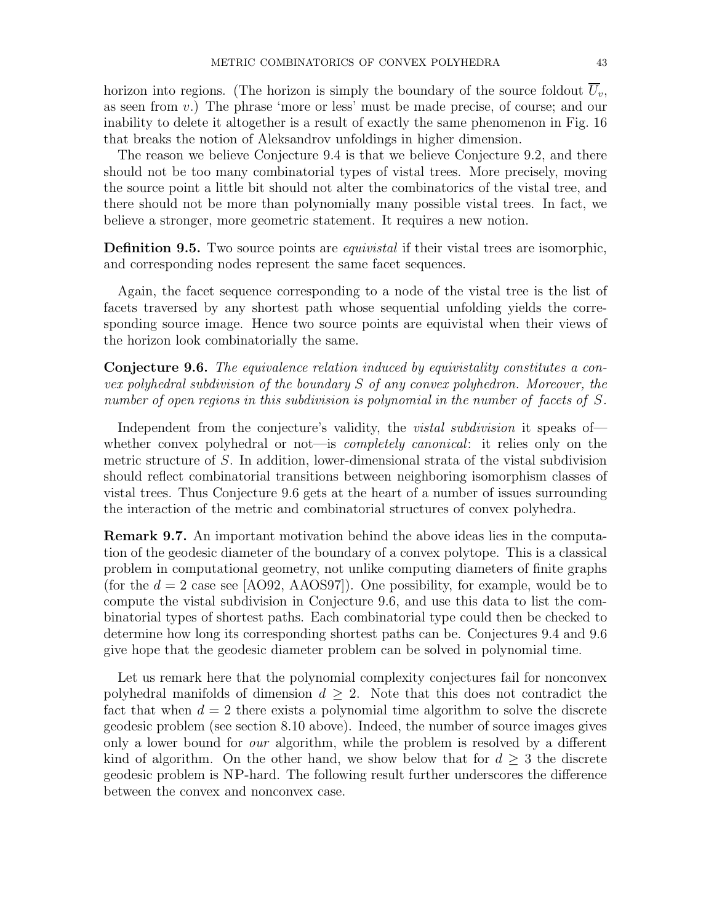horizon into regions. (The horizon is simply the boundary of the source foldout  $U_v$ , as seen from v.) The phrase 'more or less' must be made precise, of course; and our inability to delete it altogether is a result of exactly the same phenomenon in Fig. 16 that breaks the notion of Aleksandrov unfoldings in higher dimension.

The reason we believe Conjecture 9.4 is that we believe Conjecture 9.2, and there should not be too many combinatorial types of vistal trees. More precisely, moving the source point a little bit should not alter the combinatorics of the vistal tree, and there should not be more than polynomially many possible vistal trees. In fact, we believe a stronger, more geometric statement. It requires a new notion.

**Definition 9.5.** Two source points are *equivistal* if their vistal trees are isomorphic, and corresponding nodes represent the same facet sequences.

Again, the facet sequence corresponding to a node of the vistal tree is the list of facets traversed by any shortest path whose sequential unfolding yields the corresponding source image. Hence two source points are equivistal when their views of the horizon look combinatorially the same.

Conjecture 9.6. The equivalence relation induced by equivistality constitutes a convex polyhedral subdivision of the boundary S of any convex polyhedron. Moreover, the number of open regions in this subdivision is polynomial in the number of facets of S.

Independent from the conjecture's validity, the *vistal subdivision* it speaks of whether convex polyhedral or not—is *completely canonical*: it relies only on the metric structure of S. In addition, lower-dimensional strata of the vistal subdivision should reflect combinatorial transitions between neighboring isomorphism classes of vistal trees. Thus Conjecture 9.6 gets at the heart of a number of issues surrounding the interaction of the metric and combinatorial structures of convex polyhedra.

Remark 9.7. An important motivation behind the above ideas lies in the computation of the geodesic diameter of the boundary of a convex polytope. This is a classical problem in computational geometry, not unlike computing diameters of finite graphs (for the  $d = 2$  case see [AO92, AAOS97]). One possibility, for example, would be to compute the vistal subdivision in Conjecture 9.6, and use this data to list the combinatorial types of shortest paths. Each combinatorial type could then be checked to determine how long its corresponding shortest paths can be. Conjectures 9.4 and 9.6 give hope that the geodesic diameter problem can be solved in polynomial time.

Let us remark here that the polynomial complexity conjectures fail for nonconvex polyhedral manifolds of dimension  $d > 2$ . Note that this does not contradict the fact that when  $d = 2$  there exists a polynomial time algorithm to solve the discrete geodesic problem (see section 8.10 above). Indeed, the number of source images gives only a lower bound for our algorithm, while the problem is resolved by a different kind of algorithm. On the other hand, we show below that for  $d \geq 3$  the discrete geodesic problem is NP-hard. The following result further underscores the difference between the convex and nonconvex case.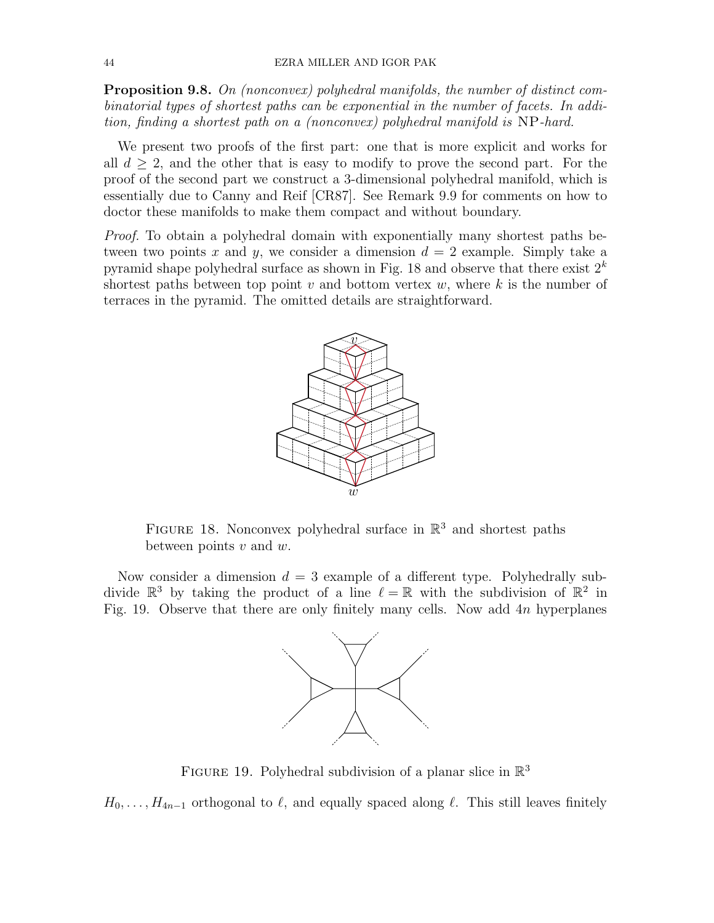Proposition 9.8. On (nonconvex) polyhedral manifolds, the number of distinct combinatorial types of shortest paths can be exponential in the number of facets. In addition, finding a shortest path on a (nonconvex) polyhedral manifold is NP-hard.

We present two proofs of the first part: one that is more explicit and works for all  $d \geq 2$ , and the other that is easy to modify to prove the second part. For the proof of the second part we construct a 3-dimensional polyhedral manifold, which is essentially due to Canny and Reif [CR87]. See Remark 9.9 for comments on how to doctor these manifolds to make them compact and without boundary.

Proof. To obtain a polyhedral domain with exponentially many shortest paths between two points x and y, we consider a dimension  $d = 2$  example. Simply take a pyramid shape polyhedral surface as shown in Fig. 18 and observe that there exist  $2^k$ shortest paths between top point v and bottom vertex  $w$ , where k is the number of terraces in the pyramid. The omitted details are straightforward.



FIGURE 18. Nonconvex polyhedral surface in  $\mathbb{R}^3$  and shortest paths between points  $v$  and  $w$ .

Now consider a dimension  $d = 3$  example of a different type. Polyhedrally subdivide  $\mathbb{R}^3$  by taking the product of a line  $\ell = \mathbb{R}$  with the subdivision of  $\mathbb{R}^2$  in Fig. 19. Observe that there are only finitely many cells. Now add 4n hyperplanes



FIGURE 19. Polyhedral subdivision of a planar slice in  $\mathbb{R}^3$ 

 $H_0, \ldots, H_{4n-1}$  orthogonal to  $\ell$ , and equally spaced along  $\ell$ . This still leaves finitely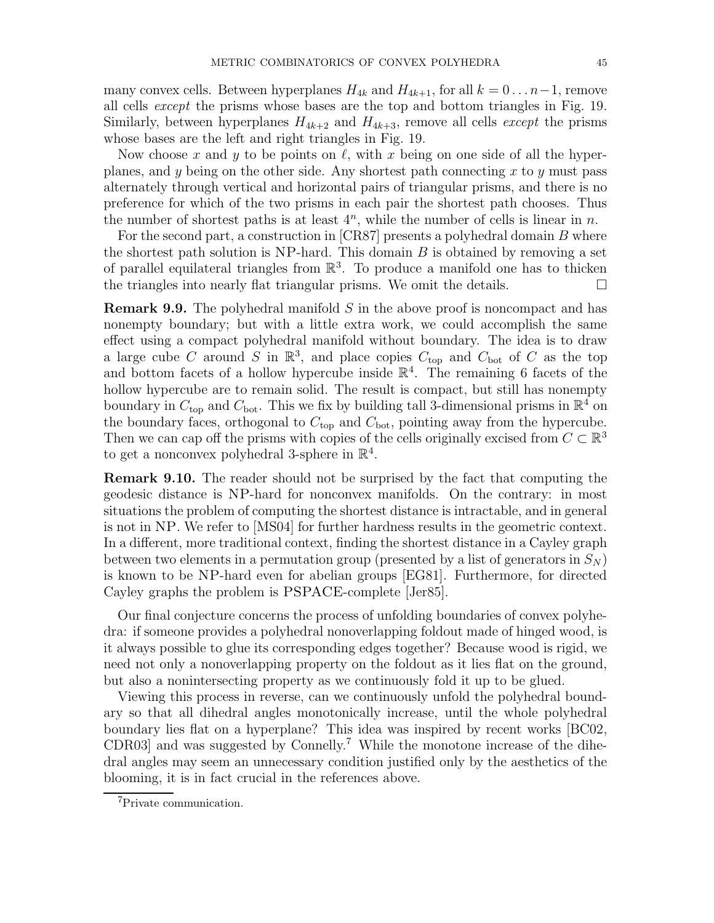many convex cells. Between hyperplanes  $H_{4k}$  and  $H_{4k+1}$ , for all  $k = 0 \dots n-1$ , remove all cells except the prisms whose bases are the top and bottom triangles in Fig. 19. Similarly, between hyperplanes  $H_{4k+2}$  and  $H_{4k+3}$ , remove all cells *except* the prisms whose bases are the left and right triangles in Fig. 19.

Now choose x and y to be points on  $\ell$ , with x being on one side of all the hyperplanes, and y being on the other side. Any shortest path connecting x to y must pass alternately through vertical and horizontal pairs of triangular prisms, and there is no preference for which of the two prisms in each pair the shortest path chooses. Thus the number of shortest paths is at least  $4^n$ , while the number of cells is linear in n.

For the second part, a construction in  $[CR87]$  presents a polyhedral domain  $B$  where the shortest path solution is NP-hard. This domain  $B$  is obtained by removing a set of parallel equilateral triangles from  $\mathbb{R}^3$ . To produce a manifold one has to thicken the triangles into nearly flat triangular prisms. We omit the details.  $\Box$ 

Remark 9.9. The polyhedral manifold S in the above proof is noncompact and has nonempty boundary; but with a little extra work, we could accomplish the same effect using a compact polyhedral manifold without boundary. The idea is to draw a large cube C around S in  $\mathbb{R}^3$ , and place copies  $C_{\text{top}}$  and  $C_{\text{bot}}$  of C as the top and bottom facets of a hollow hypercube inside  $\mathbb{R}^4$ . The remaining 6 facets of the hollow hypercube are to remain solid. The result is compact, but still has nonempty boundary in  $C_{\text{top}}$  and  $C_{\text{bot}}$ . This we fix by building tall 3-dimensional prisms in  $\mathbb{R}^4$  on the boundary faces, orthogonal to  $C_{\text{top}}$  and  $C_{\text{bot}}$ , pointing away from the hypercube. Then we can cap off the prisms with copies of the cells originally excised from  $C \subset \mathbb{R}^3$ to get a nonconvex polyhedral 3-sphere in  $\mathbb{R}^4$ .

Remark 9.10. The reader should not be surprised by the fact that computing the geodesic distance is NP-hard for nonconvex manifolds. On the contrary: in most situations the problem of computing the shortest distance is intractable, and in general is not in NP. We refer to [MS04] for further hardness results in the geometric context. In a different, more traditional context, finding the shortest distance in a Cayley graph between two elements in a permutation group (presented by a list of generators in  $S_N$ ) is known to be NP-hard even for abelian groups [EG81]. Furthermore, for directed Cayley graphs the problem is PSPACE-complete [Jer85].

Our final conjecture concerns the process of unfolding boundaries of convex polyhedra: if someone provides a polyhedral nonoverlapping foldout made of hinged wood, is it always possible to glue its corresponding edges together? Because wood is rigid, we need not only a nonoverlapping property on the foldout as it lies flat on the ground, but also a nonintersecting property as we continuously fold it up to be glued.

Viewing this process in reverse, can we continuously unfold the polyhedral boundary so that all dihedral angles monotonically increase, until the whole polyhedral boundary lies flat on a hyperplane? This idea was inspired by recent works [BC02, CDR03] and was suggested by Connelly. <sup>7</sup> While the monotone increase of the dihedral angles may seem an unnecessary condition justified only by the aesthetics of the blooming, it is in fact crucial in the references above.

<sup>7</sup>Private communication.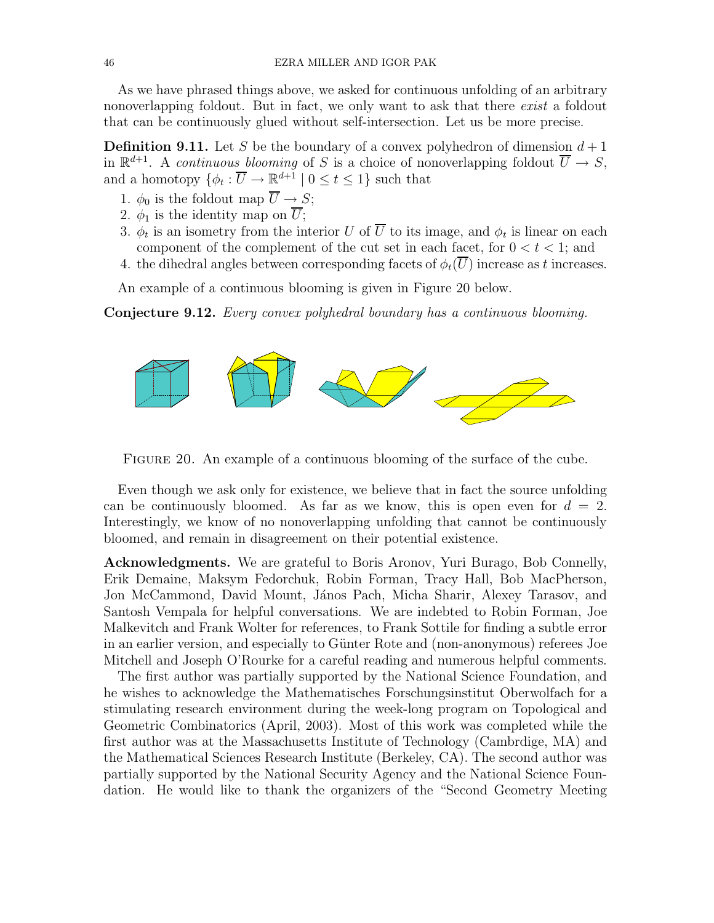As we have phrased things above, we asked for continuous unfolding of an arbitrary nonoverlapping foldout. But in fact, we only want to ask that there *exist* a foldout that can be continuously glued without self-intersection. Let us be more precise.

**Definition 9.11.** Let S be the boundary of a convex polyhedron of dimension  $d+1$ in  $\mathbb{R}^{d+1}$ . A continuous blooming of S is a choice of nonoverlapping foldout  $\overline{U} \to S$ , and a homotopy  $\{\phi_t : \overline{U} \to \mathbb{R}^{d+1} \mid 0 \le t \le 1\}$  such that

- 1.  $\phi_0$  is the foldout map  $\overline{U} \to S$ ;
- 2.  $\phi_1$  is the identity map on  $\overline{U}$ ;
- 3.  $\phi_t$  is an isometry from the interior U of U to its image, and  $\phi_t$  is linear on each component of the complement of the cut set in each facet, for  $0 < t < 1$ ; and
- 4. the dihedral angles between corresponding facets of  $\phi_t(\overline{U})$  increase as t increases.

An example of a continuous blooming is given in Figure 20 below.

Conjecture 9.12. Every convex polyhedral boundary has a continuous blooming.



FIGURE 20. An example of a continuous blooming of the surface of the cube.

Even though we ask only for existence, we believe that in fact the source unfolding can be continuously bloomed. As far as we know, this is open even for  $d = 2$ . Interestingly, we know of no nonoverlapping unfolding that cannot be continuously bloomed, and remain in disagreement on their potential existence.

Acknowledgments. We are grateful to Boris Aronov, Yuri Burago, Bob Connelly, Erik Demaine, Maksym Fedorchuk, Robin Forman, Tracy Hall, Bob MacPherson, Jon McCammond, David Mount, János Pach, Micha Sharir, Alexey Tarasov, and Santosh Vempala for helpful conversations. We are indebted to Robin Forman, Joe Malkevitch and Frank Wolter for references, to Frank Sottile for finding a subtle error in an earlier version, and especially to Günter Rote and (non-anonymous) referees Joe Mitchell and Joseph O'Rourke for a careful reading and numerous helpful comments.

The first author was partially supported by the National Science Foundation, and he wishes to acknowledge the Mathematisches Forschungsinstitut Oberwolfach for a stimulating research environment during the week-long program on Topological and Geometric Combinatorics (April, 2003). Most of this work was completed while the first author was at the Massachusetts Institute of Technology (Cambrdige, MA) and the Mathematical Sciences Research Institute (Berkeley, CA). The second author was partially supported by the National Security Agency and the National Science Foundation. He would like to thank the organizers of the "Second Geometry Meeting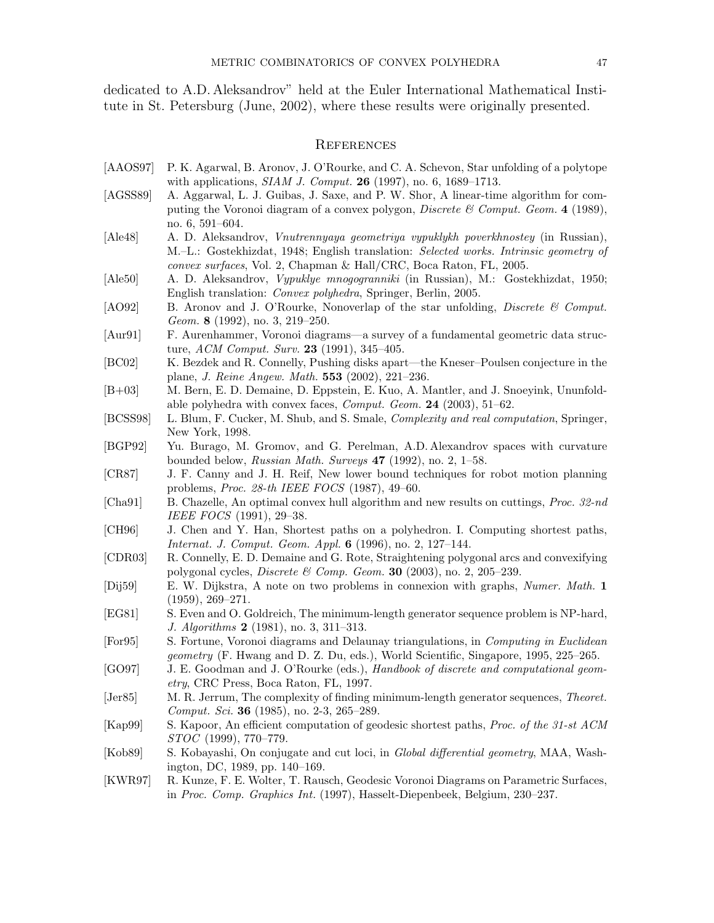dedicated to A.D. Aleksandrov" held at the Euler International Mathematical Institute in St. Petersburg (June, 2002), where these results were originally presented.

#### **REFERENCES**

- [AAOS97] P. K. Agarwal, B. Aronov, J. O'Rourke, and C. A. Schevon, Star unfolding of a polytope with applications, *SIAM J. Comput.* **26** (1997), no. 6, 1689–1713.
- [AGSS89] A. Aggarwal, L. J. Guibas, J. Saxe, and P. W. Shor, A linear-time algorithm for computing the Voronoi diagram of a convex polygon, *Discrete & Comput. Geom.* 4 (1989), no. 6, 591–604.
- [Ale48] A. D. Aleksandrov, Vnutrennyaya geometriya vypuklykh poverkhnostey (in Russian), M.–L.: Gostekhizdat, 1948; English translation: Selected works. Intrinsic geometry of convex surfaces, Vol. 2, Chapman & Hall/CRC, Boca Raton, FL, 2005.
- [Ale50] A. D. Aleksandrov, Vypuklye mnogogranniki (in Russian), M.: Gostekhizdat, 1950; English translation: Convex polyhedra, Springer, Berlin, 2005.
- [AO92] B. Aronov and J. O'Rourke, Nonoverlap of the star unfolding, *Discrete & Comput.* Geom. 8 (1992), no. 3, 219–250.
- [Aur91] F. Aurenhammer, Voronoi diagrams—a survey of a fundamental geometric data structure, ACM Comput. Surv. 23 (1991), 345–405.
- [BC02] K. Bezdek and R. Connelly, Pushing disks apart—the Kneser–Poulsen conjecture in the plane, J. Reine Angew. Math. 553 (2002), 221–236.
- [B+03] M. Bern, E. D. Demaine, D. Eppstein, E. Kuo, A. Mantler, and J. Snoeyink, Ununfoldable polyhedra with convex faces, Comput. Geom. 24 (2003), 51–62.
- [BCSS98] L. Blum, F. Cucker, M. Shub, and S. Smale, Complexity and real computation, Springer, New York, 1998.
- [BGP92] Yu. Burago, M. Gromov, and G. Perelman, A.D. Alexandrov spaces with curvature bounded below, Russian Math. Surveys 47 (1992), no. 2, 1–58.
- [CR87] J. F. Canny and J. H. Reif, New lower bound techniques for robot motion planning problems, Proc. 28-th IEEE FOCS (1987), 49–60.
- [Cha91] B. Chazelle, An optimal convex hull algorithm and new results on cuttings, *Proc.* 32-nd IEEE FOCS (1991), 29–38.
- [CH96] J. Chen and Y. Han, Shortest paths on a polyhedron. I. Computing shortest paths, Internat. J. Comput. Geom. Appl. 6 (1996), no. 2, 127–144.
- [CDR03] R. Connelly, E. D. Demaine and G. Rote, Straightening polygonal arcs and convexifying polygonal cycles, *Discrete* & Comp. Geom. **30** (2003), no. 2, 205–239.
- [Dij59] E. W. Dijkstra, A note on two problems in connexion with graphs, Numer. Math. 1 (1959), 269–271.
- [EG81] S. Even and O. Goldreich, The minimum-length generator sequence problem is NP-hard, J. Algorithms 2 (1981), no. 3, 311–313.
- [For95] S. Fortune, Voronoi diagrams and Delaunay triangulations, in Computing in Euclidean geometry (F. Hwang and D. Z. Du, eds.), World Scientific, Singapore, 1995, 225–265.
- [GO97] J. E. Goodman and J. O'Rourke (eds.), Handbook of discrete and computational geometry, CRC Press, Boca Raton, FL, 1997.
- [Jer85] M. R. Jerrum, The complexity of finding minimum-length generator sequences, Theoret. Comput. Sci. 36 (1985), no. 2-3, 265–289.
- [Kap99] S. Kapoor, An efficient computation of geodesic shortest paths, Proc. of the 31-st ACM STOC (1999), 770–779.
- [Kob89] S. Kobayashi, On conjugate and cut loci, in Global differential geometry, MAA, Washington, DC, 1989, pp. 140–169.
- [KWR97] R. Kunze, F. E. Wolter, T. Rausch, Geodesic Voronoi Diagrams on Parametric Surfaces, in Proc. Comp. Graphics Int. (1997), Hasselt-Diepenbeek, Belgium, 230–237.